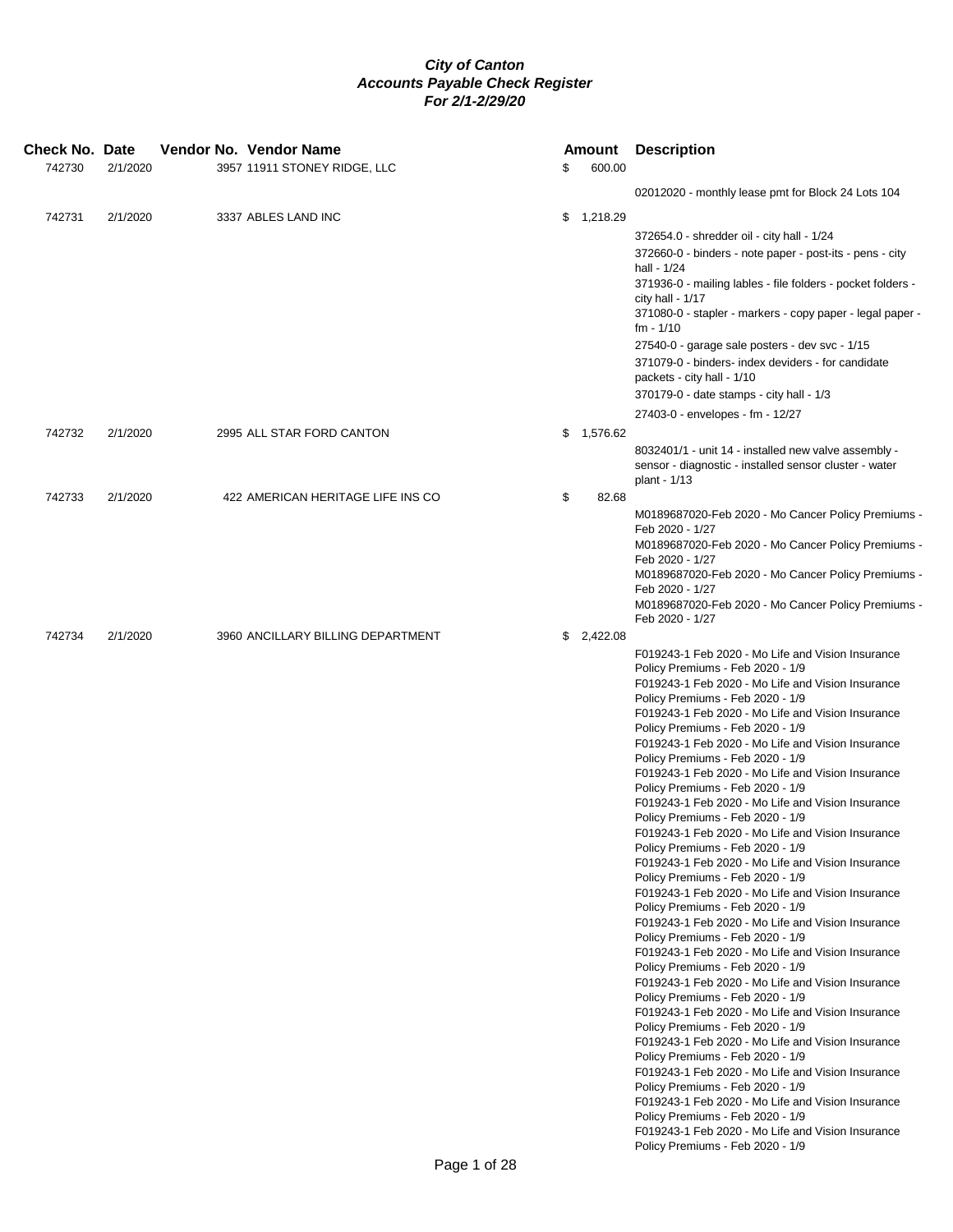| Check No. Date |          |  | Vendor No. Vendor Name            |    | <b>Amount</b> | <b>Description</b>                                                                    |
|----------------|----------|--|-----------------------------------|----|---------------|---------------------------------------------------------------------------------------|
| 742730         | 2/1/2020 |  | 3957 11911 STONEY RIDGE, LLC      | \$ | 600.00        |                                                                                       |
|                |          |  |                                   |    |               | 02012020 - monthly lease pmt for Block 24 Lots 104                                    |
| 742731         | 2/1/2020 |  | 3337 ABLES LAND INC               |    | \$1,218.29    |                                                                                       |
|                |          |  |                                   |    |               | 372654.0 - shredder oil - city hall - 1/24                                            |
|                |          |  |                                   |    |               | 372660-0 - binders - note paper - post-its - pens - city                              |
|                |          |  |                                   |    |               | hall - 1/24<br>371936-0 - mailing lables - file folders - pocket folders -            |
|                |          |  |                                   |    |               | city hall - $1/17$                                                                    |
|                |          |  |                                   |    |               | 371080-0 - stapler - markers - copy paper - legal paper -<br>$fm - 1/10$              |
|                |          |  |                                   |    |               | 27540-0 - garage sale posters - dev svc - 1/15                                        |
|                |          |  |                                   |    |               | 371079-0 - binders- index deviders - for candidate                                    |
|                |          |  |                                   |    |               | packets - city hall - 1/10<br>370179-0 - date stamps - city hall - 1/3                |
|                |          |  |                                   |    |               | 27403-0 - envelopes - fm - 12/27                                                      |
| 742732         | 2/1/2020 |  | 2995 ALL STAR FORD CANTON         |    | \$1,576.62    |                                                                                       |
|                |          |  |                                   |    |               | 8032401/1 - unit 14 - installed new valve assembly -                                  |
|                |          |  |                                   |    |               | sensor - diagnostic - installed sensor cluster - water<br>plant - 1/13                |
| 742733         | 2/1/2020 |  | 422 AMERICAN HERITAGE LIFE INS CO | \$ | 82.68         |                                                                                       |
|                |          |  |                                   |    |               | M0189687020-Feb 2020 - Mo Cancer Policy Premiums -                                    |
|                |          |  |                                   |    |               | Feb 2020 - 1/27<br>M0189687020-Feb 2020 - Mo Cancer Policy Premiums -                 |
|                |          |  |                                   |    |               | Feb 2020 - 1/27                                                                       |
|                |          |  |                                   |    |               | M0189687020-Feb 2020 - Mo Cancer Policy Premiums -<br>Feb 2020 - 1/27                 |
|                |          |  |                                   |    |               | M0189687020-Feb 2020 - Mo Cancer Policy Premiums -                                    |
|                |          |  |                                   |    |               | Feb 2020 - 1/27                                                                       |
| 742734         | 2/1/2020 |  | 3960 ANCILLARY BILLING DEPARTMENT |    | \$2,422.08    | F019243-1 Feb 2020 - Mo Life and Vision Insurance                                     |
|                |          |  |                                   |    |               | Policy Premiums - Feb 2020 - 1/9                                                      |
|                |          |  |                                   |    |               | F019243-1 Feb 2020 - Mo Life and Vision Insurance                                     |
|                |          |  |                                   |    |               | Policy Premiums - Feb 2020 - 1/9<br>F019243-1 Feb 2020 - Mo Life and Vision Insurance |
|                |          |  |                                   |    |               | Policy Premiums - Feb 2020 - 1/9                                                      |
|                |          |  |                                   |    |               | F019243-1 Feb 2020 - Mo Life and Vision Insurance<br>Policy Premiums - Feb 2020 - 1/9 |
|                |          |  |                                   |    |               | F019243-1 Feb 2020 - Mo Life and Vision Insurance                                     |
|                |          |  |                                   |    |               | Policy Premiums - Feb 2020 - 1/9<br>F019243-1 Feb 2020 - Mo Life and Vision Insurance |
|                |          |  |                                   |    |               | Policy Premiums - Feb 2020 - 1/9                                                      |
|                |          |  |                                   |    |               | F019243-1 Feb 2020 - Mo Life and Vision Insurance                                     |
|                |          |  |                                   |    |               | Policy Premiums - Feb 2020 - 1/9<br>F019243-1 Feb 2020 - Mo Life and Vision Insurance |
|                |          |  |                                   |    |               | Policy Premiums - Feb 2020 - 1/9                                                      |
|                |          |  |                                   |    |               | F019243-1 Feb 2020 - Mo Life and Vision Insurance<br>Policy Premiums - Feb 2020 - 1/9 |
|                |          |  |                                   |    |               | F019243-1 Feb 2020 - Mo Life and Vision Insurance                                     |
|                |          |  |                                   |    |               | Policy Premiums - Feb 2020 - 1/9<br>F019243-1 Feb 2020 - Mo Life and Vision Insurance |
|                |          |  |                                   |    |               | Policy Premiums - Feb 2020 - 1/9                                                      |
|                |          |  |                                   |    |               | F019243-1 Feb 2020 - Mo Life and Vision Insurance                                     |
|                |          |  |                                   |    |               | Policy Premiums - Feb 2020 - 1/9<br>F019243-1 Feb 2020 - Mo Life and Vision Insurance |
|                |          |  |                                   |    |               | Policy Premiums - Feb 2020 - 1/9                                                      |
|                |          |  |                                   |    |               | F019243-1 Feb 2020 - Mo Life and Vision Insurance<br>Policy Premiums - Feb 2020 - 1/9 |
|                |          |  |                                   |    |               | F019243-1 Feb 2020 - Mo Life and Vision Insurance                                     |
|                |          |  |                                   |    |               | Policy Premiums - Feb 2020 - 1/9<br>F019243-1 Feb 2020 - Mo Life and Vision Insurance |
|                |          |  |                                   |    |               | Policy Premiums - Feb 2020 - 1/9                                                      |
|                |          |  |                                   |    |               | F019243-1 Feb 2020 - Mo Life and Vision Insurance                                     |
|                |          |  |                                   |    |               | Policy Premiums - Feb 2020 - 1/9                                                      |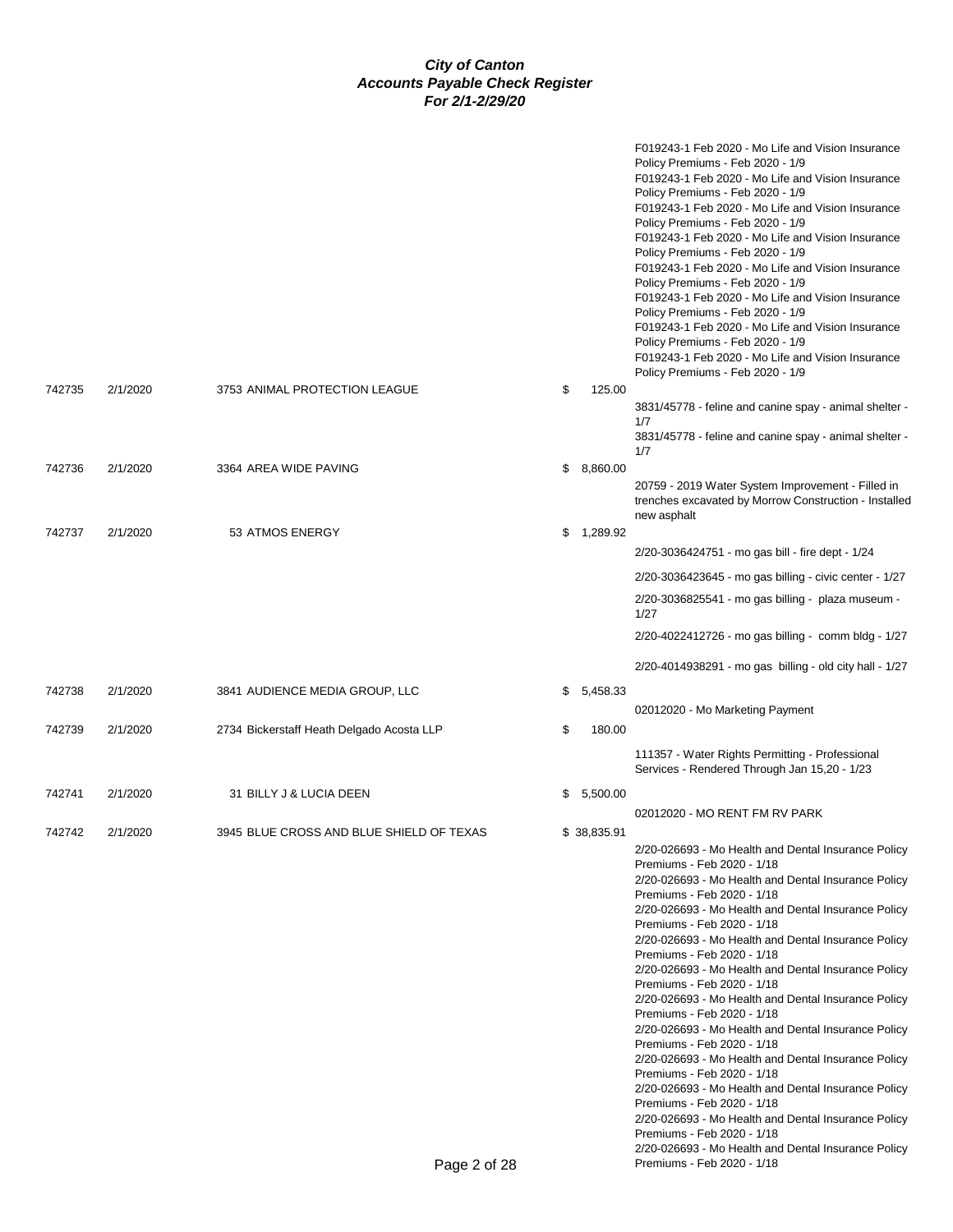|        |          |                                           |                | F019243-1 Feb 2020 - Mo Life and Vision Insurance<br>Policy Premiums - Feb 2020 - 1/9<br>F019243-1 Feb 2020 - Mo Life and Vision Insurance<br>Policy Premiums - Feb 2020 - 1/9<br>F019243-1 Feb 2020 - Mo Life and Vision Insurance<br>Policy Premiums - Feb 2020 - 1/9<br>F019243-1 Feb 2020 - Mo Life and Vision Insurance<br>Policy Premiums - Feb 2020 - 1/9<br>F019243-1 Feb 2020 - Mo Life and Vision Insurance<br>Policy Premiums - Feb 2020 - 1/9<br>F019243-1 Feb 2020 - Mo Life and Vision Insurance<br>Policy Premiums - Feb 2020 - 1/9<br>F019243-1 Feb 2020 - Mo Life and Vision Insurance<br>Policy Premiums - Feb 2020 - 1/9<br>F019243-1 Feb 2020 - Mo Life and Vision Insurance<br>Policy Premiums - Feb 2020 - 1/9                                                                                                                                           |
|--------|----------|-------------------------------------------|----------------|--------------------------------------------------------------------------------------------------------------------------------------------------------------------------------------------------------------------------------------------------------------------------------------------------------------------------------------------------------------------------------------------------------------------------------------------------------------------------------------------------------------------------------------------------------------------------------------------------------------------------------------------------------------------------------------------------------------------------------------------------------------------------------------------------------------------------------------------------------------------------------|
| 742735 | 2/1/2020 | 3753 ANIMAL PROTECTION LEAGUE             | \$<br>125.00   | 3831/45778 - feline and canine spay - animal shelter -<br>1/7<br>3831/45778 - feline and canine spay - animal shelter -                                                                                                                                                                                                                                                                                                                                                                                                                                                                                                                                                                                                                                                                                                                                                        |
|        |          |                                           |                | 1/7                                                                                                                                                                                                                                                                                                                                                                                                                                                                                                                                                                                                                                                                                                                                                                                                                                                                            |
| 742736 | 2/1/2020 | 3364 AREA WIDE PAVING                     | \$<br>8,860.00 | 20759 - 2019 Water System Improvement - Filled in<br>trenches excavated by Morrow Construction - Installed<br>new asphalt                                                                                                                                                                                                                                                                                                                                                                                                                                                                                                                                                                                                                                                                                                                                                      |
| 742737 | 2/1/2020 | 53 ATMOS ENERGY                           | \$1,289.92     |                                                                                                                                                                                                                                                                                                                                                                                                                                                                                                                                                                                                                                                                                                                                                                                                                                                                                |
|        |          |                                           |                | 2/20-3036424751 - mo gas bill - fire dept - 1/24                                                                                                                                                                                                                                                                                                                                                                                                                                                                                                                                                                                                                                                                                                                                                                                                                               |
|        |          |                                           |                | 2/20-3036423645 - mo gas billing - civic center - 1/27                                                                                                                                                                                                                                                                                                                                                                                                                                                                                                                                                                                                                                                                                                                                                                                                                         |
|        |          |                                           |                | 2/20-3036825541 - mo gas billing - plaza museum -<br>1/27                                                                                                                                                                                                                                                                                                                                                                                                                                                                                                                                                                                                                                                                                                                                                                                                                      |
|        |          |                                           |                | 2/20-4022412726 - mo gas billing - comm bldg - 1/27                                                                                                                                                                                                                                                                                                                                                                                                                                                                                                                                                                                                                                                                                                                                                                                                                            |
|        |          |                                           |                | 2/20-4014938291 - mo gas billing - old city hall - 1/27                                                                                                                                                                                                                                                                                                                                                                                                                                                                                                                                                                                                                                                                                                                                                                                                                        |
| 742738 | 2/1/2020 | 3841 AUDIENCE MEDIA GROUP, LLC            | \$<br>5,458.33 |                                                                                                                                                                                                                                                                                                                                                                                                                                                                                                                                                                                                                                                                                                                                                                                                                                                                                |
|        |          |                                           |                | 02012020 - Mo Marketing Payment                                                                                                                                                                                                                                                                                                                                                                                                                                                                                                                                                                                                                                                                                                                                                                                                                                                |
| 742739 | 2/1/2020 | 2734 Bickerstaff Heath Delgado Acosta LLP | \$<br>180.00   | 111357 - Water Rights Permitting - Professional<br>Services - Rendered Through Jan 15,20 - 1/23                                                                                                                                                                                                                                                                                                                                                                                                                                                                                                                                                                                                                                                                                                                                                                                |
| 742741 | 2/1/2020 | 31 BILLY J & LUCIA DEEN                   | \$<br>5,500.00 |                                                                                                                                                                                                                                                                                                                                                                                                                                                                                                                                                                                                                                                                                                                                                                                                                                                                                |
|        |          |                                           |                | 02012020 - MO RENT FM RV PARK                                                                                                                                                                                                                                                                                                                                                                                                                                                                                                                                                                                                                                                                                                                                                                                                                                                  |
|        |          |                                           |                | 2/20-026693 - Mo Health and Dental Insurance Policy<br>Premiums - Feb 2020 - 1/18<br>2/20-026693 - Mo Health and Dental Insurance Policy<br>Premiums - Feb 2020 - 1/18<br>2/20-026693 - Mo Health and Dental Insurance Policy<br>Premiums - Feb 2020 - 1/18<br>2/20-026693 - Mo Health and Dental Insurance Policy<br>Premiums - Feb 2020 - 1/18<br>2/20-026693 - Mo Health and Dental Insurance Policy<br>Premiums - Feb 2020 - 1/18<br>2/20-026693 - Mo Health and Dental Insurance Policy<br>Premiums - Feb 2020 - 1/18<br>2/20-026693 - Mo Health and Dental Insurance Policy<br>Premiums - Feb 2020 - 1/18<br>2/20-026693 - Mo Health and Dental Insurance Policy<br>Premiums - Feb 2020 - 1/18<br>2/20-026693 - Mo Health and Dental Insurance Policy<br>Premiums - Feb 2020 - 1/18<br>2/20-026693 - Mo Health and Dental Insurance Policy<br>Premiums - Feb 2020 - 1/18 |
|        |          |                                           |                | 2/20-026693 - Mo Health and Dental Insurance Policy                                                                                                                                                                                                                                                                                                                                                                                                                                                                                                                                                                                                                                                                                                                                                                                                                            |
|        |          | Page 2 of 28                              |                | Premiums - Feb 2020 - 1/18                                                                                                                                                                                                                                                                                                                                                                                                                                                                                                                                                                                                                                                                                                                                                                                                                                                     |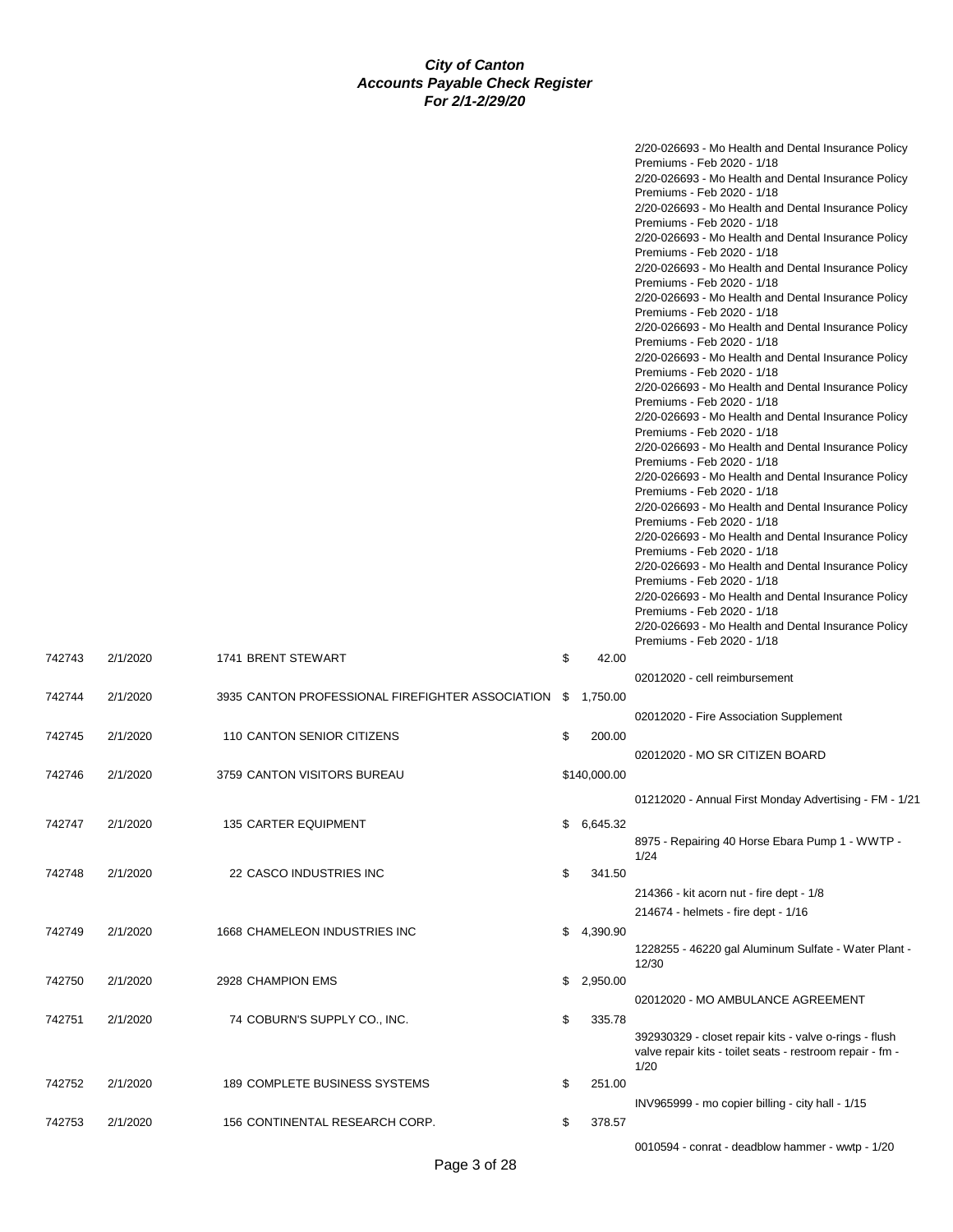|        |          |                                                  |    |              | 2/20-026693 - Mo Health and Dental Insurance Policy<br>Premiums - Feb 2020 - 1/18<br>2/20-026693 - Mo Health and Dental Insurance Policy<br>Premiums - Feb 2020 - 1/18<br>2/20-026693 - Mo Health and Dental Insurance Policy<br>Premiums - Feb 2020 - 1/18<br>2/20-026693 - Mo Health and Dental Insurance Policy<br>Premiums - Feb 2020 - 1/18<br>2/20-026693 - Mo Health and Dental Insurance Policy<br>Premiums - Feb 2020 - 1/18<br>2/20-026693 - Mo Health and Dental Insurance Policy<br>Premiums - Feb 2020 - 1/18<br>2/20-026693 - Mo Health and Dental Insurance Policy<br>Premiums - Feb 2020 - 1/18<br>2/20-026693 - Mo Health and Dental Insurance Policy<br>Premiums - Feb 2020 - 1/18<br>2/20-026693 - Mo Health and Dental Insurance Policy<br>Premiums - Feb 2020 - 1/18<br>2/20-026693 - Mo Health and Dental Insurance Policy<br>Premiums - Feb 2020 - 1/18<br>2/20-026693 - Mo Health and Dental Insurance Policy<br>Premiums - Feb 2020 - 1/18<br>2/20-026693 - Mo Health and Dental Insurance Policy<br>Premiums - Feb 2020 - 1/18<br>2/20-026693 - Mo Health and Dental Insurance Policy<br>Premiums - Feb 2020 - 1/18<br>2/20-026693 - Mo Health and Dental Insurance Policy<br>Premiums - Feb 2020 - 1/18<br>2/20-026693 - Mo Health and Dental Insurance Policy<br>Premiums - Feb 2020 - 1/18<br>2/20-026693 - Mo Health and Dental Insurance Policy<br>Premiums - Feb 2020 - 1/18<br>2/20-026693 - Mo Health and Dental Insurance Policy |
|--------|----------|--------------------------------------------------|----|--------------|---------------------------------------------------------------------------------------------------------------------------------------------------------------------------------------------------------------------------------------------------------------------------------------------------------------------------------------------------------------------------------------------------------------------------------------------------------------------------------------------------------------------------------------------------------------------------------------------------------------------------------------------------------------------------------------------------------------------------------------------------------------------------------------------------------------------------------------------------------------------------------------------------------------------------------------------------------------------------------------------------------------------------------------------------------------------------------------------------------------------------------------------------------------------------------------------------------------------------------------------------------------------------------------------------------------------------------------------------------------------------------------------------------------------------------------------------------------------|
| 742743 | 2/1/2020 | 1741 BRENT STEWART                               | \$ | 42.00        | Premiums - Feb 2020 - 1/18                                                                                                                                                                                                                                                                                                                                                                                                                                                                                                                                                                                                                                                                                                                                                                                                                                                                                                                                                                                                                                                                                                                                                                                                                                                                                                                                                                                                                                          |
| 742744 | 2/1/2020 | 3935 CANTON PROFESSIONAL FIREFIGHTER ASSOCIATION |    | \$ 1,750.00  | 02012020 - cell reimbursement                                                                                                                                                                                                                                                                                                                                                                                                                                                                                                                                                                                                                                                                                                                                                                                                                                                                                                                                                                                                                                                                                                                                                                                                                                                                                                                                                                                                                                       |
| 742745 | 2/1/2020 | 110 CANTON SENIOR CITIZENS                       | \$ | 200.00       | 02012020 - Fire Association Supplement                                                                                                                                                                                                                                                                                                                                                                                                                                                                                                                                                                                                                                                                                                                                                                                                                                                                                                                                                                                                                                                                                                                                                                                                                                                                                                                                                                                                                              |
| 742746 | 2/1/2020 | 3759 CANTON VISITORS BUREAU                      |    | \$140,000.00 | 02012020 - MO SR CITIZEN BOARD                                                                                                                                                                                                                                                                                                                                                                                                                                                                                                                                                                                                                                                                                                                                                                                                                                                                                                                                                                                                                                                                                                                                                                                                                                                                                                                                                                                                                                      |
|        |          |                                                  |    |              | 01212020 - Annual First Monday Advertising - FM - 1/21                                                                                                                                                                                                                                                                                                                                                                                                                                                                                                                                                                                                                                                                                                                                                                                                                                                                                                                                                                                                                                                                                                                                                                                                                                                                                                                                                                                                              |
| 742747 | 2/1/2020 | 135 CARTER EQUIPMENT                             | S. | 6,645.32     | 8975 - Repairing 40 Horse Ebara Pump 1 - WWTP -<br>1/24                                                                                                                                                                                                                                                                                                                                                                                                                                                                                                                                                                                                                                                                                                                                                                                                                                                                                                                                                                                                                                                                                                                                                                                                                                                                                                                                                                                                             |
| 742748 | 2/1/2020 | 22 CASCO INDUSTRIES INC                          | \$ | 341.50       | 214366 - kit acorn nut - fire dept - 1/8                                                                                                                                                                                                                                                                                                                                                                                                                                                                                                                                                                                                                                                                                                                                                                                                                                                                                                                                                                                                                                                                                                                                                                                                                                                                                                                                                                                                                            |
| 742749 | 2/1/2020 | 1668 CHAMELEON INDUSTRIES INC                    | \$ | 4,390.90     | 214674 - helmets - fire dept - 1/16<br>1228255 - 46220 gal Aluminum Sulfate - Water Plant -                                                                                                                                                                                                                                                                                                                                                                                                                                                                                                                                                                                                                                                                                                                                                                                                                                                                                                                                                                                                                                                                                                                                                                                                                                                                                                                                                                         |
| 742750 | 2/1/2020 | 2928 CHAMPION EMS                                |    | \$2,950.00   | 12/30<br>02012020 - MO AMBULANCE AGREEMENT                                                                                                                                                                                                                                                                                                                                                                                                                                                                                                                                                                                                                                                                                                                                                                                                                                                                                                                                                                                                                                                                                                                                                                                                                                                                                                                                                                                                                          |
| 742751 | 2/1/2020 | 74 COBURN'S SUPPLY CO., INC.                     | \$ | 335.78       | 392930329 - closet repair kits - valve o-rings - flush<br>valve repair kits - toilet seats - restroom repair - fm -<br>1/20                                                                                                                                                                                                                                                                                                                                                                                                                                                                                                                                                                                                                                                                                                                                                                                                                                                                                                                                                                                                                                                                                                                                                                                                                                                                                                                                         |
| 742752 | 2/1/2020 | 189 COMPLETE BUSINESS SYSTEMS                    | \$ | 251.00       |                                                                                                                                                                                                                                                                                                                                                                                                                                                                                                                                                                                                                                                                                                                                                                                                                                                                                                                                                                                                                                                                                                                                                                                                                                                                                                                                                                                                                                                                     |
| 742753 | 2/1/2020 | 156 CONTINENTAL RESEARCH CORP.                   | \$ | 378.57       | INV965999 - mo copier billing - city hall - 1/15                                                                                                                                                                                                                                                                                                                                                                                                                                                                                                                                                                                                                                                                                                                                                                                                                                                                                                                                                                                                                                                                                                                                                                                                                                                                                                                                                                                                                    |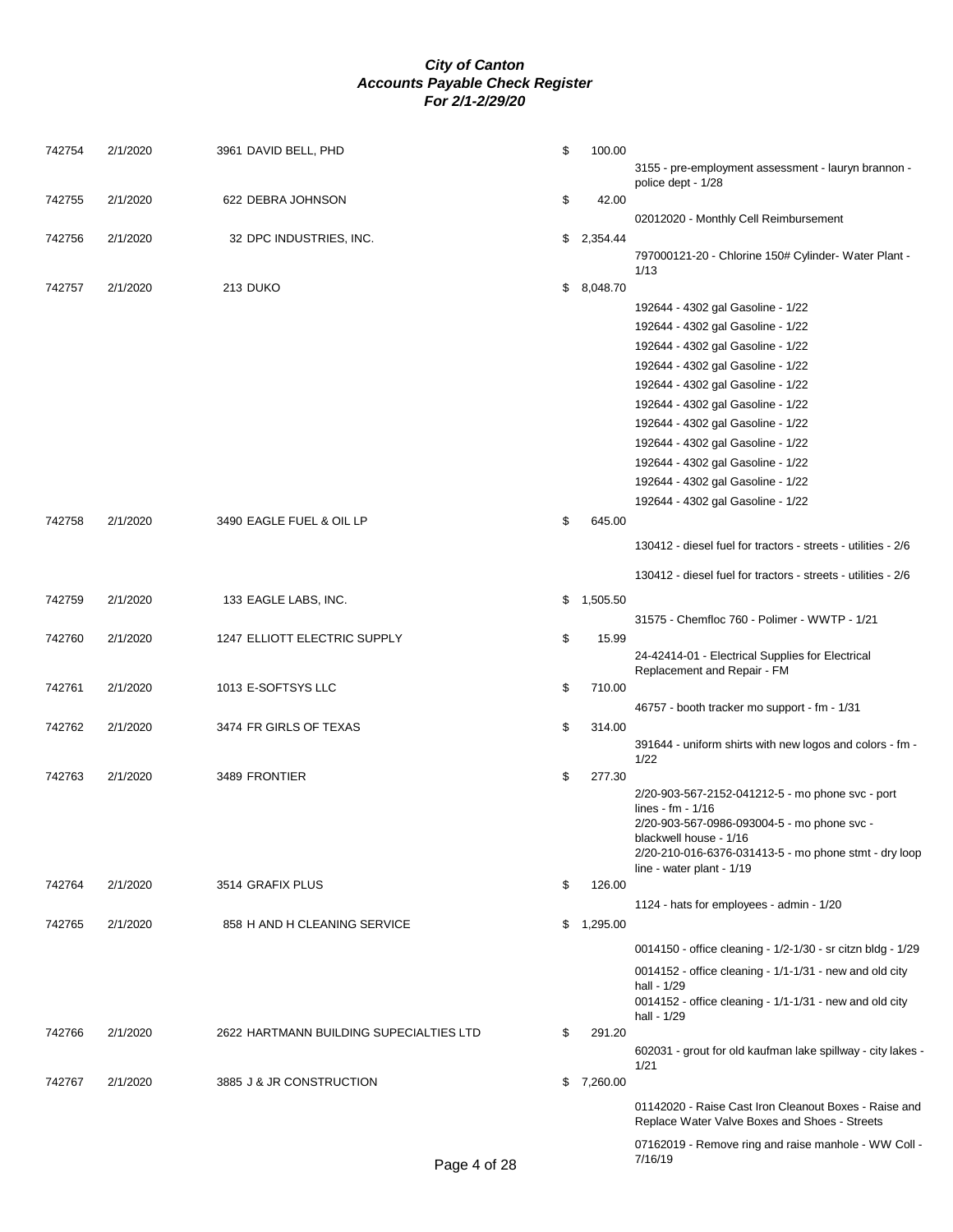| 742754 | 2/1/2020 | 3961 DAVID BELL, PHD                    | \$<br>100.00   | 3155 - pre-employment assessment - lauryn brannon -                                                                                                                                                                                    |
|--------|----------|-----------------------------------------|----------------|----------------------------------------------------------------------------------------------------------------------------------------------------------------------------------------------------------------------------------------|
| 742755 | 2/1/2020 | 622 DEBRA JOHNSON                       | \$<br>42.00    | police dept - 1/28                                                                                                                                                                                                                     |
|        |          |                                         |                | 02012020 - Monthly Cell Reimbursement                                                                                                                                                                                                  |
| 742756 | 2/1/2020 | 32 DPC INDUSTRIES, INC.                 | \$2,354.44     |                                                                                                                                                                                                                                        |
|        |          |                                         |                | 797000121-20 - Chlorine 150# Cylinder- Water Plant -<br>1/13                                                                                                                                                                           |
| 742757 | 2/1/2020 | 213 DUKO                                | \$8,048.70     |                                                                                                                                                                                                                                        |
|        |          |                                         |                | 192644 - 4302 gal Gasoline - 1/22                                                                                                                                                                                                      |
|        |          |                                         |                | 192644 - 4302 gal Gasoline - 1/22                                                                                                                                                                                                      |
|        |          |                                         |                | 192644 - 4302 gal Gasoline - 1/22                                                                                                                                                                                                      |
|        |          |                                         |                | 192644 - 4302 gal Gasoline - 1/22                                                                                                                                                                                                      |
|        |          |                                         |                | 192644 - 4302 gal Gasoline - 1/22                                                                                                                                                                                                      |
|        |          |                                         |                | 192644 - 4302 gal Gasoline - 1/22                                                                                                                                                                                                      |
|        |          |                                         |                | 192644 - 4302 gal Gasoline - 1/22                                                                                                                                                                                                      |
|        |          |                                         |                | 192644 - 4302 gal Gasoline - 1/22                                                                                                                                                                                                      |
|        |          |                                         |                | 192644 - 4302 gal Gasoline - 1/22                                                                                                                                                                                                      |
|        |          |                                         |                | 192644 - 4302 gal Gasoline - 1/22                                                                                                                                                                                                      |
|        |          |                                         |                | 192644 - 4302 gal Gasoline - 1/22                                                                                                                                                                                                      |
| 742758 | 2/1/2020 | 3490 EAGLE FUEL & OIL LP                | \$<br>645.00   |                                                                                                                                                                                                                                        |
|        |          |                                         |                | 130412 - diesel fuel for tractors - streets - utilities - 2/6                                                                                                                                                                          |
|        |          |                                         |                | 130412 - diesel fuel for tractors - streets - utilities - 2/6                                                                                                                                                                          |
| 742759 | 2/1/2020 | 133 EAGLE LABS, INC.                    | \$<br>1,505.50 |                                                                                                                                                                                                                                        |
|        |          |                                         |                | 31575 - Chemfloc 760 - Polimer - WWTP - 1/21                                                                                                                                                                                           |
| 742760 | 2/1/2020 | 1247 ELLIOTT ELECTRIC SUPPLY            | \$<br>15.99    |                                                                                                                                                                                                                                        |
|        |          |                                         |                | 24-42414-01 - Electrical Supplies for Electrical<br>Replacement and Repair - FM                                                                                                                                                        |
| 742761 | 2/1/2020 | 1013 E-SOFTSYS LLC                      | \$<br>710.00   |                                                                                                                                                                                                                                        |
|        |          |                                         |                | 46757 - booth tracker mo support - fm - 1/31                                                                                                                                                                                           |
| 742762 | 2/1/2020 | 3474 FR GIRLS OF TEXAS                  | \$<br>314.00   |                                                                                                                                                                                                                                        |
|        |          |                                         |                | 391644 - uniform shirts with new logos and colors - fm -<br>1/22                                                                                                                                                                       |
| 742763 | 2/1/2020 | 3489 FRONTIER                           | \$<br>277.30   |                                                                                                                                                                                                                                        |
|        |          |                                         |                | 2/20-903-567-2152-041212-5 - mo phone svc - port<br>lines - fm - $1/16$<br>2/20-903-567-0986-093004-5 - mo phone svc -<br>blackwell house - 1/16<br>2/20-210-016-6376-031413-5 - mo phone stmt - dry loop<br>line - water plant - 1/19 |
| 742764 | 2/1/2020 | 3514 GRAFIX PLUS                        | \$<br>126.00   |                                                                                                                                                                                                                                        |
|        |          |                                         |                | 1124 - hats for employees - admin - 1/20                                                                                                                                                                                               |
| 742765 | 2/1/2020 | 858 H AND H CLEANING SERVICE            | \$1,295.00     |                                                                                                                                                                                                                                        |
|        |          |                                         |                | 0014150 - office cleaning - 1/2-1/30 - sr citzn bldg - 1/29                                                                                                                                                                            |
|        |          |                                         |                | $0014152$ - office cleaning - $1/1-1/31$ - new and old city                                                                                                                                                                            |
|        |          |                                         |                | hall - 1/29<br>$0014152$ - office cleaning - $1/1-1/31$ - new and old city<br>hall - 1/29                                                                                                                                              |
| 742766 | 2/1/2020 | 2622 HARTMANN BUILDING SUPECIALTIES LTD | \$<br>291.20   |                                                                                                                                                                                                                                        |
|        |          |                                         |                | 602031 - grout for old kaufman lake spillway - city lakes ·<br>1/21                                                                                                                                                                    |
| 742767 | 2/1/2020 | 3885 J & JR CONSTRUCTION                | \$7,260.00     |                                                                                                                                                                                                                                        |
|        |          |                                         |                | 01142020 - Raise Cast Iron Cleanout Boxes - Raise and<br>Replace Water Valve Boxes and Shoes - Streets                                                                                                                                 |
|        |          |                                         |                | 07162019 - Remove ring and raise manhole - WW Coll -                                                                                                                                                                                   |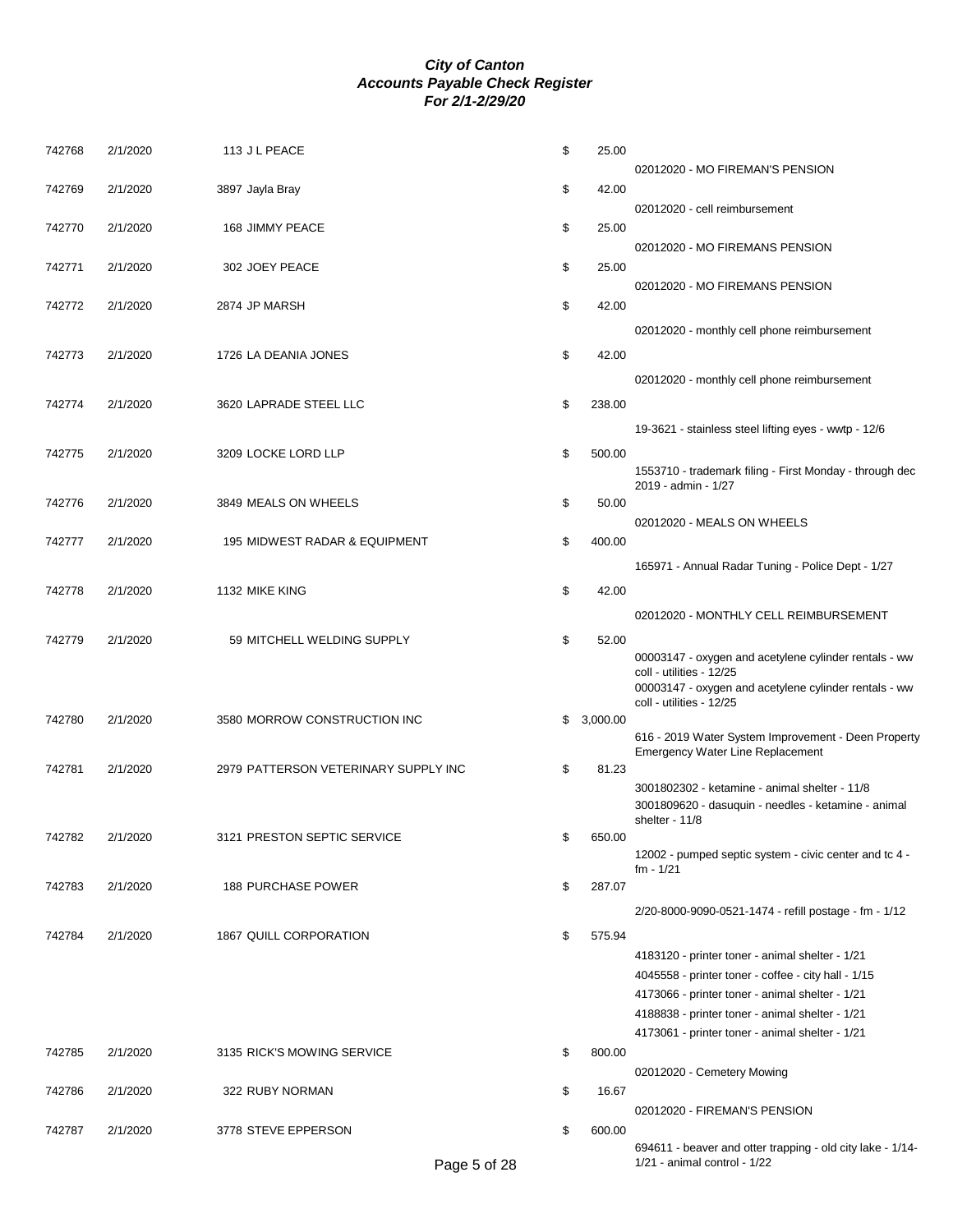| 742768 | 2/1/2020 | 113 J L PEACE                        | \$<br>25.00    |                                                                                                    |
|--------|----------|--------------------------------------|----------------|----------------------------------------------------------------------------------------------------|
|        |          | 3897 Jayla Bray                      | \$<br>42.00    | 02012020 - MO FIREMAN'S PENSION                                                                    |
| 742769 | 2/1/2020 |                                      |                | 02012020 - cell reimbursement                                                                      |
| 742770 | 2/1/2020 | 168 JIMMY PEACE                      | \$<br>25.00    |                                                                                                    |
|        |          |                                      |                | 02012020 - MO FIREMANS PENSION                                                                     |
| 742771 | 2/1/2020 | 302 JOEY PEACE                       | \$<br>25.00    |                                                                                                    |
|        |          |                                      |                | 02012020 - MO FIREMANS PENSION                                                                     |
| 742772 | 2/1/2020 | 2874 JP MARSH                        | \$<br>42.00    |                                                                                                    |
|        |          |                                      |                | 02012020 - monthly cell phone reimbursement                                                        |
| 742773 | 2/1/2020 | 1726 LA DEANIA JONES                 | \$<br>42.00    |                                                                                                    |
|        |          |                                      |                | 02012020 - monthly cell phone reimbursement                                                        |
| 742774 | 2/1/2020 | 3620 LAPRADE STEEL LLC               | \$<br>238.00   |                                                                                                    |
|        |          |                                      |                | 19-3621 - stainless steel lifting eyes - wwtp - 12/6                                               |
| 742775 | 2/1/2020 | 3209 LOCKE LORD LLP                  | \$<br>500.00   |                                                                                                    |
|        |          |                                      |                | 1553710 - trademark filing - First Monday - through dec                                            |
|        |          |                                      |                | 2019 - admin - 1/27                                                                                |
| 742776 | 2/1/2020 | 3849 MEALS ON WHEELS                 | \$<br>50.00    | 02012020 - MEALS ON WHEELS                                                                         |
| 742777 | 2/1/2020 | 195 MIDWEST RADAR & EQUIPMENT        | \$<br>400.00   |                                                                                                    |
|        |          |                                      |                | 165971 - Annual Radar Tuning - Police Dept - 1/27                                                  |
|        |          |                                      |                |                                                                                                    |
| 742778 | 2/1/2020 | 1132 MIKE KING                       | \$<br>42.00    |                                                                                                    |
|        |          |                                      |                | 02012020 - MONTHLY CELL REIMBURSEMENT                                                              |
| 742779 | 2/1/2020 | 59 MITCHELL WELDING SUPPLY           | \$<br>52.00    |                                                                                                    |
|        |          |                                      |                | 00003147 - oxygen and acetylene cylinder rentals - ww<br>coll - utilities - 12/25                  |
|        |          |                                      |                | 00003147 - oxygen and acetylene cylinder rentals - ww                                              |
| 742780 | 2/1/2020 | 3580 MORROW CONSTRUCTION INC         | \$<br>3,000.00 | coll - utilities - 12/25                                                                           |
|        |          |                                      |                | 616 - 2019 Water System Improvement - Deen Property                                                |
|        |          | 2979 PATTERSON VETERINARY SUPPLY INC |                | <b>Emergency Water Line Replacement</b>                                                            |
| 742781 | 2/1/2020 |                                      | \$<br>81.23    | 3001802302 - ketamine - animal shelter - 11/8                                                      |
|        |          |                                      |                | 3001809620 - dasuquin - needles - ketamine - animal                                                |
|        |          |                                      |                | shelter - $11/8$                                                                                   |
| 742782 | 2/1/2020 | 3121 PRESTON SEPTIC SERVICE          | \$<br>650.00   | 12002 - pumped septic system - civic center and tc 4 -                                             |
|        |          |                                      |                | $fm - 1/21$                                                                                        |
| 742783 | 2/1/2020 | <b>188 PURCHASE POWER</b>            | \$<br>287.07   |                                                                                                    |
|        |          |                                      |                | 2/20-8000-9090-0521-1474 - refill postage - fm - 1/12                                              |
| 742784 | 2/1/2020 | 1867 QUILL CORPORATION               | \$<br>575.94   |                                                                                                    |
|        |          |                                      |                | 4183120 - printer toner - animal shelter - 1/21                                                    |
|        |          |                                      |                | 4045558 - printer toner - coffee - city hall - 1/15                                                |
|        |          |                                      |                | 4173066 - printer toner - animal shelter - 1/21<br>4188838 - printer toner - animal shelter - 1/21 |
|        |          |                                      |                | 4173061 - printer toner - animal shelter - 1/21                                                    |
| 742785 | 2/1/2020 | 3135 RICK'S MOWING SERVICE           | \$<br>800.00   |                                                                                                    |
|        |          |                                      |                | 02012020 - Cemetery Mowing                                                                         |
| 742786 | 2/1/2020 | 322 RUBY NORMAN                      | \$<br>16.67    |                                                                                                    |
|        |          |                                      |                | 02012020 - FIREMAN'S PENSION                                                                       |
| 742787 | 2/1/2020 | 3778 STEVE EPPERSON                  | \$<br>600.00   | 694611 - beaver and otter trapping - old city lake - 1/14-                                         |
|        |          |                                      |                |                                                                                                    |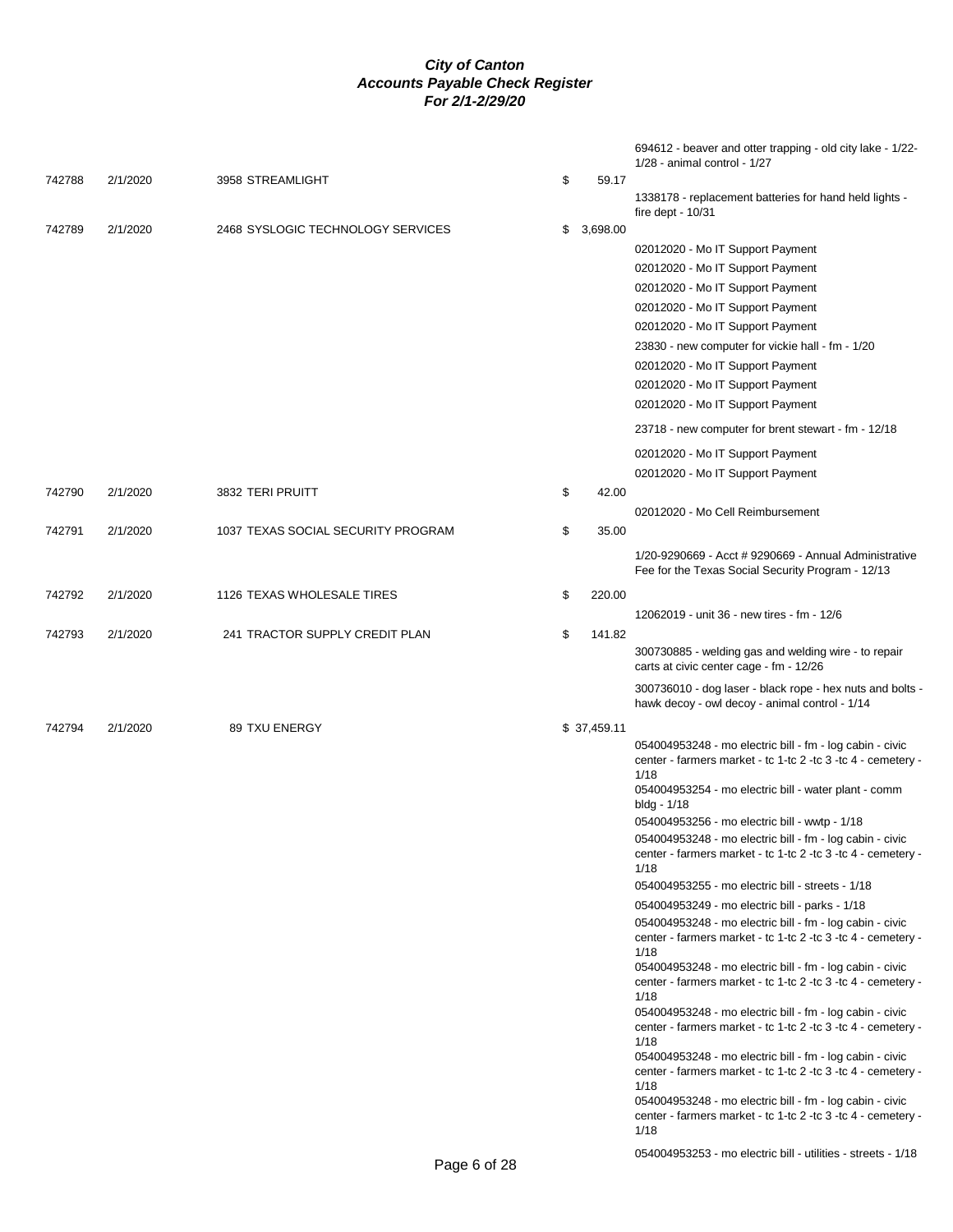|        |          |                                    |              | 694612 - beaver and otter trapping - old city lake - 1/22-<br>$1/28$ - animal control - $1/27$                                                                                                                                                                       |
|--------|----------|------------------------------------|--------------|----------------------------------------------------------------------------------------------------------------------------------------------------------------------------------------------------------------------------------------------------------------------|
| 742788 | 2/1/2020 | 3958 STREAMLIGHT                   | \$<br>59.17  |                                                                                                                                                                                                                                                                      |
|        |          |                                    |              | 1338178 - replacement batteries for hand held lights -<br>fire dept - $10/31$                                                                                                                                                                                        |
| 742789 | 2/1/2020 | 2468 SYSLOGIC TECHNOLOGY SERVICES  | \$3,698.00   |                                                                                                                                                                                                                                                                      |
|        |          |                                    |              | 02012020 - Mo IT Support Payment                                                                                                                                                                                                                                     |
|        |          |                                    |              | 02012020 - Mo IT Support Payment                                                                                                                                                                                                                                     |
|        |          |                                    |              | 02012020 - Mo IT Support Payment                                                                                                                                                                                                                                     |
|        |          |                                    |              | 02012020 - Mo IT Support Payment                                                                                                                                                                                                                                     |
|        |          |                                    |              | 02012020 - Mo IT Support Payment                                                                                                                                                                                                                                     |
|        |          |                                    |              | 23830 - new computer for vickie hall - fm - 1/20                                                                                                                                                                                                                     |
|        |          |                                    |              | 02012020 - Mo IT Support Payment                                                                                                                                                                                                                                     |
|        |          |                                    |              | 02012020 - Mo IT Support Payment                                                                                                                                                                                                                                     |
|        |          |                                    |              | 02012020 - Mo IT Support Payment                                                                                                                                                                                                                                     |
|        |          |                                    |              | 23718 - new computer for brent stewart - fm - 12/18                                                                                                                                                                                                                  |
|        |          |                                    |              | 02012020 - Mo IT Support Payment                                                                                                                                                                                                                                     |
|        |          |                                    |              | 02012020 - Mo IT Support Payment                                                                                                                                                                                                                                     |
| 742790 | 2/1/2020 | 3832 TERI PRUITT                   | \$<br>42.00  |                                                                                                                                                                                                                                                                      |
|        |          |                                    |              | 02012020 - Mo Cell Reimbursement                                                                                                                                                                                                                                     |
| 742791 | 2/1/2020 | 1037 TEXAS SOCIAL SECURITY PROGRAM | \$<br>35.00  |                                                                                                                                                                                                                                                                      |
|        |          |                                    |              | 1/20-9290669 - Acct # 9290669 - Annual Administrative<br>Fee for the Texas Social Security Program - 12/13                                                                                                                                                           |
| 742792 | 2/1/2020 | 1126 TEXAS WHOLESALE TIRES         | \$<br>220.00 |                                                                                                                                                                                                                                                                      |
|        |          |                                    |              | 12062019 - unit 36 - new tires - fm - 12/6                                                                                                                                                                                                                           |
| 742793 | 2/1/2020 | 241 TRACTOR SUPPLY CREDIT PLAN     | \$<br>141.82 |                                                                                                                                                                                                                                                                      |
|        |          |                                    |              | 300730885 - welding gas and welding wire - to repair<br>carts at civic center cage - fm - 12/26                                                                                                                                                                      |
|        |          |                                    |              | 300736010 - dog laser - black rope - hex nuts and bolts -<br>hawk decoy - owl decoy - animal control - 1/14                                                                                                                                                          |
| 742794 | 2/1/2020 | 89 TXU ENERGY                      | \$37,459.11  |                                                                                                                                                                                                                                                                      |
|        |          |                                    |              | 054004953248 - mo electric bill - fm - log cabin - civic<br>center - farmers market - tc 1-tc 2 -tc 3 -tc 4 - cemetery -<br>1/18<br>054004953254 - mo electric bill - water plant - comm<br>bldg - 1/18                                                              |
|        |          |                                    |              | 054004953256 - mo electric bill - wwtp - 1/18                                                                                                                                                                                                                        |
|        |          |                                    |              | 054004953248 - mo electric bill - fm - log cabin - civic<br>center - farmers market - tc 1-tc 2 -tc 3 -tc 4 - cemetery -                                                                                                                                             |
|        |          |                                    |              | 1/18<br>054004953255 - mo electric bill - streets - 1/18                                                                                                                                                                                                             |
|        |          |                                    |              |                                                                                                                                                                                                                                                                      |
|        |          |                                    |              | 054004953249 - mo electric bill - parks - 1/18<br>054004953248 - mo electric bill - fm - log cabin - civic                                                                                                                                                           |
|        |          |                                    |              | center - farmers market - tc 1-tc 2 -tc 3 -tc 4 - cemetery -                                                                                                                                                                                                         |
|        |          |                                    |              | 1/18<br>054004953248 - mo electric bill - fm - log cabin - civic<br>center - farmers market - tc 1-tc 2 -tc 3 -tc 4 - cemetery -                                                                                                                                     |
|        |          |                                    |              | 1/18<br>054004953248 - mo electric bill - fm - log cabin - civic<br>center - farmers market - tc 1-tc 2 -tc 3 -tc 4 - cemetery -<br>1/18<br>054004953248 - mo electric bill - fm - log cabin - civic<br>center - farmers market - tc 1-tc 2 -tc 3 -tc 4 - cemetery - |
|        |          |                                    |              | 1/18<br>054004953248 - mo electric bill - fm - log cabin - civic<br>center - farmers market - tc 1-tc 2 -tc 3 -tc 4 - cemetery -<br>1/18                                                                                                                             |
|        |          |                                    |              | 054004953253 - mo electric bill - utilities - streets - 1/18                                                                                                                                                                                                         |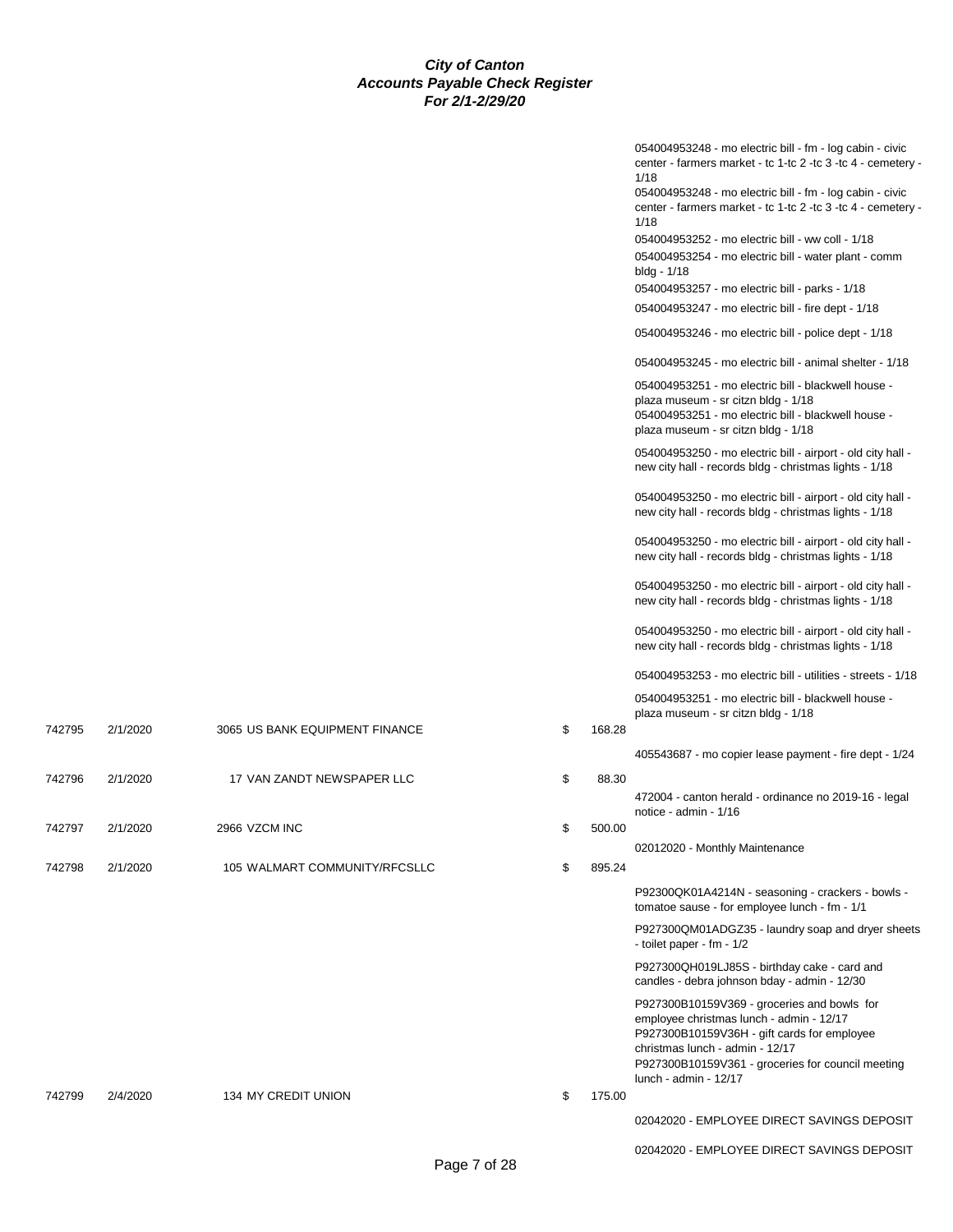|        |          |                                |    |        | 054004953248 - mo electric bill - fm - log cabin - civic<br>center - farmers market - tc 1-tc 2 -tc 3 -tc 4 - cemetery -<br>1/18<br>054004953248 - mo electric bill - fm - log cabin - civic<br>center - farmers market - tc 1-tc 2 -tc 3 -tc 4 - cemetery -<br>1/18<br>054004953252 - mo electric bill - ww coll - 1/18<br>054004953254 - mo electric bill - water plant - comm<br>bldg - 1/18<br>054004953257 - mo electric bill - parks - 1/18<br>054004953247 - mo electric bill - fire dept - 1/18<br>054004953246 - mo electric bill - police dept - 1/18<br>054004953245 - mo electric bill - animal shelter - 1/18<br>054004953251 - mo electric bill - blackwell house -<br>plaza museum - sr citzn bldg - 1/18<br>054004953251 - mo electric bill - blackwell house -<br>plaza museum - sr citzn bldg - 1/18<br>054004953250 - mo electric bill - airport - old city hall -<br>new city hall - records bldg - christmas lights - 1/18<br>054004953250 - mo electric bill - airport - old city hall -<br>new city hall - records bldg - christmas lights - 1/18<br>054004953250 - mo electric bill - airport - old city hall -<br>new city hall - records bldg - christmas lights - 1/18 |
|--------|----------|--------------------------------|----|--------|---------------------------------------------------------------------------------------------------------------------------------------------------------------------------------------------------------------------------------------------------------------------------------------------------------------------------------------------------------------------------------------------------------------------------------------------------------------------------------------------------------------------------------------------------------------------------------------------------------------------------------------------------------------------------------------------------------------------------------------------------------------------------------------------------------------------------------------------------------------------------------------------------------------------------------------------------------------------------------------------------------------------------------------------------------------------------------------------------------------------------------------------------------------------------------------------------|
|        |          |                                |    |        | 054004953250 - mo electric bill - airport - old city hall -<br>new city hall - records bldg - christmas lights - 1/18                                                                                                                                                                                                                                                                                                                                                                                                                                                                                                                                                                                                                                                                                                                                                                                                                                                                                                                                                                                                                                                                             |
|        |          |                                |    |        | 054004953250 - mo electric bill - airport - old city hall -<br>new city hall - records bldg - christmas lights - 1/18                                                                                                                                                                                                                                                                                                                                                                                                                                                                                                                                                                                                                                                                                                                                                                                                                                                                                                                                                                                                                                                                             |
|        |          |                                |    |        | 054004953253 - mo electric bill - utilities - streets - 1/18                                                                                                                                                                                                                                                                                                                                                                                                                                                                                                                                                                                                                                                                                                                                                                                                                                                                                                                                                                                                                                                                                                                                      |
|        |          |                                |    |        | 054004953251 - mo electric bill - blackwell house -<br>plaza museum - sr citzn bldg - 1/18                                                                                                                                                                                                                                                                                                                                                                                                                                                                                                                                                                                                                                                                                                                                                                                                                                                                                                                                                                                                                                                                                                        |
| 742795 | 2/1/2020 | 3065 US BANK EQUIPMENT FINANCE | \$ | 168.28 |                                                                                                                                                                                                                                                                                                                                                                                                                                                                                                                                                                                                                                                                                                                                                                                                                                                                                                                                                                                                                                                                                                                                                                                                   |
|        |          |                                |    |        | 405543687 - mo copier lease payment - fire dept - 1/24                                                                                                                                                                                                                                                                                                                                                                                                                                                                                                                                                                                                                                                                                                                                                                                                                                                                                                                                                                                                                                                                                                                                            |
| 742796 | 2/1/2020 | 17 VAN ZANDT NEWSPAPER LLC     | \$ | 88.30  | 472004 - canton herald - ordinance no 2019-16 - legal<br>notice - admin - 1/16                                                                                                                                                                                                                                                                                                                                                                                                                                                                                                                                                                                                                                                                                                                                                                                                                                                                                                                                                                                                                                                                                                                    |
| 742797 | 2/1/2020 | 2966 VZCM INC                  | \$ | 500.00 |                                                                                                                                                                                                                                                                                                                                                                                                                                                                                                                                                                                                                                                                                                                                                                                                                                                                                                                                                                                                                                                                                                                                                                                                   |
| 742798 | 2/1/2020 | 105 WALMART COMMUNITY/RFCSLLC  | \$ | 895.24 | 02012020 - Monthly Maintenance                                                                                                                                                                                                                                                                                                                                                                                                                                                                                                                                                                                                                                                                                                                                                                                                                                                                                                                                                                                                                                                                                                                                                                    |
|        |          |                                |    |        | P92300QK01A4214N - seasoning - crackers - bowls -<br>tomatoe sause - for employee lunch - fm - 1/1                                                                                                                                                                                                                                                                                                                                                                                                                                                                                                                                                                                                                                                                                                                                                                                                                                                                                                                                                                                                                                                                                                |
|        |          |                                |    |        | P927300QM01ADGZ35 - laundry soap and dryer sheets<br>- toilet paper - fm - 1/2                                                                                                                                                                                                                                                                                                                                                                                                                                                                                                                                                                                                                                                                                                                                                                                                                                                                                                                                                                                                                                                                                                                    |
|        |          |                                |    |        | P927300QH019LJ85S - birthday cake - card and<br>candles - debra johnson bday - admin - 12/30                                                                                                                                                                                                                                                                                                                                                                                                                                                                                                                                                                                                                                                                                                                                                                                                                                                                                                                                                                                                                                                                                                      |
|        |          |                                |    |        | P927300B10159V369 - groceries and bowls for<br>employee christmas lunch - admin - 12/17<br>P927300B10159V36H - gift cards for employee<br>christmas lunch - admin - 12/17<br>P927300B10159V361 - groceries for council meeting<br>lunch - admin - 12/17                                                                                                                                                                                                                                                                                                                                                                                                                                                                                                                                                                                                                                                                                                                                                                                                                                                                                                                                           |
| 742799 | 2/4/2020 | 134 MY CREDIT UNION            | \$ | 175.00 |                                                                                                                                                                                                                                                                                                                                                                                                                                                                                                                                                                                                                                                                                                                                                                                                                                                                                                                                                                                                                                                                                                                                                                                                   |
|        |          |                                |    |        | 02042020 - EMPLOYEE DIRECT SAVINGS DEPOSIT                                                                                                                                                                                                                                                                                                                                                                                                                                                                                                                                                                                                                                                                                                                                                                                                                                                                                                                                                                                                                                                                                                                                                        |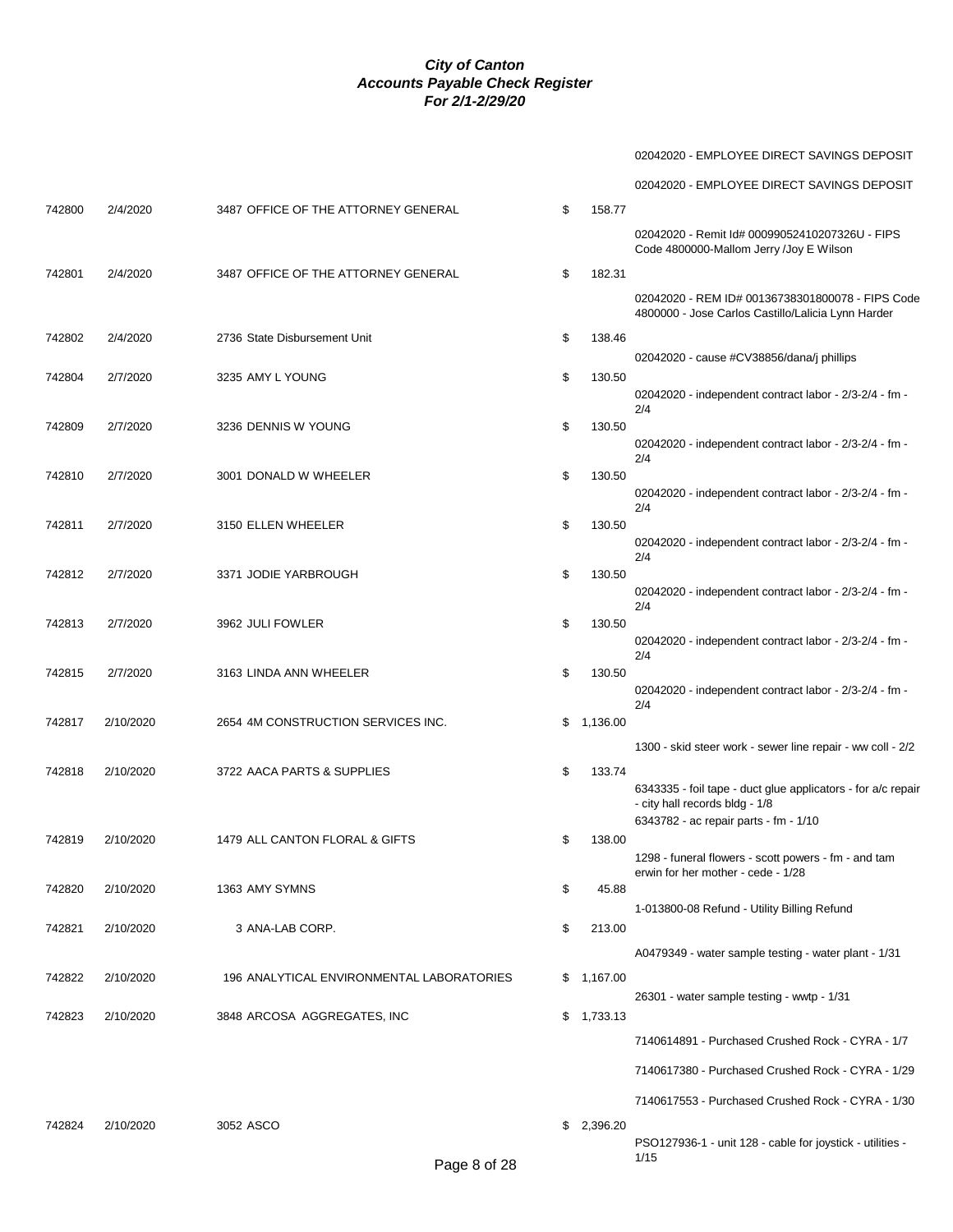02042020 - EMPLOYEE DIRECT SAVINGS DEPOSIT

|        |           |                                           |              |            | 02042020 - EMPLOYEE DIRECT SAVINGS DEPOSIT                                                             |
|--------|-----------|-------------------------------------------|--------------|------------|--------------------------------------------------------------------------------------------------------|
| 742800 | 2/4/2020  | 3487 OFFICE OF THE ATTORNEY GENERAL       | \$           | 158.77     |                                                                                                        |
|        |           |                                           |              |            | 02042020 - Remit Id# 00099052410207326U - FIPS<br>Code 4800000-Mallom Jerry /Joy E Wilson              |
| 742801 | 2/4/2020  | 3487 OFFICE OF THE ATTORNEY GENERAL       | \$           | 182.31     |                                                                                                        |
|        |           |                                           |              |            | 02042020 - REM ID# 00136738301800078 - FIPS Code<br>4800000 - Jose Carlos Castillo/Lalicia Lynn Harder |
| 742802 | 2/4/2020  | 2736 State Disbursement Unit              | \$           | 138.46     |                                                                                                        |
|        |           |                                           |              |            | 02042020 - cause #CV38856/dana/j phillips                                                              |
| 742804 | 2/7/2020  | 3235 AMY L YOUNG                          | \$           | 130.50     | 02042020 - independent contract labor - 2/3-2/4 - fm -                                                 |
|        |           |                                           |              |            | 2/4                                                                                                    |
| 742809 | 2/7/2020  | 3236 DENNIS W YOUNG                       | \$           | 130.50     |                                                                                                        |
|        |           |                                           |              |            | 02042020 - independent contract labor - 2/3-2/4 - fm -<br>2/4                                          |
| 742810 | 2/7/2020  | 3001 DONALD W WHEELER                     | \$           | 130.50     |                                                                                                        |
|        |           |                                           |              |            | 02042020 - independent contract labor - 2/3-2/4 - fm -<br>2/4                                          |
| 742811 | 2/7/2020  | 3150 ELLEN WHEELER                        | \$           | 130.50     |                                                                                                        |
|        |           |                                           |              |            | 02042020 - independent contract labor - 2/3-2/4 - fm -                                                 |
| 742812 | 2/7/2020  | 3371 JODIE YARBROUGH                      | \$           | 130.50     | 2/4                                                                                                    |
|        |           |                                           |              |            | 02042020 - independent contract labor - 2/3-2/4 - fm -                                                 |
|        |           |                                           |              |            | 2/4                                                                                                    |
| 742813 | 2/7/2020  | 3962 JULI FOWLER                          | \$           | 130.50     | 02042020 - independent contract labor - 2/3-2/4 - fm -                                                 |
|        |           |                                           |              |            | 2/4                                                                                                    |
| 742815 | 2/7/2020  | 3163 LINDA ANN WHEELER                    | \$           | 130.50     | 02042020 - independent contract labor - 2/3-2/4 - fm -                                                 |
|        |           |                                           |              |            | 2/4                                                                                                    |
| 742817 | 2/10/2020 | 2654 4M CONSTRUCTION SERVICES INC.        |              | \$1,136.00 |                                                                                                        |
|        |           |                                           |              |            | 1300 - skid steer work - sewer line repair - ww coll - 2/2                                             |
| 742818 | 2/10/2020 | 3722 AACA PARTS & SUPPLIES                | \$           | 133.74     |                                                                                                        |
|        |           |                                           |              |            | 6343335 - foil tape - duct glue applicators - for a/c repair<br>- city hall records bldg - 1/8         |
|        |           |                                           |              |            | 6343782 - ac repair parts - fm - 1/10                                                                  |
| 742819 | 2/10/2020 | 1479 ALL CANTON FLORAL & GIFTS            | \$           | 138.00     |                                                                                                        |
|        |           |                                           |              |            | 1298 - funeral flowers - scott powers - fm - and tam<br>erwin for her mother - cede - 1/28             |
| 742820 | 2/10/2020 | 1363 AMY SYMNS                            | \$           | 45.88      |                                                                                                        |
|        |           |                                           |              |            | 1-013800-08 Refund - Utility Billing Refund                                                            |
| 742821 | 2/10/2020 | 3 ANA-LAB CORP.                           | \$           | 213.00     |                                                                                                        |
|        |           |                                           |              |            | A0479349 - water sample testing - water plant - 1/31                                                   |
| 742822 | 2/10/2020 | 196 ANALYTICAL ENVIRONMENTAL LABORATORIES |              | \$1,167.00 |                                                                                                        |
|        |           |                                           |              |            | 26301 - water sample testing - wwtp - 1/31                                                             |
| 742823 | 2/10/2020 | 3848 ARCOSA AGGREGATES, INC               |              | \$1,733.13 |                                                                                                        |
|        |           |                                           |              |            | 7140614891 - Purchased Crushed Rock - CYRA - 1/7                                                       |
|        |           |                                           |              |            | 7140617380 - Purchased Crushed Rock - CYRA - 1/29                                                      |
|        |           |                                           |              |            | 7140617553 - Purchased Crushed Rock - CYRA - 1/30                                                      |
| 742824 | 2/10/2020 | 3052 ASCO                                 |              | \$2,396.20 |                                                                                                        |
|        |           |                                           |              |            | PSO127936-1 - unit 128 - cable for joystick - utilities -                                              |
|        |           |                                           | Page 8 of 28 |            | 1/15                                                                                                   |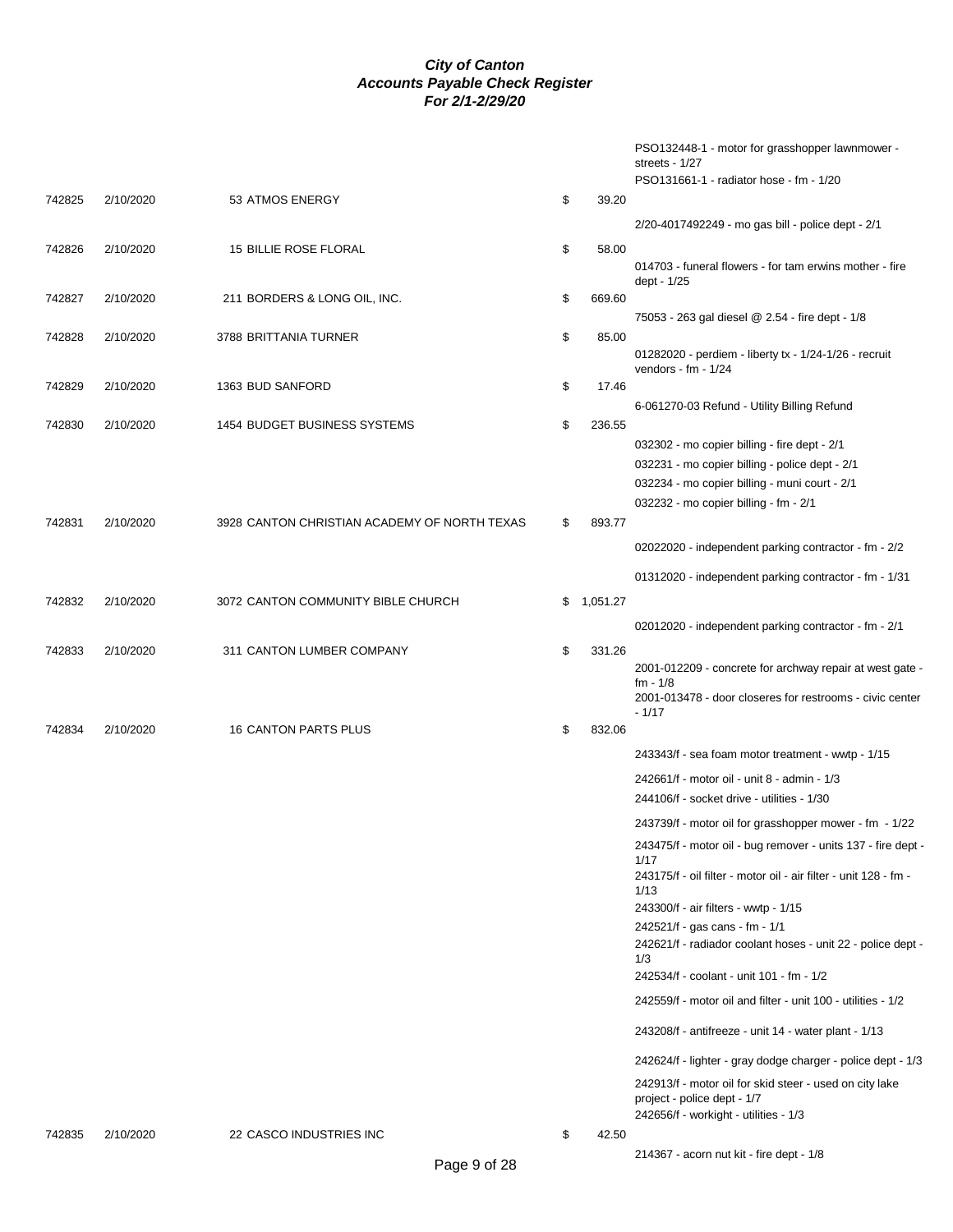|        |           |                                              |              | PSO132448-1 - motor for grasshopper lawnmower -<br>streets - 1/27<br>PSO131661-1 - radiator hose - fm - 1/20 |
|--------|-----------|----------------------------------------------|--------------|--------------------------------------------------------------------------------------------------------------|
| 742825 | 2/10/2020 | 53 ATMOS ENERGY                              | \$<br>39.20  |                                                                                                              |
|        |           |                                              |              | 2/20-4017492249 - mo gas bill - police dept - 2/1                                                            |
| 742826 | 2/10/2020 | <b>15 BILLIE ROSE FLORAL</b>                 | \$<br>58.00  |                                                                                                              |
|        |           |                                              |              | 014703 - funeral flowers - for tam erwins mother - fire<br>dept - 1/25                                       |
| 742827 | 2/10/2020 | 211 BORDERS & LONG OIL, INC.                 | \$<br>669.60 |                                                                                                              |
| 742828 | 2/10/2020 | 3788 BRITTANIA TURNER                        | \$<br>85.00  | 75053 - 263 gal diesel @ 2.54 - fire dept - 1/8                                                              |
|        |           |                                              |              | 01282020 - perdiem - liberty tx - 1/24-1/26 - recruit<br>vendors - $fm - 1/24$                               |
| 742829 | 2/10/2020 | 1363 BUD SANFORD                             | \$<br>17.46  |                                                                                                              |
|        |           |                                              |              | 6-061270-03 Refund - Utility Billing Refund                                                                  |
| 742830 | 2/10/2020 | 1454 BUDGET BUSINESS SYSTEMS                 | \$<br>236.55 | 032302 - mo copier billing - fire dept - 2/1                                                                 |
|        |           |                                              |              | 032231 - mo copier billing - police dept - 2/1                                                               |
|        |           |                                              |              | 032234 - mo copier billing - muni court - 2/1                                                                |
|        |           |                                              |              | 032232 - mo copier billing - fm - 2/1                                                                        |
| 742831 | 2/10/2020 | 3928 CANTON CHRISTIAN ACADEMY OF NORTH TEXAS | \$<br>893.77 |                                                                                                              |
|        |           |                                              |              | 02022020 - independent parking contractor - fm - 2/2                                                         |
|        |           |                                              |              | 01312020 - independent parking contractor - fm - 1/31                                                        |
| 742832 | 2/10/2020 | 3072 CANTON COMMUNITY BIBLE CHURCH           | \$1,051.27   |                                                                                                              |
|        |           |                                              |              | 02012020 - independent parking contractor - fm - 2/1                                                         |
| 742833 | 2/10/2020 | 311 CANTON LUMBER COMPANY                    | \$<br>331.26 |                                                                                                              |
|        |           |                                              |              | 2001-012209 - concrete for archway repair at west gate -<br>$fm - 1/8$                                       |
|        |           |                                              |              | 2001-013478 - door closeres for restrooms - civic center<br>$-1/17$                                          |
| 742834 | 2/10/2020 | 16 CANTON PARTS PLUS                         | \$<br>832.06 |                                                                                                              |
|        |           |                                              |              | 243343/f - sea foam motor treatment - wwtp - 1/15                                                            |
|        |           |                                              |              | 242661/f - motor oil - unit 8 - admin - 1/3                                                                  |
|        |           |                                              |              | 244106/f - socket drive - utilities - 1/30                                                                   |
|        |           |                                              |              | 243739/f - motor oil for grasshopper mower - fm - 1/22                                                       |
|        |           |                                              |              | 243475/f - motor oil - bug remover - units 137 - fire dept -<br>1/17                                         |
|        |           |                                              |              | 243175/f - oil filter - motor oil - air filter - unit 128 - fm -<br>1/13                                     |
|        |           |                                              |              | 243300/f - air filters - wwtp - 1/15<br>242521/f - gas cans - fm - 1/1                                       |
|        |           |                                              |              | 242621/f - radiador coolant hoses - unit 22 - police dept -<br>1/3                                           |
|        |           |                                              |              | 242534/f - coolant - unit 101 - fm - 1/2                                                                     |
|        |           |                                              |              | 242559/f - motor oil and filter - unit 100 - utilities - 1/2                                                 |
|        |           |                                              |              | 243208/f - antifreeze - unit 14 - water plant - 1/13                                                         |
|        |           |                                              |              | 242624/f - lighter - gray dodge charger - police dept - 1/3                                                  |
|        |           |                                              |              | 242913/f - motor oil for skid steer - used on city lake<br>project - police dept - 1/7                       |
|        |           |                                              |              | 242656/f - workight - utilities - 1/3                                                                        |
| 742835 | 2/10/2020 | 22 CASCO INDUSTRIES INC                      | \$<br>42.50  |                                                                                                              |
|        |           |                                              |              | 214367 - acorn nut kit - fire dept - 1/8                                                                     |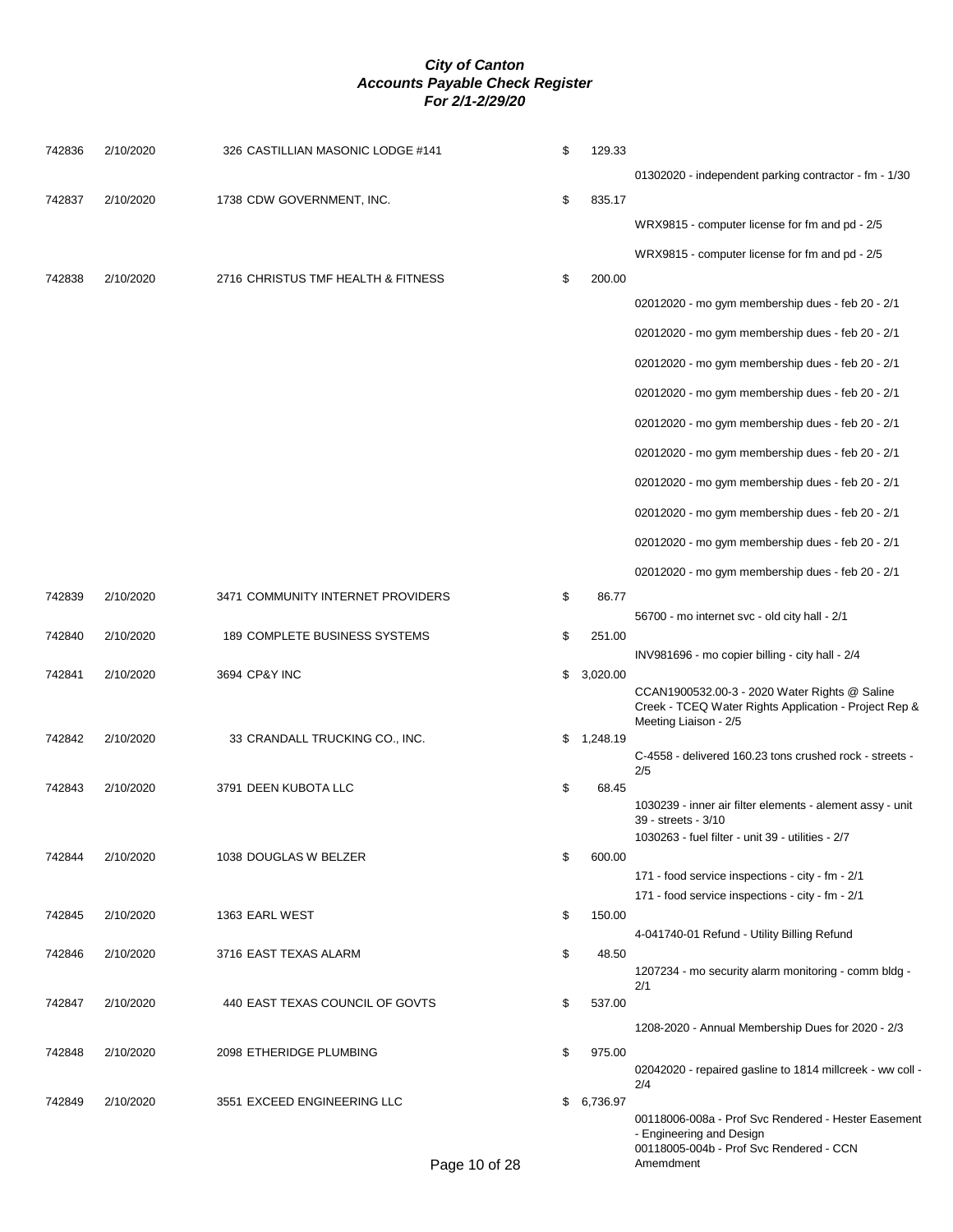| 742836 | 2/10/2020 | 326 CASTILLIAN MASONIC LODGE #141  | \$<br>129.33   |                                                                                                                                       |
|--------|-----------|------------------------------------|----------------|---------------------------------------------------------------------------------------------------------------------------------------|
|        |           |                                    |                | 01302020 - independent parking contractor - fm - 1/30                                                                                 |
| 742837 | 2/10/2020 | 1738 CDW GOVERNMENT, INC.          | \$<br>835.17   |                                                                                                                                       |
|        |           |                                    |                | WRX9815 - computer license for fm and pd - 2/5                                                                                        |
|        |           |                                    |                | WRX9815 - computer license for fm and pd - 2/5                                                                                        |
| 742838 | 2/10/2020 | 2716 CHRISTUS TMF HEALTH & FITNESS | \$<br>200.00   |                                                                                                                                       |
|        |           |                                    |                | 02012020 - mo gym membership dues - feb 20 - 2/1                                                                                      |
|        |           |                                    |                | 02012020 - mo gym membership dues - feb 20 - 2/1                                                                                      |
|        |           |                                    |                | 02012020 - mo gym membership dues - feb 20 - 2/1                                                                                      |
|        |           |                                    |                | 02012020 - mo gym membership dues - feb 20 - 2/1                                                                                      |
|        |           |                                    |                | 02012020 - mo gym membership dues - feb 20 - 2/1                                                                                      |
|        |           |                                    |                | 02012020 - mo gym membership dues - feb 20 - 2/1                                                                                      |
|        |           |                                    |                | 02012020 - mo gym membership dues - feb 20 - 2/1                                                                                      |
|        |           |                                    |                | 02012020 - mo gym membership dues - feb 20 - 2/1                                                                                      |
|        |           |                                    |                |                                                                                                                                       |
|        |           |                                    |                | 02012020 - mo gym membership dues - feb 20 - 2/1                                                                                      |
| 742839 | 2/10/2020 | 3471 COMMUNITY INTERNET PROVIDERS  | \$<br>86.77    | 02012020 - mo gym membership dues - feb 20 - 2/1                                                                                      |
|        |           |                                    |                | 56700 - mo internet svc - old city hall - 2/1                                                                                         |
| 742840 | 2/10/2020 | 189 COMPLETE BUSINESS SYSTEMS      | \$<br>251.00   |                                                                                                                                       |
|        |           |                                    |                | INV981696 - mo copier billing - city hall - 2/4                                                                                       |
| 742841 | 2/10/2020 | 3694 CP&Y INC                      | \$<br>3,020.00 | CCAN1900532.00-3 - 2020 Water Rights @ Saline<br>Creek - TCEQ Water Rights Application - Project Rep &<br>Meeting Liaison - 2/5       |
| 742842 | 2/10/2020 | 33 CRANDALL TRUCKING CO., INC.     | \$1,248.19     |                                                                                                                                       |
|        |           |                                    |                | C-4558 - delivered 160.23 tons crushed rock - streets -<br>2/5                                                                        |
| 742843 | 2/10/2020 | 3791 DEEN KUBOTA LLC               | \$<br>68.45    | 1030239 - inner air filter elements - alement assy - unit<br>39 - streets - 3/10<br>1030263 - fuel filter - unit 39 - utilities - 2/7 |
| 742844 | 2/10/2020 | 1038 DOUGLAS W BELZER              | \$<br>600.00   |                                                                                                                                       |
|        |           |                                    |                | 171 - food service inspections - city - fm - 2/1                                                                                      |
|        |           |                                    |                | 171 - food service inspections - city - fm - 2/1                                                                                      |
| 742845 | 2/10/2020 | 1363 EARL WEST                     | \$<br>150.00   | 4-041740-01 Refund - Utility Billing Refund                                                                                           |
| 742846 | 2/10/2020 | 3716 EAST TEXAS ALARM              | \$<br>48.50    |                                                                                                                                       |
|        |           |                                    |                | 1207234 - mo security alarm monitoring - comm bldg -<br>2/1                                                                           |
| 742847 | 2/10/2020 | 440 EAST TEXAS COUNCIL OF GOVTS    | \$<br>537.00   |                                                                                                                                       |
|        |           |                                    |                | 1208-2020 - Annual Membership Dues for 2020 - 2/3                                                                                     |
| 742848 | 2/10/2020 | 2098 ETHERIDGE PLUMBING            | \$<br>975.00   | 02042020 - repaired gasline to 1814 millcreek - ww coll -<br>2/4                                                                      |
| 742849 | 2/10/2020 | 3551 EXCEED ENGINEERING LLC        | \$6,736.97     | 00118006-008a - Prof Svc Rendered - Hester Easement<br>- Engineering and Design                                                       |

00118005-004b - Prof Svc Rendered - CCN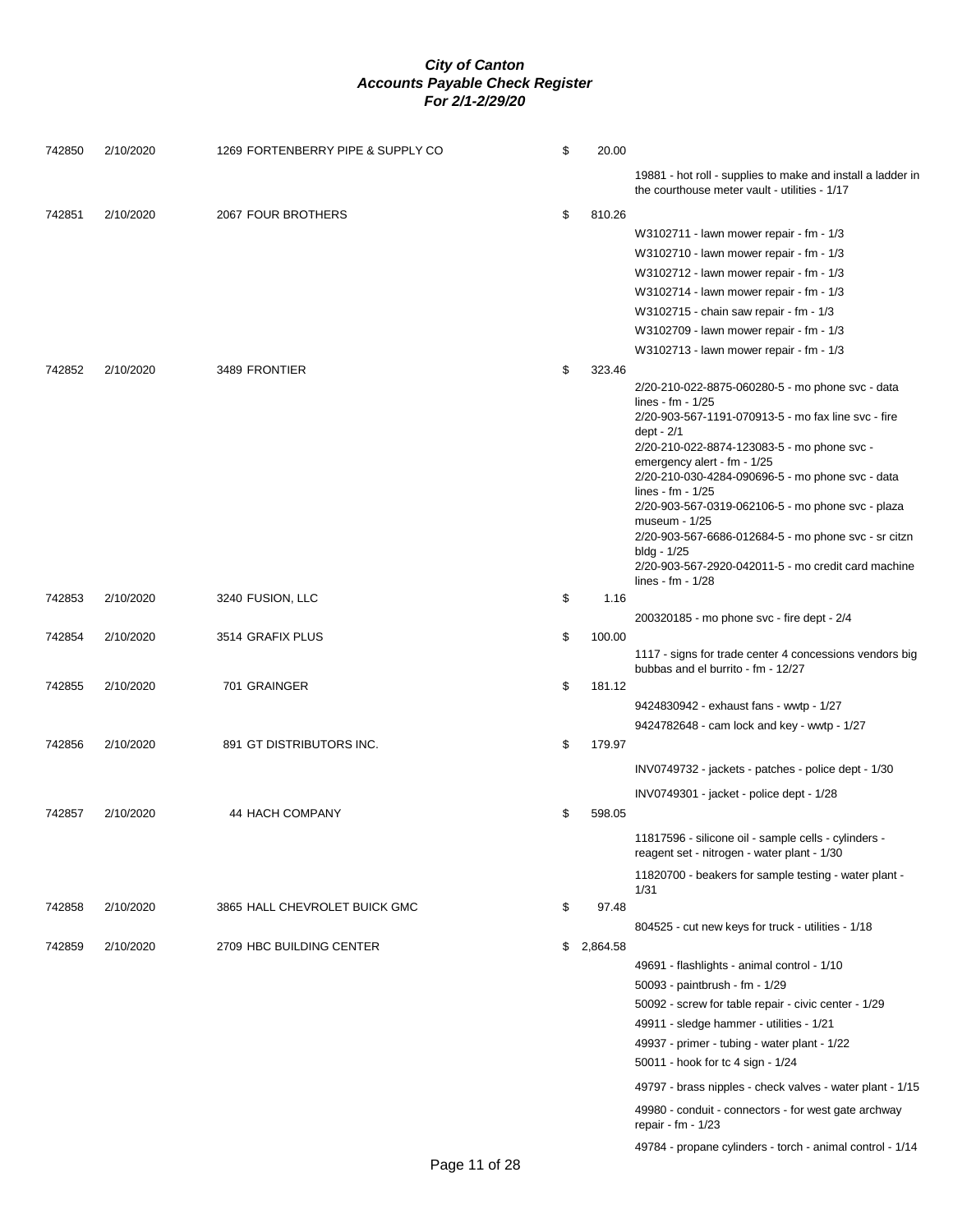| 742850 | 2/10/2020 | 1269 FORTENBERRY PIPE & SUPPLY CO | \$<br>20.00  |                                                                                                              |
|--------|-----------|-----------------------------------|--------------|--------------------------------------------------------------------------------------------------------------|
|        |           |                                   |              | 19881 - hot roll - supplies to make and install a ladder in<br>the courthouse meter vault - utilities - 1/17 |
| 742851 | 2/10/2020 | 2067 FOUR BROTHERS                | \$<br>810.26 |                                                                                                              |
|        |           |                                   |              | W3102711 - lawn mower repair - fm - 1/3                                                                      |
|        |           |                                   |              | W3102710 - lawn mower repair - fm - 1/3                                                                      |
|        |           |                                   |              | W3102712 - lawn mower repair - fm - 1/3                                                                      |
|        |           |                                   |              | W3102714 - lawn mower repair - fm - 1/3                                                                      |
|        |           |                                   |              | W3102715 - chain saw repair - fm - 1/3                                                                       |
|        |           |                                   |              | W3102709 - lawn mower repair - fm - 1/3                                                                      |
|        |           |                                   |              | W3102713 - lawn mower repair - fm - 1/3                                                                      |
| 742852 | 2/10/2020 | 3489 FRONTIER                     | \$<br>323.46 |                                                                                                              |
|        |           |                                   |              | 2/20-210-022-8875-060280-5 - mo phone svc - data<br>lines - fm - $1/25$                                      |
|        |           |                                   |              | 2/20-903-567-1191-070913-5 - mo fax line svc - fire<br>dept - 2/1                                            |
|        |           |                                   |              | 2/20-210-022-8874-123083-5 - mo phone svc -                                                                  |
|        |           |                                   |              | emergency alert - fm - 1/25                                                                                  |
|        |           |                                   |              | 2/20-210-030-4284-090696-5 - mo phone svc - data<br>lines - fm - $1/25$                                      |
|        |           |                                   |              | 2/20-903-567-0319-062106-5 - mo phone svc - plaza                                                            |
|        |           |                                   |              | museum - 1/25<br>2/20-903-567-6686-012684-5 - mo phone svc - sr citzn                                        |
|        |           |                                   |              | bldg - 1/25                                                                                                  |
|        |           |                                   |              | 2/20-903-567-2920-042011-5 - mo credit card machine                                                          |
| 742853 | 2/10/2020 |                                   | \$<br>1.16   | lines - $fm - 1/28$                                                                                          |
|        |           | 3240 FUSION, LLC                  |              | 200320185 - mo phone svc - fire dept - 2/4                                                                   |
| 742854 | 2/10/2020 | 3514 GRAFIX PLUS                  | \$<br>100.00 |                                                                                                              |
|        |           |                                   |              | 1117 - signs for trade center 4 concessions vendors big<br>bubbas and el burrito - fm - 12/27                |
| 742855 | 2/10/2020 | 701 GRAINGER                      | \$<br>181.12 |                                                                                                              |
|        |           |                                   |              | 9424830942 - exhaust fans - wwtp - 1/27                                                                      |
|        |           |                                   |              | 9424782648 - cam lock and key - wwtp - 1/27                                                                  |
| 742856 | 2/10/2020 | 891 GT DISTRIBUTORS INC.          | \$<br>179.97 |                                                                                                              |
|        |           |                                   |              | INV0749732 - jackets - patches - police dept - 1/30                                                          |
|        |           |                                   |              | INV0749301 - jacket - police dept - 1/28                                                                     |
| 742857 | 2/10/2020 | 44 HACH COMPANY                   | \$<br>598.05 |                                                                                                              |
|        |           |                                   |              | 11817596 - silicone oil - sample cells - cylinders -<br>reagent set - nitrogen - water plant - 1/30          |
|        |           |                                   |              | 11820700 - beakers for sample testing - water plant -                                                        |
|        |           |                                   |              | 1/31                                                                                                         |
| 742858 | 2/10/2020 | 3865 HALL CHEVROLET BUICK GMC     | \$<br>97.48  |                                                                                                              |
| 742859 | 2/10/2020 | 2709 HBC BUILDING CENTER          | \$2,864.58   | 804525 - cut new keys for truck - utilities - 1/18                                                           |
|        |           |                                   |              | 49691 - flashlights - animal control - 1/10                                                                  |
|        |           |                                   |              | 50093 - paintbrush - fm - 1/29                                                                               |
|        |           |                                   |              | 50092 - screw for table repair - civic center - 1/29                                                         |
|        |           |                                   |              | 49911 - sledge hammer - utilities - 1/21                                                                     |
|        |           |                                   |              | 49937 - primer - tubing - water plant - 1/22                                                                 |
|        |           |                                   |              | 50011 - hook for tc 4 sign - 1/24                                                                            |
|        |           |                                   |              | 49797 - brass nipples - check valves - water plant - 1/15                                                    |
|        |           |                                   |              | 49980 - conduit - connectors - for west gate archway<br>repair - fm - $1/23$                                 |
|        |           |                                   |              | 49784 - propane cylinders - torch - animal control - 1/14                                                    |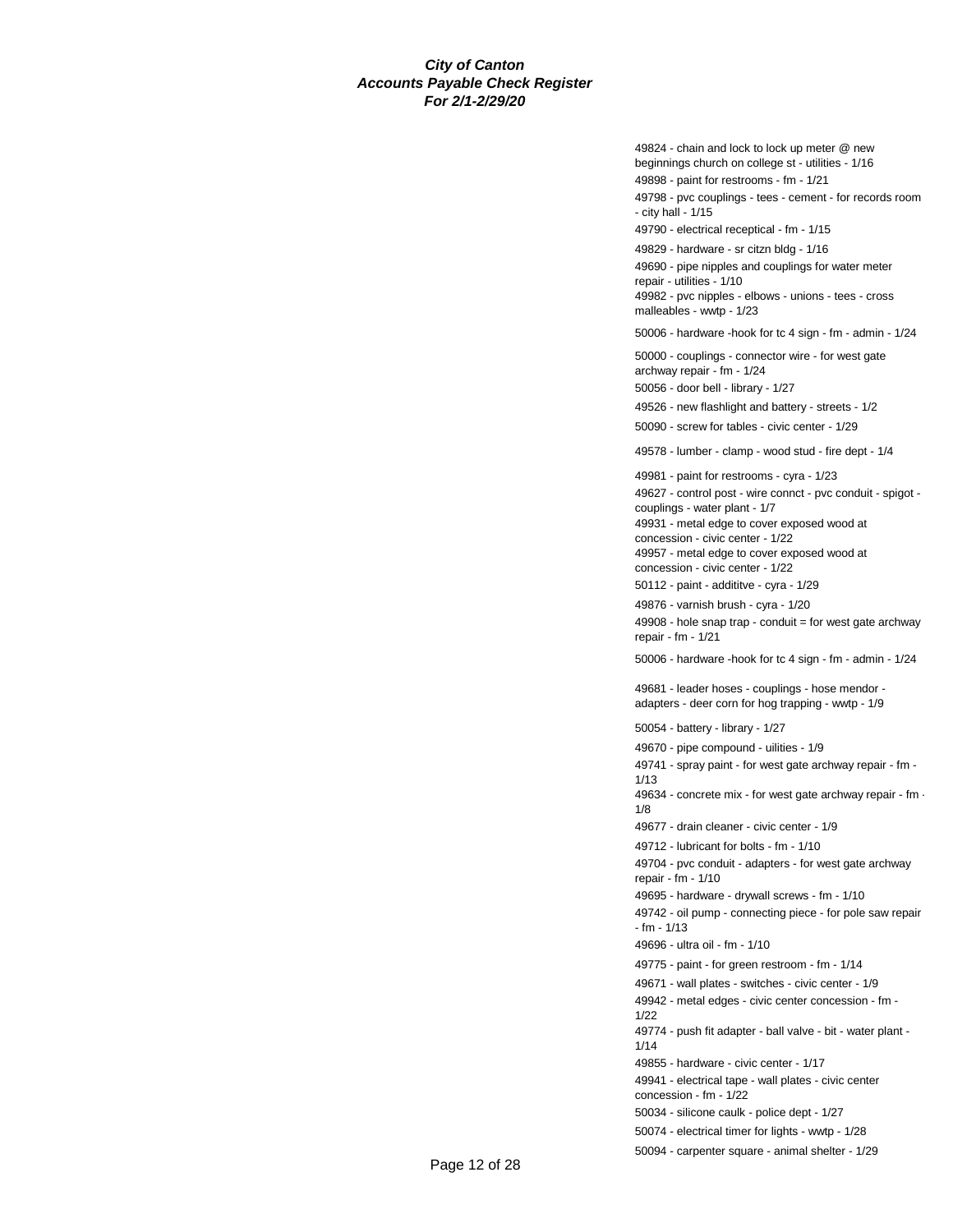49824 - chain and lock to lock up meter @ new beginnings church on college st - utilities - 1/16

49898 - paint for restrooms - fm - 1/21

49798 - pvc couplings - tees - cement - for records room - city hall - 1/15

49790 - electrical receptical - fm - 1/15

49829 - hardware - sr citzn bldg - 1/16 49690 - pipe nipples and couplings for water meter repair - utilities - 1/10

49982 - pvc nipples - elbows - unions - tees - cross malleables - wwtp - 1/23

50006 - hardware -hook for tc 4 sign - fm - admin - 1/24

50000 - couplings - connector wire - for west gate archway repair - fm - 1/24

50056 - door bell - library - 1/27

49526 - new flashlight and battery - streets - 1/2 50090 - screw for tables - civic center - 1/29

49578 - lumber - clamp - wood stud - fire dept - 1/4

49981 - paint for restrooms - cyra - 1/23

49627 - control post - wire connct - pvc conduit - spigot couplings - water plant - 1/7

49931 - metal edge to cover exposed wood at

concession - civic center - 1/22 49957 - metal edge to cover exposed wood at

concession - civic center - 1/22 50112 - paint - addititve - cyra - 1/29

49876 - varnish brush - cyra - 1/20

49908 - hole snap trap - conduit = for west gate archway repair - fm - 1/21

50006 - hardware -hook for tc 4 sign - fm - admin - 1/24

49681 - leader hoses - couplings - hose mendor adapters - deer corn for hog trapping - wwtp - 1/9

50054 - battery - library - 1/27

49670 - pipe compound - uilities - 1/9

49741 - spray paint - for west gate archway repair - fm - 1/13

49634 - concrete mix - for west gate archway repair - fm - 1/8

49677 - drain cleaner - civic center - 1/9

49712 - lubricant for bolts - fm - 1/10

49704 - pvc conduit - adapters - for west gate archway repair - fm - 1/10

49695 - hardware - drywall screws - fm - 1/10

49742 - oil pump - connecting piece - for pole saw repair - fm - 1/13

49696 - ultra oil - fm - 1/10

49775 - paint - for green restroom - fm - 1/14

49671 - wall plates - switches - civic center - 1/9

49942 - metal edges - civic center concession - fm - 1/22

49774 - push fit adapter - ball valve - bit - water plant - 1/14

49855 - hardware - civic center - 1/17

49941 - electrical tape - wall plates - civic center concession - fm - 1/22

50034 - silicone caulk - police dept - 1/27

50074 - electrical timer for lights - wwtp - 1/28

50094 - carpenter square - animal shelter - 1/29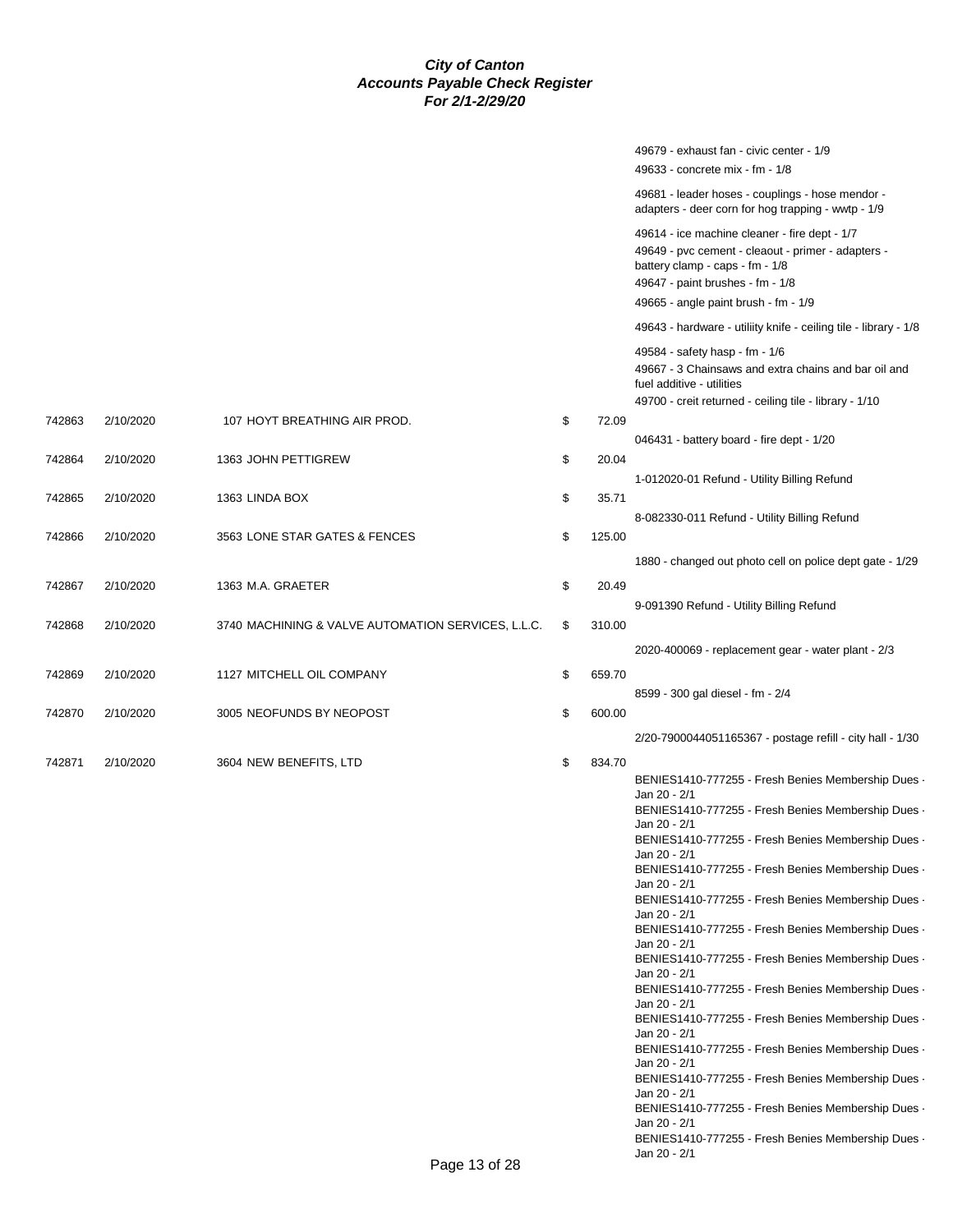|        |           |                                                    |              | 49679 - exhaust fan - civic center - 1/9                                                                            |
|--------|-----------|----------------------------------------------------|--------------|---------------------------------------------------------------------------------------------------------------------|
|        |           |                                                    |              | 49633 - concrete mix - fm - 1/8                                                                                     |
|        |           |                                                    |              | 49681 - leader hoses - couplings - hose mendor -<br>adapters - deer corn for hog trapping - wwtp - 1/9              |
|        |           |                                                    |              | 49614 - ice machine cleaner - fire dept - 1/7                                                                       |
|        |           |                                                    |              | 49649 - pvc cement - cleaout - primer - adapters -<br>battery clamp - caps - fm - 1/8                               |
|        |           |                                                    |              | 49647 - paint brushes - fm - 1/8                                                                                    |
|        |           |                                                    |              | 49665 - angle paint brush - fm - 1/9                                                                                |
|        |           |                                                    |              | 49643 - hardware - utiliity knife - ceiling tile - library - 1/8                                                    |
|        |           |                                                    |              | 49584 - safety hasp - fm - 1/6<br>49667 - 3 Chainsaws and extra chains and bar oil and<br>fuel additive - utilities |
|        |           |                                                    |              | 49700 - creit returned - ceiling tile - library - 1/10                                                              |
| 742863 | 2/10/2020 | 107 HOYT BREATHING AIR PROD.                       | \$<br>72.09  |                                                                                                                     |
|        |           |                                                    |              | 046431 - battery board - fire dept - 1/20                                                                           |
| 742864 | 2/10/2020 | 1363 JOHN PETTIGREW                                | \$<br>20.04  |                                                                                                                     |
|        |           |                                                    |              | 1-012020-01 Refund - Utility Billing Refund                                                                         |
| 742865 | 2/10/2020 | 1363 LINDA BOX                                     | \$<br>35.71  |                                                                                                                     |
|        |           |                                                    |              | 8-082330-011 Refund - Utility Billing Refund                                                                        |
| 742866 | 2/10/2020 | 3563 LONE STAR GATES & FENCES                      | \$<br>125.00 |                                                                                                                     |
|        |           |                                                    |              | 1880 - changed out photo cell on police dept gate - 1/29                                                            |
| 742867 | 2/10/2020 | 1363 M.A. GRAETER                                  | \$<br>20.49  |                                                                                                                     |
|        |           |                                                    |              | 9-091390 Refund - Utility Billing Refund                                                                            |
| 742868 | 2/10/2020 | 3740 MACHINING & VALVE AUTOMATION SERVICES, L.L.C. | \$<br>310.00 |                                                                                                                     |
|        |           |                                                    |              |                                                                                                                     |
|        |           |                                                    |              | 2020-400069 - replacement gear - water plant - 2/3                                                                  |
| 742869 | 2/10/2020 | 1127 MITCHELL OIL COMPANY                          | \$<br>659.70 |                                                                                                                     |
|        |           |                                                    |              | 8599 - 300 gal diesel - fm - 2/4                                                                                    |
| 742870 | 2/10/2020 | 3005 NEOFUNDS BY NEOPOST                           | \$<br>600.00 |                                                                                                                     |
|        |           |                                                    |              | 2/20-7900044051165367 - postage refill - city hall - 1/30                                                           |
| 742871 | 2/10/2020 | 3604 NEW BENEFITS, LTD                             | \$<br>834.70 |                                                                                                                     |
|        |           |                                                    |              | BENIES1410-777255 - Fresh Benies Membership Dues -                                                                  |
|        |           |                                                    |              | Jan 20 - 2/1                                                                                                        |
|        |           |                                                    |              | BENIES1410-777255 - Fresh Benies Membership Dues -<br>Jan 20 - 2/1                                                  |
|        |           |                                                    |              | BENIES1410-777255 - Fresh Benies Membership Dues -                                                                  |
|        |           |                                                    |              | Jan 20 - 2/1                                                                                                        |
|        |           |                                                    |              | BENIES1410-777255 - Fresh Benies Membership Dues -<br>Jan 20 - 2/1                                                  |
|        |           |                                                    |              | BENIES1410-777255 - Fresh Benies Membership Dues -                                                                  |
|        |           |                                                    |              | Jan 20 - 2/1                                                                                                        |
|        |           |                                                    |              | BENIES1410-777255 - Fresh Benies Membership Dues -<br>Jan 20 - 2/1                                                  |
|        |           |                                                    |              | BENIES1410-777255 - Fresh Benies Membership Dues -                                                                  |
|        |           |                                                    |              | Jan 20 - 2/1                                                                                                        |
|        |           |                                                    |              | BENIES1410-777255 - Fresh Benies Membership Dues -<br>Jan 20 - 2/1                                                  |
|        |           |                                                    |              | BENIES1410-777255 - Fresh Benies Membership Dues -                                                                  |
|        |           |                                                    |              | Jan 20 - 2/1                                                                                                        |
|        |           |                                                    |              | BENIES1410-777255 - Fresh Benies Membership Dues -<br>Jan 20 - 2/1                                                  |
|        |           |                                                    |              | BENIES1410-777255 - Fresh Benies Membership Dues -                                                                  |
|        |           |                                                    |              | Jan 20 - 2/1                                                                                                        |
|        |           |                                                    |              | BENIES1410-777255 - Fresh Benies Membership Dues -                                                                  |
|        |           |                                                    |              | Jan 20 - 2/1<br>BENIES1410-777255 - Fresh Benies Membership Dues -                                                  |
|        |           |                                                    |              | Jan 20 - 2/1                                                                                                        |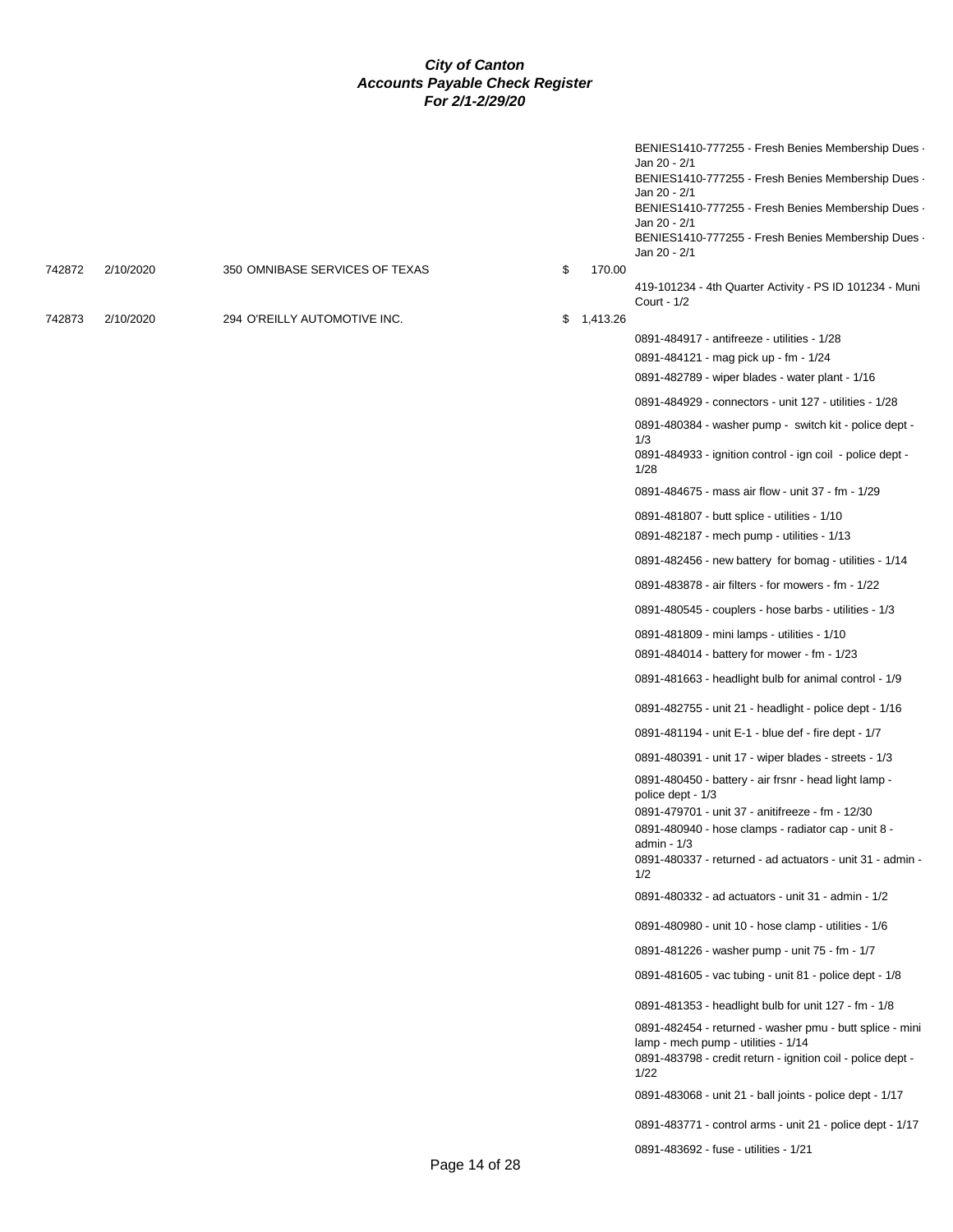|        |           |                                |    |          | BENIES1410-777255 - Fresh Benies Membership Dues<br>Jan 20 - 2/1<br>BENIES1410-777255 - Fresh Benies Membership Dues -<br>Jan 20 - 2/1<br>BENIES1410-777255 - Fresh Benies Membership Dues -<br>Jan 20 - 2/1<br>BENIES1410-777255 - Fresh Benies Membership Dues -<br>Jan 20 - 2/1 |
|--------|-----------|--------------------------------|----|----------|------------------------------------------------------------------------------------------------------------------------------------------------------------------------------------------------------------------------------------------------------------------------------------|
| 742872 | 2/10/2020 | 350 OMNIBASE SERVICES OF TEXAS | \$ | 170.00   |                                                                                                                                                                                                                                                                                    |
| 742873 | 2/10/2020 | 294 O'REILLY AUTOMOTIVE INC.   | S. | 1,413.26 | 419-101234 - 4th Quarter Activity - PS ID 101234 - Muni<br>Court - 1/2                                                                                                                                                                                                             |
|        |           |                                |    |          | 0891-484917 - antifreeze - utilities - 1/28                                                                                                                                                                                                                                        |
|        |           |                                |    |          | 0891-484121 - mag pick up - fm - 1/24                                                                                                                                                                                                                                              |
|        |           |                                |    |          | 0891-482789 - wiper blades - water plant - 1/16                                                                                                                                                                                                                                    |
|        |           |                                |    |          | 0891-484929 - connectors - unit 127 - utilities - 1/28                                                                                                                                                                                                                             |
|        |           |                                |    |          | 0891-480384 - washer pump - switch kit - police dept -<br>1/3                                                                                                                                                                                                                      |
|        |           |                                |    |          | 0891-484933 - ignition control - ign coil - police dept -<br>1/28                                                                                                                                                                                                                  |
|        |           |                                |    |          | 0891-484675 - mass air flow - unit 37 - fm - 1/29                                                                                                                                                                                                                                  |
|        |           |                                |    |          | 0891-481807 - butt splice - utilities - 1/10<br>0891-482187 - mech pump - utilities - 1/13                                                                                                                                                                                         |
|        |           |                                |    |          | 0891-482456 - new battery for bomag - utilities - 1/14                                                                                                                                                                                                                             |
|        |           |                                |    |          | 0891-483878 - air filters - for mowers - fm - 1/22                                                                                                                                                                                                                                 |
|        |           |                                |    |          | 0891-480545 - couplers - hose barbs - utilities - 1/3                                                                                                                                                                                                                              |
|        |           |                                |    |          | 0891-481809 - mini lamps - utilities - 1/10                                                                                                                                                                                                                                        |
|        |           |                                |    |          | 0891-484014 - battery for mower - fm - 1/23                                                                                                                                                                                                                                        |
|        |           |                                |    |          | 0891-481663 - headlight bulb for animal control - 1/9                                                                                                                                                                                                                              |
|        |           |                                |    |          | 0891-482755 - unit 21 - headlight - police dept - 1/16                                                                                                                                                                                                                             |
|        |           |                                |    |          | 0891-481194 - unit E-1 - blue def - fire dept - 1/7                                                                                                                                                                                                                                |
|        |           |                                |    |          | 0891-480391 - unit 17 - wiper blades - streets - 1/3                                                                                                                                                                                                                               |
|        |           |                                |    |          | 0891-480450 - battery - air frsnr - head light lamp -<br>police dept - 1/3                                                                                                                                                                                                         |
|        |           |                                |    |          | 0891-479701 - unit 37 - anitifreeze - fm - 12/30                                                                                                                                                                                                                                   |
|        |           |                                |    |          | 0891-480940 - hose clamps - radiator cap - unit 8 -<br>admin $-1/3$<br>0891-480337 - returned - ad actuators - unit 31 - admin -                                                                                                                                                   |
|        |           |                                |    |          | 1/2                                                                                                                                                                                                                                                                                |
|        |           |                                |    |          | 0891-480332 - ad actuators - unit 31 - admin - 1/2                                                                                                                                                                                                                                 |
|        |           |                                |    |          | 0891-480980 - unit 10 - hose clamp - utilities - 1/6                                                                                                                                                                                                                               |
|        |           |                                |    |          | 0891-481226 - washer pump - unit 75 - fm - 1/7                                                                                                                                                                                                                                     |
|        |           |                                |    |          | 0891-481605 - vac tubing - unit 81 - police dept - 1/8                                                                                                                                                                                                                             |
|        |           |                                |    |          | 0891-481353 - headlight bulb for unit 127 - fm - 1/8                                                                                                                                                                                                                               |
|        |           |                                |    |          | 0891-482454 - returned - washer pmu - butt splice - mini<br>lamp - mech pump - utilities - 1/14<br>0891-483798 - credit return - ignition coil - police dept -<br>1/22                                                                                                             |
|        |           |                                |    |          | 0891-483068 - unit 21 - ball joints - police dept - 1/17                                                                                                                                                                                                                           |
|        |           |                                |    |          | 0891-483771 - control arms - unit 21 - police dept - 1/17                                                                                                                                                                                                                          |
|        |           |                                |    |          | 0891-483692 - fuse - utilities - 1/21                                                                                                                                                                                                                                              |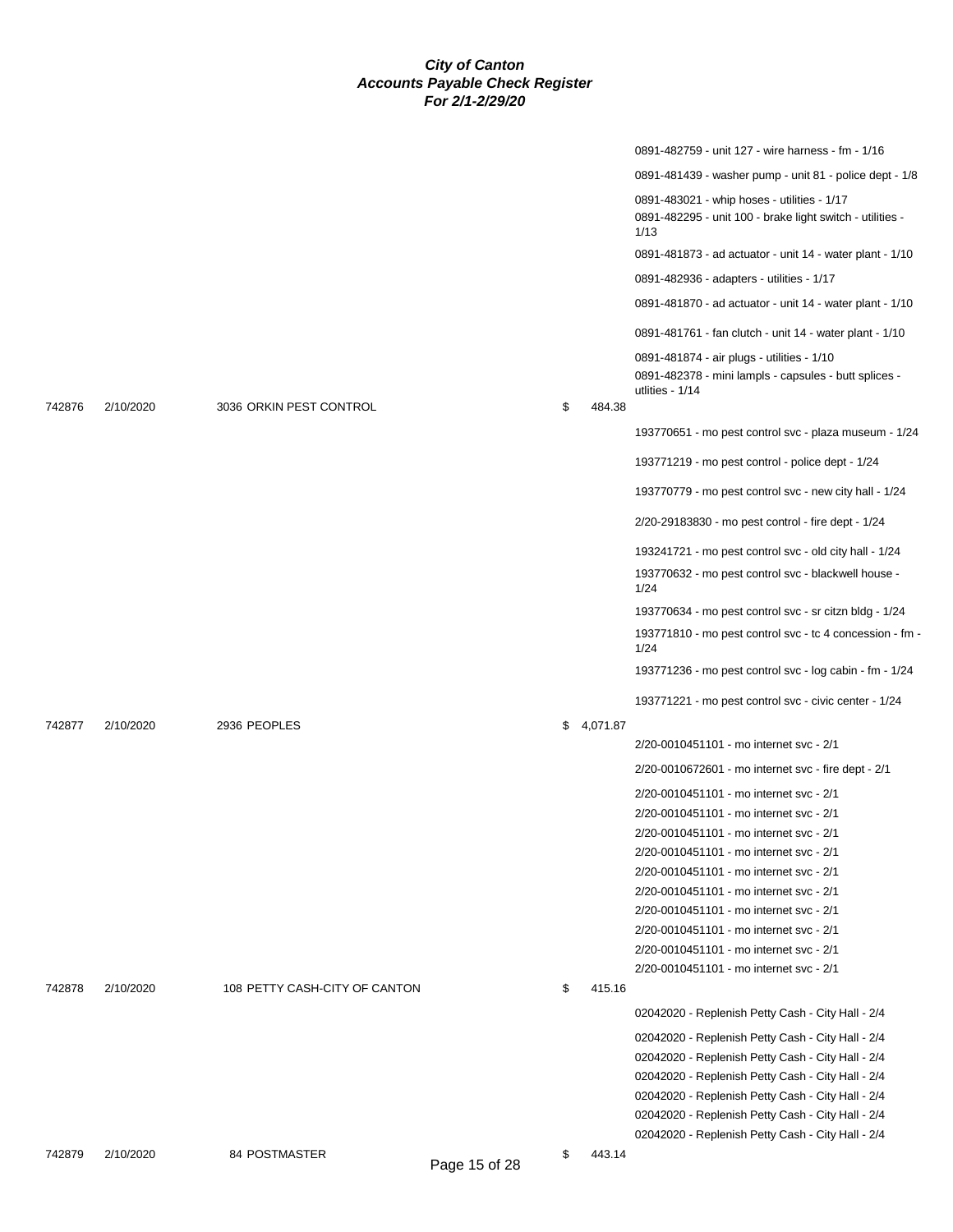|        |           |                               |               |              | 0891-482759 - unit 127 - wire harness - fm - 1/16                                                                                                                                                                                                                     |
|--------|-----------|-------------------------------|---------------|--------------|-----------------------------------------------------------------------------------------------------------------------------------------------------------------------------------------------------------------------------------------------------------------------|
|        |           |                               |               |              | 0891-481439 - washer pump - unit 81 - police dept - 1/8                                                                                                                                                                                                               |
|        |           |                               |               |              | 0891-483021 - whip hoses - utilities - 1/17<br>0891-482295 - unit 100 - brake light switch - utilities -<br>1/13                                                                                                                                                      |
|        |           |                               |               |              | 0891-481873 - ad actuator - unit 14 - water plant - 1/10                                                                                                                                                                                                              |
|        |           |                               |               |              | 0891-482936 - adapters - utilities - 1/17                                                                                                                                                                                                                             |
|        |           |                               |               |              | 0891-481870 - ad actuator - unit 14 - water plant - 1/10                                                                                                                                                                                                              |
|        |           |                               |               |              | 0891-481761 - fan clutch - unit 14 - water plant - 1/10                                                                                                                                                                                                               |
| 742876 | 2/10/2020 | 3036 ORKIN PEST CONTROL       |               | \$<br>484.38 | 0891-481874 - air plugs - utilities - 1/10<br>0891-482378 - mini lampls - capsules - butt splices -<br>utlities - 1/14                                                                                                                                                |
|        |           |                               |               |              | 193770651 - mo pest control svc - plaza museum - 1/24                                                                                                                                                                                                                 |
|        |           |                               |               |              | 193771219 - mo pest control - police dept - 1/24                                                                                                                                                                                                                      |
|        |           |                               |               |              | 193770779 - mo pest control svc - new city hall - 1/24                                                                                                                                                                                                                |
|        |           |                               |               |              | 2/20-29183830 - mo pest control - fire dept - 1/24                                                                                                                                                                                                                    |
|        |           |                               |               |              | 193241721 - mo pest control svc - old city hall - 1/24                                                                                                                                                                                                                |
|        |           |                               |               |              | 193770632 - mo pest control svc - blackwell house -<br>1/24                                                                                                                                                                                                           |
|        |           |                               |               |              | 193770634 - mo pest control svc - sr citzn bldg - 1/24                                                                                                                                                                                                                |
|        |           |                               |               |              | 193771810 - mo pest control svc - tc 4 concession - fm -<br>1/24                                                                                                                                                                                                      |
|        |           |                               |               |              | 193771236 - mo pest control svc - log cabin - fm - 1/24                                                                                                                                                                                                               |
|        |           |                               |               |              | 193771221 - mo pest control svc - civic center - 1/24                                                                                                                                                                                                                 |
| 742877 | 2/10/2020 | 2936 PEOPLES                  |               | \$4,071.87   |                                                                                                                                                                                                                                                                       |
|        |           |                               |               |              | 2/20-0010451101 - mo internet svc - 2/1                                                                                                                                                                                                                               |
|        |           |                               |               |              | 2/20-0010672601 - mo internet svc - fire dept - 2/1                                                                                                                                                                                                                   |
|        |           |                               |               |              | 2/20-0010451101 - mo internet svc - 2/1                                                                                                                                                                                                                               |
|        |           |                               |               |              | 2/20-0010451101 - mo internet svc - 2/1                                                                                                                                                                                                                               |
|        |           |                               |               |              | 2/20-0010451101 - mo internet svc - 2/1                                                                                                                                                                                                                               |
|        |           |                               |               |              | 2/20-0010451101 - mo internet svc - 2/1<br>2/20-0010451101 - mo internet svc - 2/1                                                                                                                                                                                    |
|        |           |                               |               |              | 2/20-0010451101 - mo internet svc - 2/1                                                                                                                                                                                                                               |
|        |           |                               |               |              | 2/20-0010451101 - mo internet svc - 2/1                                                                                                                                                                                                                               |
|        |           |                               |               |              | 2/20-0010451101 - mo internet svc - 2/1                                                                                                                                                                                                                               |
|        |           |                               |               |              | 2/20-0010451101 - mo internet svc - 2/1                                                                                                                                                                                                                               |
|        |           |                               |               |              | 2/20-0010451101 - mo internet svc - 2/1                                                                                                                                                                                                                               |
| 742878 | 2/10/2020 | 108 PETTY CASH-CITY OF CANTON |               | \$<br>415.16 |                                                                                                                                                                                                                                                                       |
|        |           |                               |               |              | 02042020 - Replenish Petty Cash - City Hall - 2/4                                                                                                                                                                                                                     |
|        |           |                               |               |              | 02042020 - Replenish Petty Cash - City Hall - 2/4<br>02042020 - Replenish Petty Cash - City Hall - 2/4<br>02042020 - Replenish Petty Cash - City Hall - 2/4<br>02042020 - Replenish Petty Cash - City Hall - 2/4<br>02042020 - Replenish Petty Cash - City Hall - 2/4 |
|        |           |                               |               |              | 02042020 - Replenish Petty Cash - City Hall - 2/4                                                                                                                                                                                                                     |
| 742879 | 2/10/2020 | 84 POSTMASTER                 | Page 15 of 28 | \$<br>443.14 |                                                                                                                                                                                                                                                                       |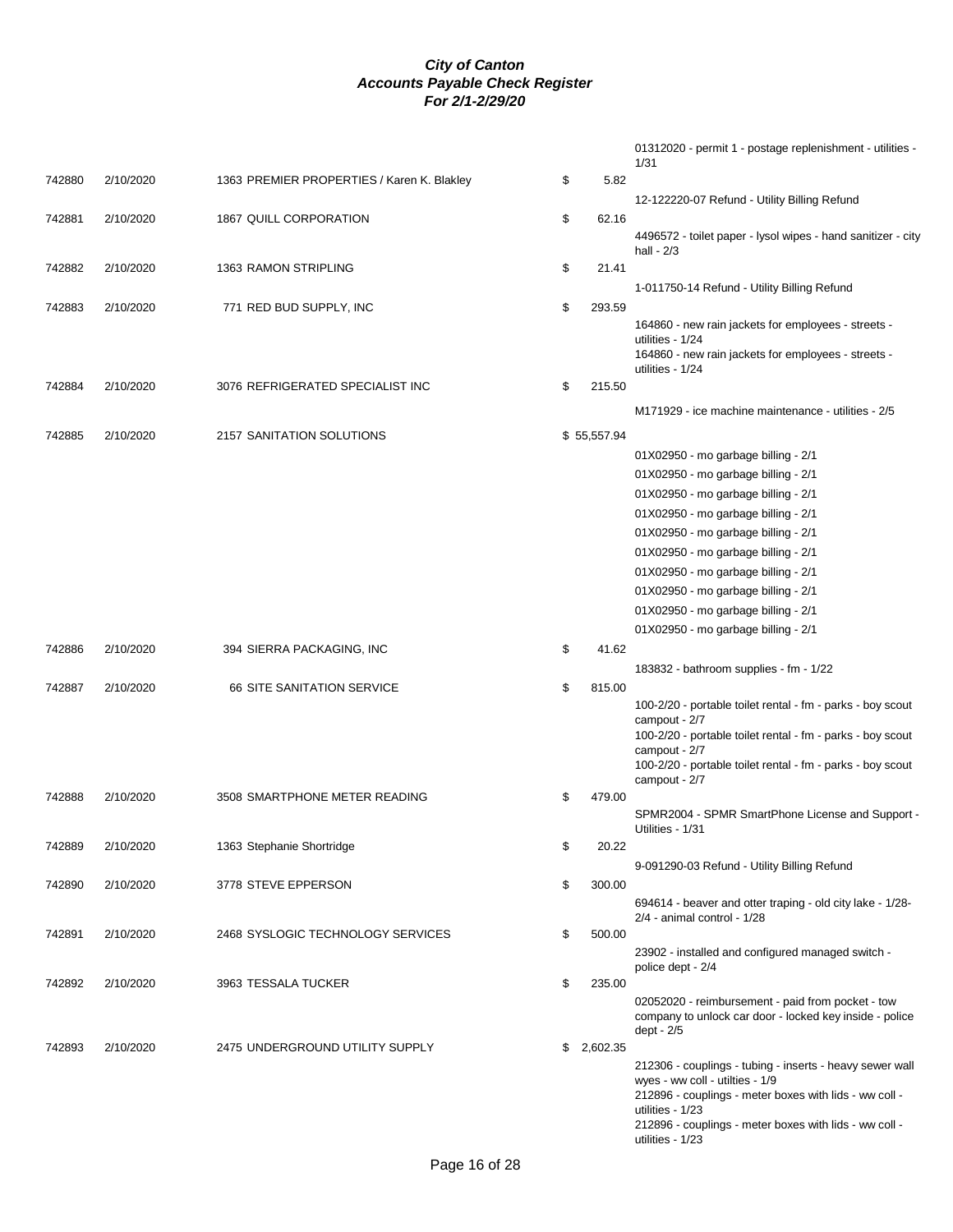|        |           |                                            |              | 01312020 - permit 1 - postage replenishment - utilities -<br>1/31                                            |
|--------|-----------|--------------------------------------------|--------------|--------------------------------------------------------------------------------------------------------------|
| 742880 | 2/10/2020 | 1363 PREMIER PROPERTIES / Karen K. Blakley | \$<br>5.82   |                                                                                                              |
|        |           |                                            |              | 12-122220-07 Refund - Utility Billing Refund                                                                 |
| 742881 | 2/10/2020 | 1867 QUILL CORPORATION                     | \$<br>62.16  |                                                                                                              |
|        |           |                                            |              | 4496572 - toilet paper - lysol wipes - hand sanitizer - city<br>hall - $2/3$                                 |
| 742882 | 2/10/2020 | 1363 RAMON STRIPLING                       | \$<br>21.41  |                                                                                                              |
|        |           |                                            |              | 1-011750-14 Refund - Utility Billing Refund                                                                  |
| 742883 | 2/10/2020 | 771 RED BUD SUPPLY, INC                    | \$<br>293.59 |                                                                                                              |
|        |           |                                            |              | 164860 - new rain jackets for employees - streets -                                                          |
|        |           |                                            |              | utilities - 1/24                                                                                             |
|        |           |                                            |              | 164860 - new rain jackets for employees - streets -<br>utilities - 1/24                                      |
| 742884 | 2/10/2020 | 3076 REFRIGERATED SPECIALIST INC           | \$<br>215.50 |                                                                                                              |
|        |           |                                            |              |                                                                                                              |
|        |           |                                            |              | M171929 - ice machine maintenance - utilities - 2/5                                                          |
| 742885 | 2/10/2020 | 2157 SANITATION SOLUTIONS                  | \$55,557.94  |                                                                                                              |
|        |           |                                            |              | 01X02950 - mo garbage billing - 2/1                                                                          |
|        |           |                                            |              | 01X02950 - mo garbage billing - 2/1                                                                          |
|        |           |                                            |              | 01X02950 - mo garbage billing - 2/1                                                                          |
|        |           |                                            |              | 01X02950 - mo garbage billing - 2/1                                                                          |
|        |           |                                            |              | 01X02950 - mo garbage billing - 2/1                                                                          |
|        |           |                                            |              | 01X02950 - mo garbage billing - 2/1                                                                          |
|        |           |                                            |              | 01X02950 - mo garbage billing - 2/1                                                                          |
|        |           |                                            |              | 01X02950 - mo garbage billing - 2/1                                                                          |
|        |           |                                            |              | 01X02950 - mo garbage billing - 2/1                                                                          |
|        |           |                                            |              | 01X02950 - mo garbage billing - 2/1                                                                          |
| 742886 | 2/10/2020 | 394 SIERRA PACKAGING, INC                  | \$<br>41.62  |                                                                                                              |
|        |           |                                            |              | 183832 - bathroom supplies - fm - 1/22                                                                       |
| 742887 | 2/10/2020 | <b>66 SITE SANITATION SERVICE</b>          | \$<br>815.00 |                                                                                                              |
|        |           |                                            |              | 100-2/20 - portable toilet rental - fm - parks - boy scout<br>campout - 2/7                                  |
|        |           |                                            |              | 100-2/20 - portable toilet rental - fm - parks - boy scout                                                   |
|        |           |                                            |              | campout - 2/7                                                                                                |
|        |           |                                            |              | 100-2/20 - portable toilet rental - fm - parks - boy scout                                                   |
| 742888 | 2/10/2020 | 3508 SMARTPHONE METER READING              | \$<br>479.00 | campout - 2/7                                                                                                |
|        |           |                                            |              | SPMR2004 - SPMR SmartPhone License and Support -                                                             |
|        |           |                                            |              | Utilities - 1/31                                                                                             |
| 742889 | 2/10/2020 | 1363 Stephanie Shortridge                  | \$<br>20.22  |                                                                                                              |
|        |           |                                            |              | 9-091290-03 Refund - Utility Billing Refund                                                                  |
| 742890 | 2/10/2020 | 3778 STEVE EPPERSON                        | \$<br>300.00 |                                                                                                              |
|        |           |                                            |              | 694614 - beaver and otter traping - old city lake - 1/28-<br>2/4 - animal control - 1/28                     |
| 742891 | 2/10/2020 | 2468 SYSLOGIC TECHNOLOGY SERVICES          | \$<br>500.00 |                                                                                                              |
|        |           |                                            |              | 23902 - installed and configured managed switch -                                                            |
|        |           |                                            |              | police dept - 2/4                                                                                            |
| 742892 | 2/10/2020 | 3963 TESSALA TUCKER                        | \$<br>235.00 |                                                                                                              |
|        |           |                                            |              | 02052020 - reimbursement - paid from pocket - tow<br>company to unlock car door - locked key inside - police |
|        |           |                                            |              | dept - 2/5                                                                                                   |
| 742893 | 2/10/2020 | 2475 UNDERGROUND UTILITY SUPPLY            | \$2,602.35   |                                                                                                              |
|        |           |                                            |              | 212306 - couplings - tubing - inserts - heavy sewer wall                                                     |
|        |           |                                            |              | wyes - ww coll - utilties - 1/9                                                                              |
|        |           |                                            |              | 212896 - couplings - meter boxes with lids - ww coll -<br>utilities - 1/23                                   |
|        |           |                                            |              | 212896 - couplings - meter boxes with lids - ww coll -                                                       |
|        |           |                                            |              | utilities - 1/23                                                                                             |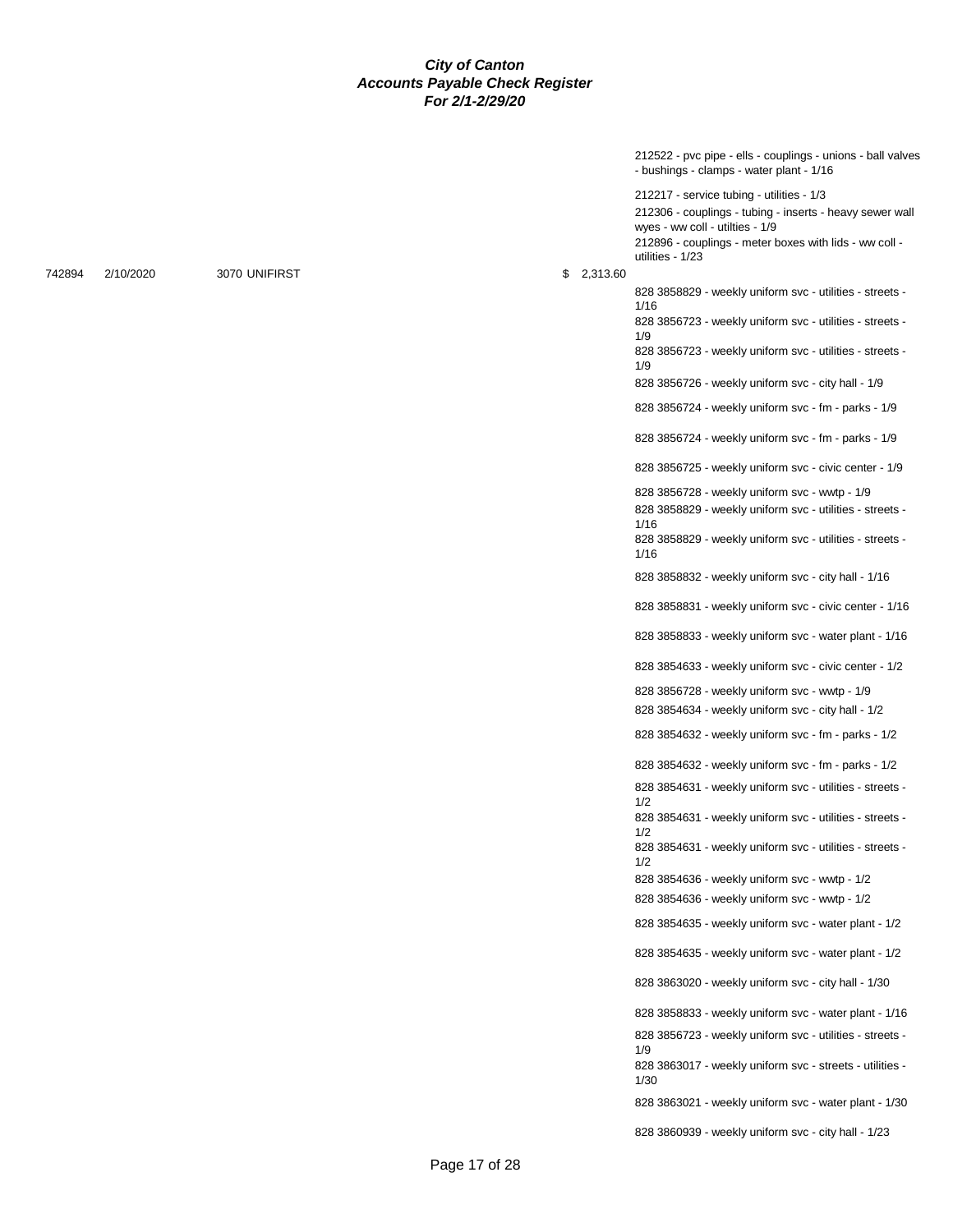212522 - pvc pipe - ells - couplings - unions - ball valves - bushings - clamps - water plant - 1/16

212217 - service tubing - utilities - 1/3 212306 - couplings - tubing - inserts - heavy sewer wall wyes - ww coll - utilties - 1/9 212896 - couplings - meter boxes with lids - ww coll utilities - 1/23

828 3858829 - weekly uniform svc - utilities - streets -

828 3856723 - weekly uniform svc - utilities - streets -

828 3856723 - weekly uniform svc - utilities - streets -

828 3856726 - weekly uniform svc - city hall - 1/9 828 3856724 - weekly uniform svc - fm - parks - 1/9

828 3856724 - weekly uniform svc - fm - parks - 1/9 828 3856725 - weekly uniform svc - civic center - 1/9 828 3856728 - weekly uniform svc - wwtp - 1/9 828 3858829 - weekly uniform svc - utilities - streets -

1/16

1/9

1/9

1/16

742894 2/10/2020 3070 UNIFIRST \$ 2,313.60

828 3858829 - weekly uniform svc - utilities - streets - 1/16 828 3858832 - weekly uniform svc - city hall - 1/16 828 3858831 - weekly uniform svc - civic center - 1/16 828 3858833 - weekly uniform svc - water plant - 1/16 828 3854633 - weekly uniform svc - civic center - 1/2 828 3856728 - weekly uniform svc - wwtp - 1/9 828 3854634 - weekly uniform svc - city hall - 1/2 828 3854632 - weekly uniform svc - fm - parks - 1/2 828 3854632 - weekly uniform svc - fm - parks - 1/2 828 3854631 - weekly uniform svc - utilities - streets - 1/2 828 3854631 - weekly uniform svc - utilities - streets - 1/2 828 3854631 - weekly uniform svc - utilities - streets - 1/2 828 3854636 - weekly uniform svc - wwtp - 1/2 828 3854636 - weekly uniform svc - wwtp - 1/2 828 3854635 - weekly uniform svc - water plant - 1/2 828 3854635 - weekly uniform svc - water plant - 1/2 828 3863020 - weekly uniform svc - city hall - 1/30 828 3858833 - weekly uniform svc - water plant - 1/16 828 3856723 - weekly uniform svc - utilities - streets - 1/9 828 3863017 - weekly uniform svc - streets - utilities - 1/30 828 3863021 - weekly uniform svc - water plant - 1/30 828 3860939 - weekly uniform svc - city hall - 1/23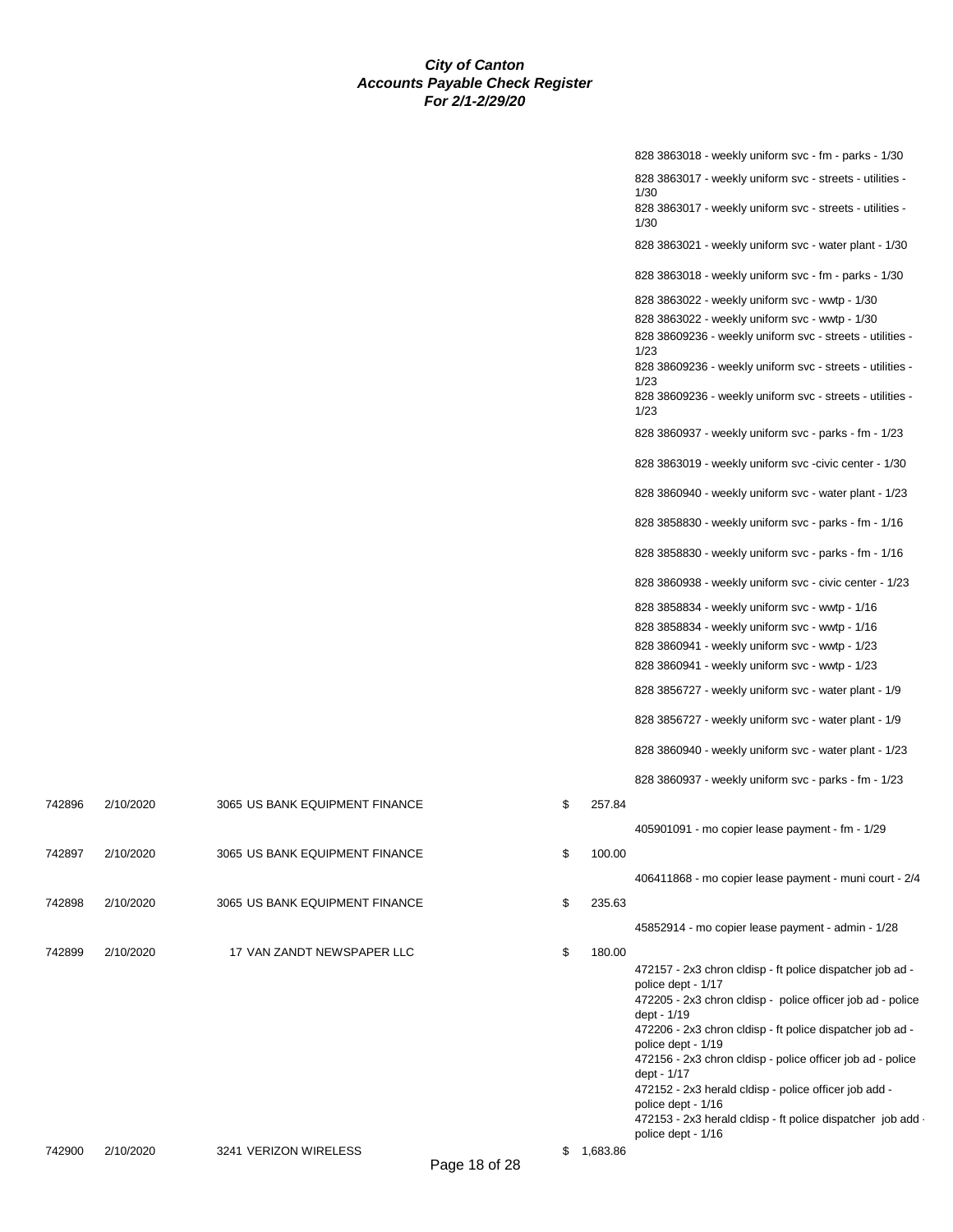|              | 828 3863018 - weekly uniform svc - fm - parks - 1/30                              |
|--------------|-----------------------------------------------------------------------------------|
|              | 828 3863017 - weekly uniform svc - streets - utilities -<br>1/30                  |
|              | 828 3863017 - weekly uniform svc - streets - utilities -<br>1/30                  |
|              | 828 3863021 - weekly uniform svc - water plant - 1/30                             |
|              | 828 3863018 - weekly uniform svc - fm - parks - 1/30                              |
|              | 828 3863022 - weekly uniform svc - wwtp - 1/30                                    |
|              | 828 3863022 - weekly uniform svc - wwtp - 1/30                                    |
|              | 828 38609236 - weekly uniform svc - streets - utilities -<br>1/23                 |
|              | 828 38609236 - weekly uniform svc - streets - utilities -                         |
|              | 1/23<br>828 38609236 - weekly uniform svc - streets - utilities -<br>1/23         |
|              | 828 3860937 - weekly uniform svc - parks - fm - 1/23                              |
|              | 828 3863019 - weekly uniform svc -civic center - 1/30                             |
|              | 828 3860940 - weekly uniform svc - water plant - 1/23                             |
|              | 828 3858830 - weekly uniform svc - parks - fm - 1/16                              |
|              | 828 3858830 - weekly uniform svc - parks - fm - 1/16                              |
|              | 828 3860938 - weekly uniform svc - civic center - 1/23                            |
|              | 828 3858834 - weekly uniform svc - wwtp - 1/16                                    |
|              | 828 3858834 - weekly uniform svc - wwtp - 1/16                                    |
|              | 828 3860941 - weekly uniform svc - wwtp - 1/23                                    |
|              | 828 3860941 - weekly uniform svc - wwtp - 1/23                                    |
|              |                                                                                   |
|              | 828 3856727 - weekly uniform svc - water plant - 1/9                              |
|              | 828 3856727 - weekly uniform svc - water plant - 1/9                              |
|              | 828 3860940 - weekly uniform svc - water plant - 1/23                             |
|              | 828 3860937 - weekly uniform svc - parks - fm - 1/23                              |
| \$<br>257.84 |                                                                                   |
|              | 405901091 - mo copier lease payment - fm - 1/29                                   |
| \$<br>100.00 |                                                                                   |
|              | 406411868 - mo copier lease payment - muni court - 2/4                            |
| \$<br>235.63 |                                                                                   |
|              | 45852914 - mo copier lease payment - admin - 1/28                                 |
| \$<br>180.00 |                                                                                   |
|              | 472157 - 2x3 chron cldisp - ft police dispatcher job ad -<br>police dept - 1/17   |
|              | 472205 - 2x3 chron cldisp - police officer job ad - police<br>dept - 1/19         |
|              | 472206 - 2x3 chron cldisp - ft police dispatcher job ad -<br>police dept - 1/19   |
|              | 472156 - 2x3 chron cldisp - police officer job ad - police                        |
|              | dept - 1/17<br>472152 - 2x3 herald cldisp - police officer job add -              |
|              | police dept - 1/16<br>472153 - 2x3 herald cldisp - ft police dispatcher job add - |
|              | police dept - 1/16                                                                |

| 742896 | 2/10/2020 | 3065 US BANK EQUIPMENT FINANCE | \$ | 257.84 |
|--------|-----------|--------------------------------|----|--------|
| 742897 | 2/10/2020 | 3065 US BANK EQUIPMENT FINANCE | \$ | 100.00 |
| 742898 | 2/10/2020 | 3065 US BANK EQUIPMENT FINANCE | \$ | 235.63 |
| 742899 | 2/10/2020 | 17 VAN ZANDT NEWSPAPER LLC     | S  | 180.00 |

Page 18 of 28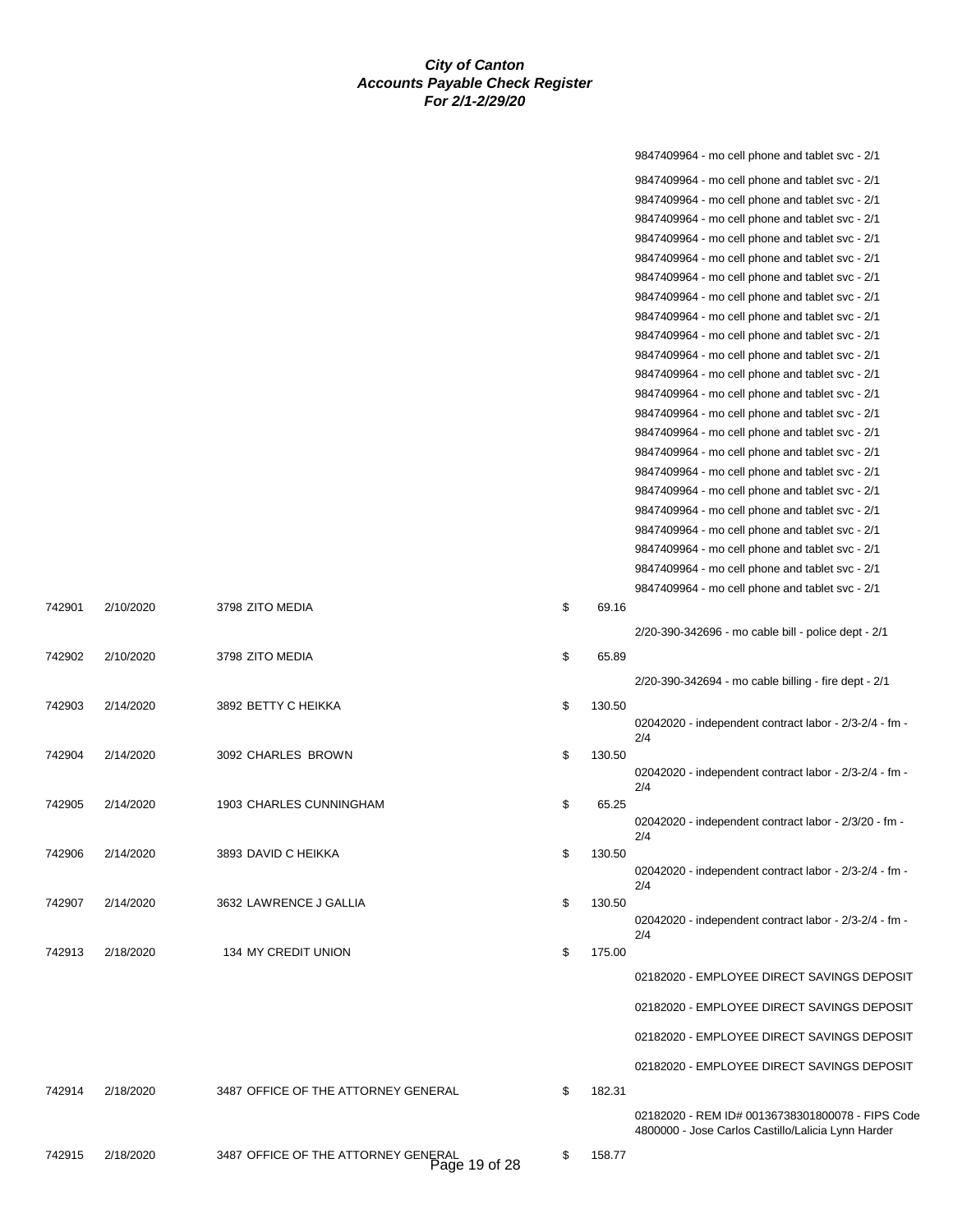|        |           |                                                      |              | 9847409964 - mo cell phone and tablet svc - 2/1               |
|--------|-----------|------------------------------------------------------|--------------|---------------------------------------------------------------|
|        |           |                                                      |              | 9847409964 - mo cell phone and tablet svc - 2/1               |
|        |           |                                                      |              | 9847409964 - mo cell phone and tablet svc - 2/1               |
|        |           |                                                      |              | 9847409964 - mo cell phone and tablet svc - 2/1               |
|        |           |                                                      |              | 9847409964 - mo cell phone and tablet svc - 2/1               |
|        |           |                                                      |              | 9847409964 - mo cell phone and tablet svc - 2/1               |
|        |           |                                                      |              | 9847409964 - mo cell phone and tablet svc - 2/1               |
|        |           |                                                      |              | 9847409964 - mo cell phone and tablet svc - 2/1               |
|        |           |                                                      |              | 9847409964 - mo cell phone and tablet svc - 2/1               |
|        |           |                                                      |              | 9847409964 - mo cell phone and tablet svc - 2/1               |
|        |           |                                                      |              |                                                               |
|        |           |                                                      |              | 9847409964 - mo cell phone and tablet svc - 2/1               |
|        |           |                                                      |              | 9847409964 - mo cell phone and tablet svc - 2/1               |
|        |           |                                                      |              | 9847409964 - mo cell phone and tablet svc - 2/1               |
|        |           |                                                      |              | 9847409964 - mo cell phone and tablet svc - 2/1               |
|        |           |                                                      |              | 9847409964 - mo cell phone and tablet svc - 2/1               |
|        |           |                                                      |              | 9847409964 - mo cell phone and tablet svc - 2/1               |
|        |           |                                                      |              | 9847409964 - mo cell phone and tablet svc - 2/1               |
|        |           |                                                      |              | 9847409964 - mo cell phone and tablet svc - 2/1               |
|        |           |                                                      |              | 9847409964 - mo cell phone and tablet svc - 2/1               |
|        |           |                                                      |              | 9847409964 - mo cell phone and tablet svc - 2/1               |
|        |           |                                                      |              | 9847409964 - mo cell phone and tablet svc - 2/1               |
|        |           |                                                      |              | 9847409964 - mo cell phone and tablet svc - 2/1               |
|        |           |                                                      |              | 9847409964 - mo cell phone and tablet svc - 2/1               |
| 742901 | 2/10/2020 | 3798 ZITO MEDIA                                      | \$<br>69.16  |                                                               |
|        |           |                                                      |              | 2/20-390-342696 - mo cable bill - police dept - 2/1           |
| 742902 | 2/10/2020 | 3798 ZITO MEDIA                                      | \$<br>65.89  |                                                               |
|        |           |                                                      |              | 2/20-390-342694 - mo cable billing - fire dept - 2/1          |
|        |           |                                                      |              |                                                               |
| 742903 | 2/14/2020 | 3892 BETTY C HEIKKA                                  | \$<br>130.50 | 02042020 - independent contract labor - 2/3-2/4 - fm -        |
|        |           |                                                      |              | 2/4                                                           |
| 742904 | 2/14/2020 | 3092 CHARLES BROWN                                   | \$<br>130.50 |                                                               |
|        |           |                                                      |              | 02042020 - independent contract labor - 2/3-2/4 - fm -        |
|        |           |                                                      |              | 2/4                                                           |
| 742905 | 2/14/2020 | 1903 CHARLES CUNNINGHAM                              | \$<br>65.25  |                                                               |
|        |           |                                                      |              | 02042020 - independent contract labor - 2/3/20 - fm -<br>2/4  |
| 742906 | 2/14/2020 | 3893 DAVID C HEIKKA                                  | \$<br>130.50 |                                                               |
|        |           |                                                      |              | 02042020 - independent contract labor - 2/3-2/4 - fm -        |
|        |           |                                                      |              | 2/4                                                           |
| 742907 | 2/14/2020 | 3632 LAWRENCE J GALLIA                               | \$<br>130.50 |                                                               |
|        |           |                                                      |              | 02042020 - independent contract labor - 2/3-2/4 - fm -<br>2/4 |
| 742913 | 2/18/2020 | 134 MY CREDIT UNION                                  | \$<br>175.00 |                                                               |
|        |           |                                                      |              | 02182020 - EMPLOYEE DIRECT SAVINGS DEPOSIT                    |
|        |           |                                                      |              |                                                               |
|        |           |                                                      |              | 02182020 - EMPLOYEE DIRECT SAVINGS DEPOSIT                    |
|        |           |                                                      |              | 02182020 - EMPLOYEE DIRECT SAVINGS DEPOSIT                    |
|        |           |                                                      |              | 02182020 - EMPLOYEE DIRECT SAVINGS DEPOSIT                    |
|        |           |                                                      |              |                                                               |
| 742914 | 2/18/2020 | 3487 OFFICE OF THE ATTORNEY GENERAL                  | \$<br>182.31 |                                                               |
|        |           |                                                      |              | 02182020 - REM ID# 00136738301800078 - FIPS Code              |
|        |           |                                                      |              | 4800000 - Jose Carlos Castillo/Lalicia Lynn Harder            |
| 742915 | 2/18/2020 | 3487 OFFICE OF THE ATTORNEY GENERAL<br>Page 19 of 28 | \$<br>158.77 |                                                               |
|        |           |                                                      |              |                                                               |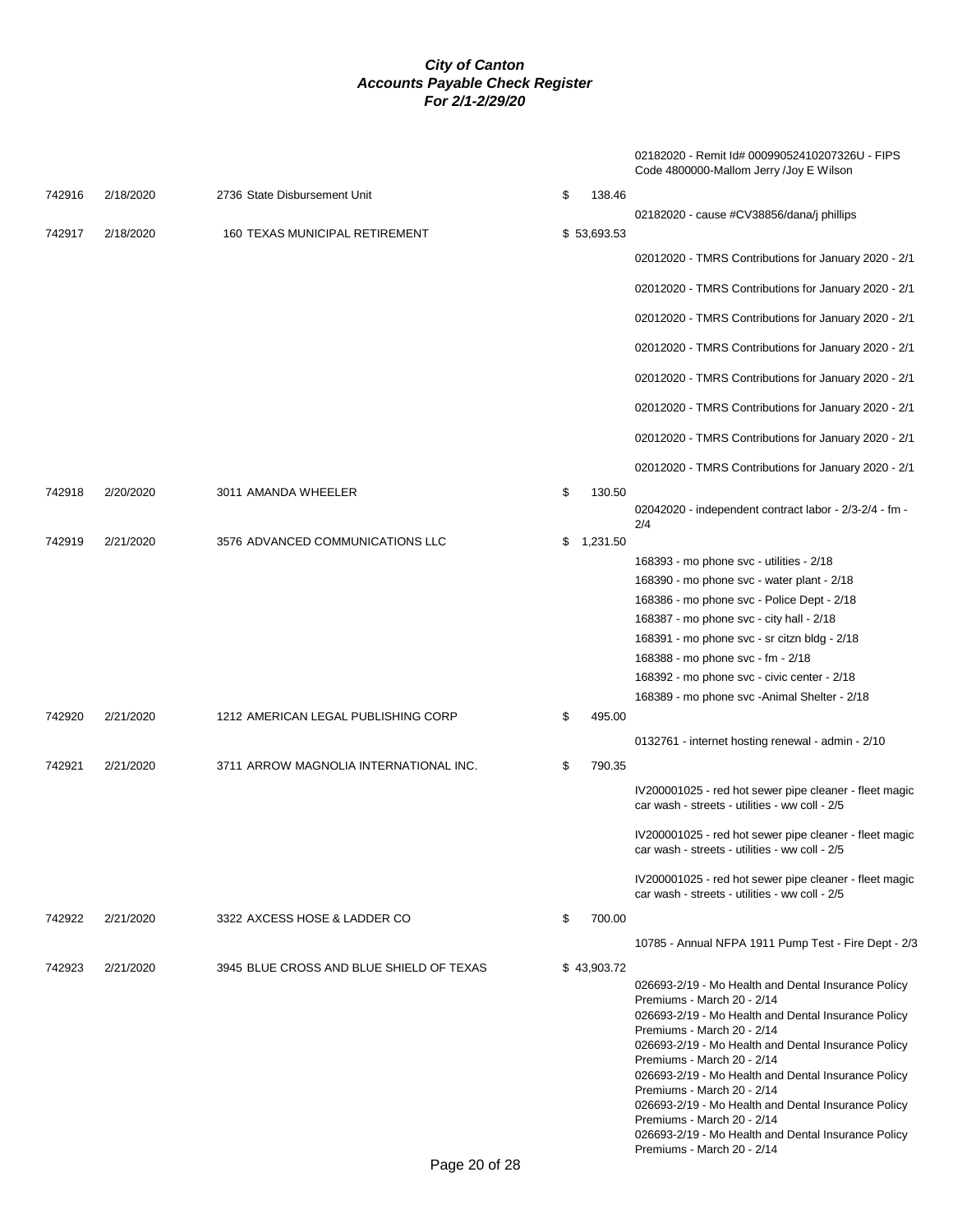02182020 - Remit Id# 00099052410207326U - FIPS Code 4800000-Mallom Jerry /Joy E Wilson

| 742916 | 2/18/2020 | 2736 State Disbursement Unit             | \$ | 138.46      |                                                                                                                                                                                                                                                                                                                                                                                                                                                                                                                            |
|--------|-----------|------------------------------------------|----|-------------|----------------------------------------------------------------------------------------------------------------------------------------------------------------------------------------------------------------------------------------------------------------------------------------------------------------------------------------------------------------------------------------------------------------------------------------------------------------------------------------------------------------------------|
| 742917 | 2/18/2020 | 160 TEXAS MUNICIPAL RETIREMENT           |    | \$53,693.53 | 02182020 - cause #CV38856/dana/j phillips                                                                                                                                                                                                                                                                                                                                                                                                                                                                                  |
|        |           |                                          |    |             | 02012020 - TMRS Contributions for January 2020 - 2/1                                                                                                                                                                                                                                                                                                                                                                                                                                                                       |
|        |           |                                          |    |             | 02012020 - TMRS Contributions for January 2020 - 2/1                                                                                                                                                                                                                                                                                                                                                                                                                                                                       |
|        |           |                                          |    |             | 02012020 - TMRS Contributions for January 2020 - 2/1                                                                                                                                                                                                                                                                                                                                                                                                                                                                       |
|        |           |                                          |    |             | 02012020 - TMRS Contributions for January 2020 - 2/1                                                                                                                                                                                                                                                                                                                                                                                                                                                                       |
|        |           |                                          |    |             | 02012020 - TMRS Contributions for January 2020 - 2/1                                                                                                                                                                                                                                                                                                                                                                                                                                                                       |
|        |           |                                          |    |             | 02012020 - TMRS Contributions for January 2020 - 2/1                                                                                                                                                                                                                                                                                                                                                                                                                                                                       |
|        |           |                                          |    |             | 02012020 - TMRS Contributions for January 2020 - 2/1                                                                                                                                                                                                                                                                                                                                                                                                                                                                       |
|        |           |                                          |    |             | 02012020 - TMRS Contributions for January 2020 - 2/1                                                                                                                                                                                                                                                                                                                                                                                                                                                                       |
| 742918 | 2/20/2020 | 3011 AMANDA WHEELER                      | \$ | 130.50      | 02042020 - independent contract labor - 2/3-2/4 - fm -<br>2/4                                                                                                                                                                                                                                                                                                                                                                                                                                                              |
| 742919 | 2/21/2020 | 3576 ADVANCED COMMUNICATIONS LLC         | \$ | 1,231.50    | 168393 - mo phone svc - utilities - 2/18<br>168390 - mo phone svc - water plant - 2/18<br>168386 - mo phone svc - Police Dept - 2/18<br>168387 - mo phone svc - city hall - 2/18<br>168391 - mo phone svc - sr citzn bldg - 2/18<br>168388 - mo phone svc - fm - 2/18<br>168392 - mo phone svc - civic center - 2/18<br>168389 - mo phone svc - Animal Shelter - 2/18                                                                                                                                                      |
| 742920 | 2/21/2020 | 1212 AMERICAN LEGAL PUBLISHING CORP      | \$ | 495.00      | 0132761 - internet hosting renewal - admin - 2/10                                                                                                                                                                                                                                                                                                                                                                                                                                                                          |
| 742921 | 2/21/2020 | 3711 ARROW MAGNOLIA INTERNATIONAL INC.   | \$ | 790.35      |                                                                                                                                                                                                                                                                                                                                                                                                                                                                                                                            |
|        |           |                                          |    |             | IV200001025 - red hot sewer pipe cleaner - fleet magic<br>car wash - streets - utilities - ww coll - 2/5                                                                                                                                                                                                                                                                                                                                                                                                                   |
|        |           |                                          |    |             | IV200001025 - red hot sewer pipe cleaner - fleet magic<br>car wash - streets - utilities - ww coll - 2/5                                                                                                                                                                                                                                                                                                                                                                                                                   |
|        |           |                                          |    |             | IV200001025 - red hot sewer pipe cleaner - fleet magic<br>car wash - streets - utilities - ww coll - 2/5                                                                                                                                                                                                                                                                                                                                                                                                                   |
| 742922 | 2/21/2020 | 3322 AXCESS HOSE & LADDER CO             | \$ | 700.00      | 10785 - Annual NFPA 1911 Pump Test - Fire Dept - 2/3                                                                                                                                                                                                                                                                                                                                                                                                                                                                       |
| 742923 | 2/21/2020 | 3945 BLUE CROSS AND BLUE SHIELD OF TEXAS |    | \$43,903.72 |                                                                                                                                                                                                                                                                                                                                                                                                                                                                                                                            |
|        |           |                                          |    |             | 026693-2/19 - Mo Health and Dental Insurance Policy<br>Premiums - March 20 - 2/14<br>026693-2/19 - Mo Health and Dental Insurance Policy<br>Premiums - March 20 - 2/14<br>026693-2/19 - Mo Health and Dental Insurance Policy<br>Premiums - March 20 - 2/14<br>026693-2/19 - Mo Health and Dental Insurance Policy<br>Premiums - March 20 - 2/14<br>026693-2/19 - Mo Health and Dental Insurance Policy<br>Premiums - March 20 - 2/14<br>026693-2/19 - Mo Health and Dental Insurance Policy<br>Premiums - March 20 - 2/14 |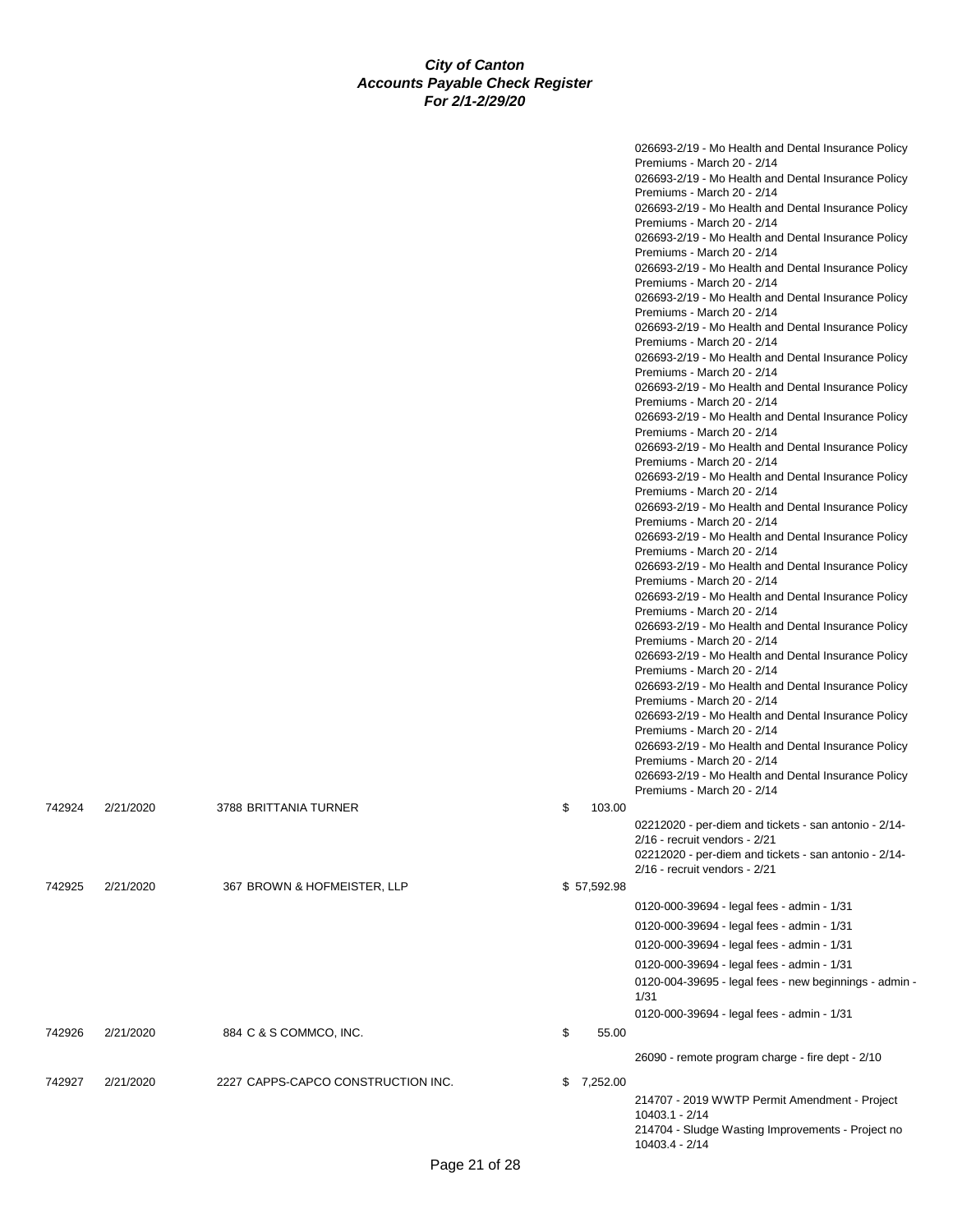|        |           |                                    |    |             | 026693-2/19 - Mo Health and Dental Insurance Policy                                        |
|--------|-----------|------------------------------------|----|-------------|--------------------------------------------------------------------------------------------|
|        |           |                                    |    |             | Premiums - March 20 - 2/14                                                                 |
|        |           |                                    |    |             | 026693-2/19 - Mo Health and Dental Insurance Policy                                        |
|        |           |                                    |    |             | Premiums - March 20 - 2/14                                                                 |
|        |           |                                    |    |             | 026693-2/19 - Mo Health and Dental Insurance Policy                                        |
|        |           |                                    |    |             | Premiums - March 20 - 2/14                                                                 |
|        |           |                                    |    |             | 026693-2/19 - Mo Health and Dental Insurance Policy<br>Premiums - March 20 - 2/14          |
|        |           |                                    |    |             | 026693-2/19 - Mo Health and Dental Insurance Policy                                        |
|        |           |                                    |    |             | Premiums - March 20 - 2/14                                                                 |
|        |           |                                    |    |             | 026693-2/19 - Mo Health and Dental Insurance Policy                                        |
|        |           |                                    |    |             | Premiums - March 20 - 2/14                                                                 |
|        |           |                                    |    |             | 026693-2/19 - Mo Health and Dental Insurance Policy                                        |
|        |           |                                    |    |             | Premiums - March 20 - 2/14                                                                 |
|        |           |                                    |    |             | 026693-2/19 - Mo Health and Dental Insurance Policy                                        |
|        |           |                                    |    |             | Premiums - March 20 - 2/14                                                                 |
|        |           |                                    |    |             | 026693-2/19 - Mo Health and Dental Insurance Policy                                        |
|        |           |                                    |    |             | Premiums - March 20 - 2/14                                                                 |
|        |           |                                    |    |             | 026693-2/19 - Mo Health and Dental Insurance Policy                                        |
|        |           |                                    |    |             | Premiums - March 20 - 2/14                                                                 |
|        |           |                                    |    |             | 026693-2/19 - Mo Health and Dental Insurance Policy<br>Premiums - March 20 - 2/14          |
|        |           |                                    |    |             | 026693-2/19 - Mo Health and Dental Insurance Policy                                        |
|        |           |                                    |    |             | Premiums - March 20 - 2/14                                                                 |
|        |           |                                    |    |             | 026693-2/19 - Mo Health and Dental Insurance Policy                                        |
|        |           |                                    |    |             | Premiums - March 20 - 2/14                                                                 |
|        |           |                                    |    |             | 026693-2/19 - Mo Health and Dental Insurance Policy                                        |
|        |           |                                    |    |             | Premiums - March 20 - 2/14                                                                 |
|        |           |                                    |    |             | 026693-2/19 - Mo Health and Dental Insurance Policy                                        |
|        |           |                                    |    |             | Premiums - March 20 - 2/14                                                                 |
|        |           |                                    |    |             | 026693-2/19 - Mo Health and Dental Insurance Policy                                        |
|        |           |                                    |    |             | Premiums - March 20 - 2/14                                                                 |
|        |           |                                    |    |             | 026693-2/19 - Mo Health and Dental Insurance Policy<br>Premiums - March 20 - 2/14          |
|        |           |                                    |    |             | 026693-2/19 - Mo Health and Dental Insurance Policy                                        |
|        |           |                                    |    |             | Premiums - March 20 - 2/14                                                                 |
|        |           |                                    |    |             | 026693-2/19 - Mo Health and Dental Insurance Policy                                        |
|        |           |                                    |    |             | Premiums - March 20 - 2/14                                                                 |
|        |           |                                    |    |             | 026693-2/19 - Mo Health and Dental Insurance Policy                                        |
|        |           |                                    |    |             | Premiums - March 20 - 2/14                                                                 |
|        |           |                                    |    |             | 026693-2/19 - Mo Health and Dental Insurance Policy                                        |
|        |           |                                    |    |             | Premiums - March 20 - 2/14                                                                 |
|        |           |                                    |    |             | 026693-2/19 - Mo Health and Dental Insurance Policy                                        |
|        |           |                                    |    |             | Premiums - March 20 - 2/14                                                                 |
| 742924 | 2/21/2020 | 3788 BRITTANIA TURNER              | \$ | 103.00      |                                                                                            |
|        |           |                                    |    |             | 02212020 - per-diem and tickets - san antonio - 2/14-                                      |
|        |           |                                    |    |             | 2/16 - recruit vendors - 2/21                                                              |
|        |           |                                    |    |             | 02212020 - per-diem and tickets - san antonio - 2/14-<br>$2/16$ - recruit vendors - $2/21$ |
|        |           |                                    |    |             |                                                                                            |
| 742925 | 2/21/2020 | 367 BROWN & HOFMEISTER, LLP        |    | \$57,592.98 |                                                                                            |
|        |           |                                    |    |             | 0120-000-39694 - legal fees - admin - 1/31                                                 |
|        |           |                                    |    |             | 0120-000-39694 - legal fees - admin - 1/31                                                 |
|        |           |                                    |    |             | 0120-000-39694 - legal fees - admin - 1/31                                                 |
|        |           |                                    |    |             | 0120-000-39694 - legal fees - admin - 1/31                                                 |
|        |           |                                    |    |             | 0120-004-39695 - legal fees - new beginnings - admin -                                     |
|        |           |                                    |    |             | 1/31                                                                                       |
|        |           |                                    |    |             | 0120-000-39694 - legal fees - admin - 1/31                                                 |
| 742926 | 2/21/2020 | 884 C & S COMMCO, INC.             | \$ | 55.00       |                                                                                            |
|        |           |                                    |    |             |                                                                                            |
|        |           |                                    |    |             | 26090 - remote program charge - fire dept - 2/10                                           |
| 742927 | 2/21/2020 | 2227 CAPPS-CAPCO CONSTRUCTION INC. |    | \$7,252.00  |                                                                                            |
|        |           |                                    |    |             |                                                                                            |
|        |           |                                    |    |             | 214707 - 2019 WWTP Permit Amendment - Project<br>10403.1 - 2/14                            |
|        |           |                                    |    |             | 214704 - Sludge Wasting Improvements - Project no                                          |
|        |           |                                    |    |             | 10403.4 - 2/14                                                                             |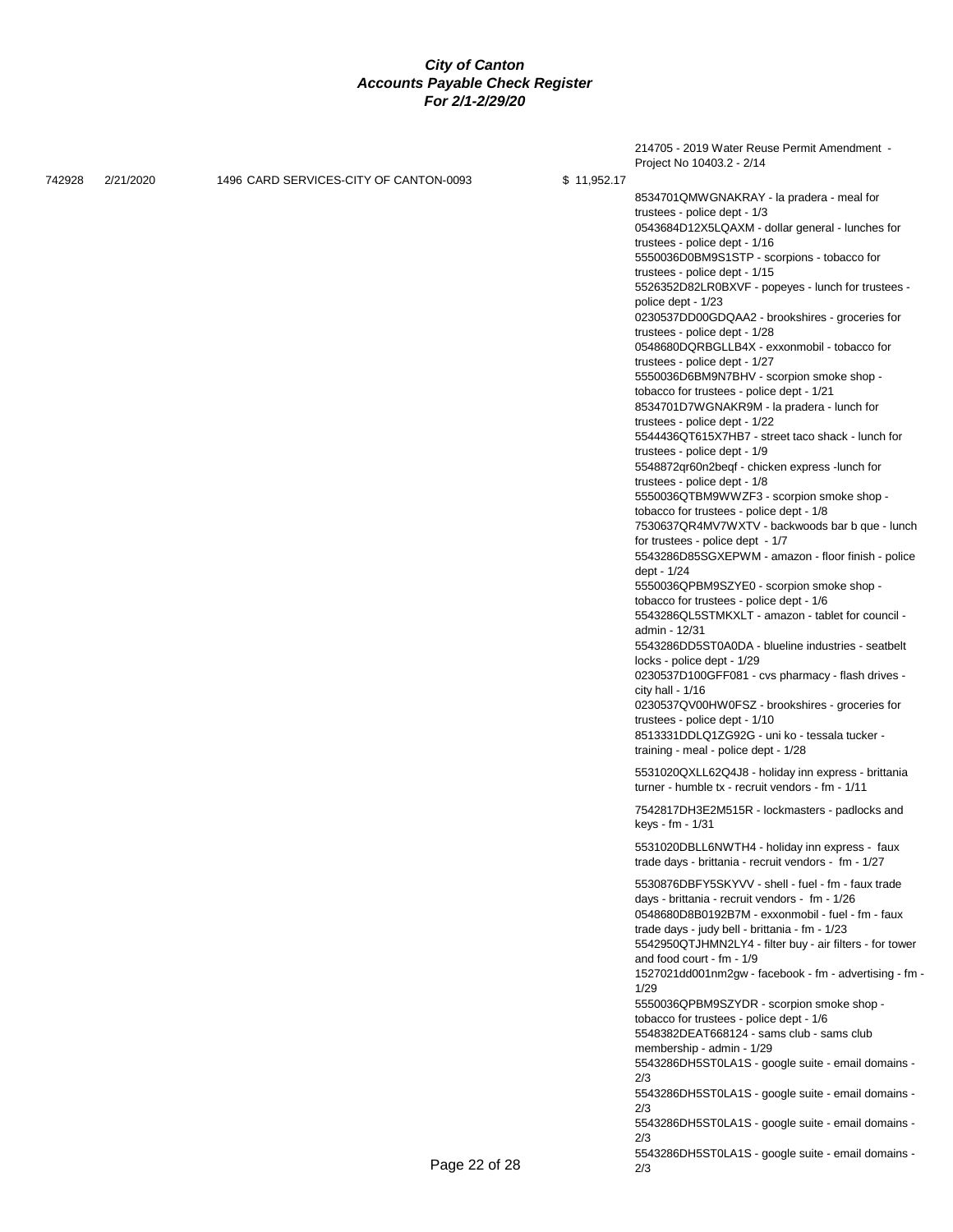|        |           |                                        |               | 214705 - 2019 Water Reuse Permit Amendment -                                                                                                                                                                                                                                                                                                                                                                                                                                                                                                                                                                                                                                                                                                                                                                                                                                                                                                                                                                                                                                                                                                                                                                                                                                                                                                           |
|--------|-----------|----------------------------------------|---------------|--------------------------------------------------------------------------------------------------------------------------------------------------------------------------------------------------------------------------------------------------------------------------------------------------------------------------------------------------------------------------------------------------------------------------------------------------------------------------------------------------------------------------------------------------------------------------------------------------------------------------------------------------------------------------------------------------------------------------------------------------------------------------------------------------------------------------------------------------------------------------------------------------------------------------------------------------------------------------------------------------------------------------------------------------------------------------------------------------------------------------------------------------------------------------------------------------------------------------------------------------------------------------------------------------------------------------------------------------------|
| 742928 | 2/21/2020 | 1496 CARD SERVICES-CITY OF CANTON-0093 | \$11,952.17   |                                                                                                                                                                                                                                                                                                                                                                                                                                                                                                                                                                                                                                                                                                                                                                                                                                                                                                                                                                                                                                                                                                                                                                                                                                                                                                                                                        |
|        |           |                                        |               | Project No 10403.2 - 2/14<br>8534701QMWGNAKRAY - la pradera - meal for<br>trustees - police dept - 1/3<br>0543684D12X5LQAXM - dollar general - lunches for<br>trustees - police dept - 1/16<br>5550036D0BM9S1STP - scorpions - tobacco for<br>trustees - police dept - 1/15<br>5526352D82LR0BXVF - popeyes - lunch for trustees -<br>police dept - 1/23<br>0230537DD00GDQAA2 - brookshires - groceries for<br>trustees - police dept - 1/28<br>0548680DQRBGLLB4X - exxonmobil - tobacco for<br>trustees - police dept - 1/27<br>5550036D6BM9N7BHV - scorpion smoke shop -<br>tobacco for trustees - police dept - 1/21<br>8534701D7WGNAKR9M - la pradera - lunch for<br>trustees - police dept - 1/22<br>5544436QT615X7HB7 - street taco shack - lunch for<br>trustees - police dept - 1/9<br>5548872qr60n2beqf - chicken express -lunch for<br>trustees - police dept - 1/8<br>5550036QTBM9WWZF3 - scorpion smoke shop -<br>tobacco for trustees - police dept - 1/8<br>7530637QR4MV7WXTV - backwoods bar b que - lunch<br>for trustees - police dept - 1/7<br>5543286D85SGXEPWM - amazon - floor finish - police<br>dept - 1/24<br>5550036QPBM9SZYE0 - scorpion smoke shop -<br>tobacco for trustees - police dept - 1/6<br>5543286QL5STMKXLT - amazon - tablet for council -<br>admin - 12/31<br>5543286DD5ST0A0DA - blueline industries - seatbelt |
|        |           |                                        |               | locks - police dept - 1/29<br>0230537D100GFF081 - cvs pharmacy - flash drives -<br>city hall - $1/16$<br>0230537QV00HW0FSZ - brookshires - groceries for<br>trustees - police dept - 1/10<br>8513331DDLQ1ZG92G - uni ko - tessala tucker -<br>training - meal - police dept - 1/28                                                                                                                                                                                                                                                                                                                                                                                                                                                                                                                                                                                                                                                                                                                                                                                                                                                                                                                                                                                                                                                                     |
|        |           |                                        |               | 5531020QXLL62Q4J8 - holiday inn express - brittania<br>turner - humble tx - recruit vendors - fm - 1/11                                                                                                                                                                                                                                                                                                                                                                                                                                                                                                                                                                                                                                                                                                                                                                                                                                                                                                                                                                                                                                                                                                                                                                                                                                                |
|        |           |                                        |               | 7542817DH3E2M515R - lockmasters - padlocks and<br>keys - fm - 1/31                                                                                                                                                                                                                                                                                                                                                                                                                                                                                                                                                                                                                                                                                                                                                                                                                                                                                                                                                                                                                                                                                                                                                                                                                                                                                     |
|        |           |                                        |               | 5531020DBLL6NWTH4 - holiday inn express - faux<br>trade days - brittania - recruit vendors - fm - 1/27                                                                                                                                                                                                                                                                                                                                                                                                                                                                                                                                                                                                                                                                                                                                                                                                                                                                                                                                                                                                                                                                                                                                                                                                                                                 |
|        |           |                                        |               | 5530876DBFY5SKYVV - shell - fuel - fm - faux trade<br>days - brittania - recruit vendors - fm - 1/26<br>0548680D8B0192B7M - exxonmobil - fuel - fm - faux<br>trade days - judy bell - brittania - fm - 1/23<br>5542950QTJHMN2LY4 - filter buy - air filters - for tower<br>and food court - fm - 1/9<br>1527021dd001nm2gw - facebook - fm - advertising - fm -<br>1/29<br>5550036QPBM9SZYDR - scorpion smoke shop -<br>tobacco for trustees - police dept - 1/6<br>5548382DEAT668124 - sams club - sams club<br>membership - admin - 1/29<br>5543286DH5ST0LA1S - google suite - email domains -<br>2/3                                                                                                                                                                                                                                                                                                                                                                                                                                                                                                                                                                                                                                                                                                                                                 |
|        |           |                                        |               | 5543286DH5ST0LA1S - google suite - email domains -<br>2/3<br>5543286DH5ST0LA1S - google suite - email domains -                                                                                                                                                                                                                                                                                                                                                                                                                                                                                                                                                                                                                                                                                                                                                                                                                                                                                                                                                                                                                                                                                                                                                                                                                                        |
|        |           |                                        | Page 22 of 28 | 2/3<br>5543286DH5ST0LA1S - google suite - email domains -<br>2/3                                                                                                                                                                                                                                                                                                                                                                                                                                                                                                                                                                                                                                                                                                                                                                                                                                                                                                                                                                                                                                                                                                                                                                                                                                                                                       |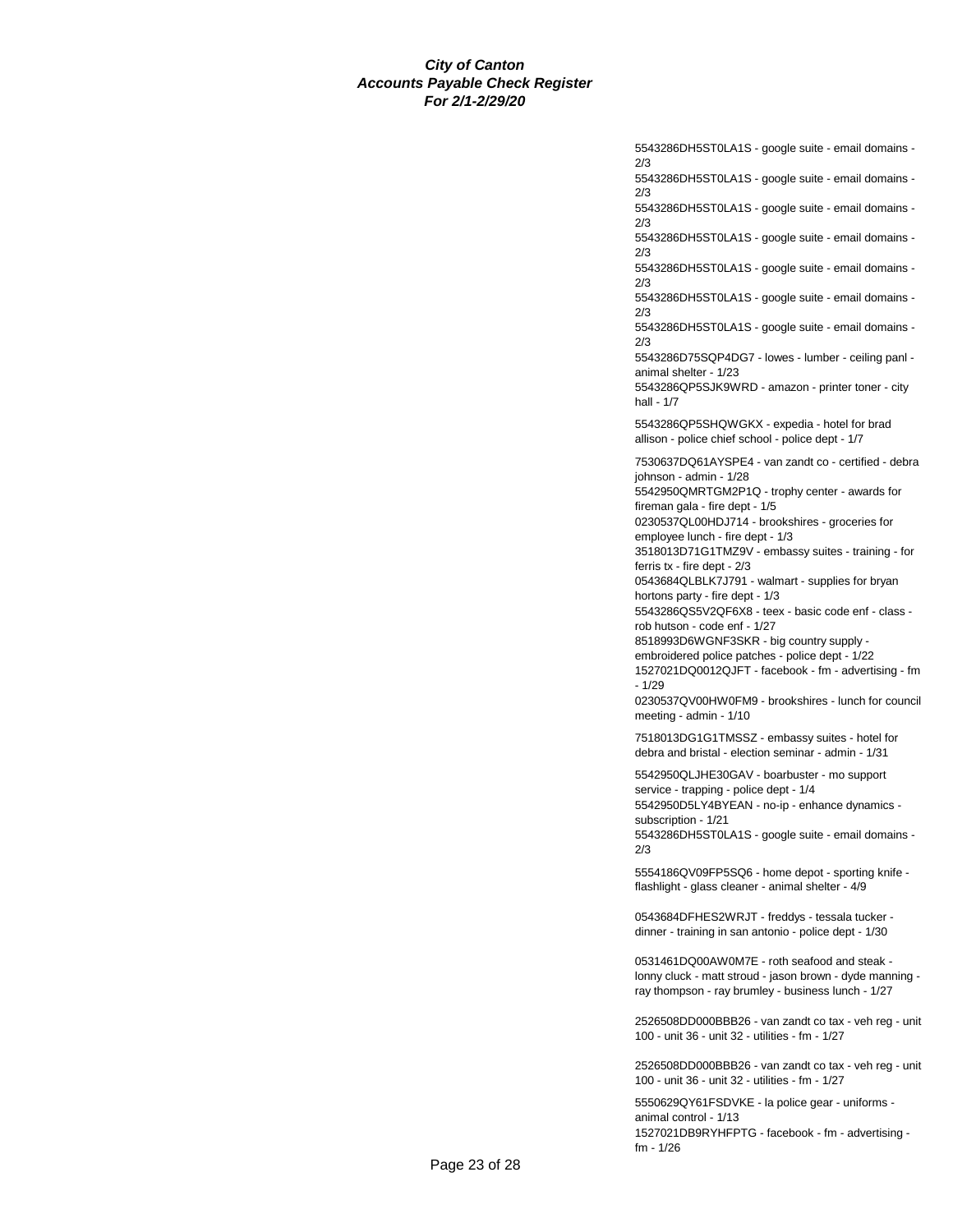5543286DH5ST0LA1S - google suite - email domains - 2/3

5543286DH5ST0LA1S - google suite - email domains - 2/3

5543286DH5ST0LA1S - google suite - email domains - 2/3

5543286DH5ST0LA1S - google suite - email domains - 2/3

5543286DH5ST0LA1S - google suite - email domains - 2/3

5543286DH5ST0LA1S - google suite - email domains - 2/3

5543286DH5ST0LA1S - google suite - email domains - 2/3

5543286D75SQP4DG7 - lowes - lumber - ceiling panl animal shelter - 1/23

5543286QP5SJK9WRD - amazon - printer toner - city hall - 1/7

5543286QP5SHQWGKX - expedia - hotel for brad allison - police chief school - police dept - 1/7

7530637DQ61AYSPE4 - van zandt co - certified - debra johnson - admin - 1/28

5542950QMRTGM2P1Q - trophy center - awards for fireman gala - fire dept - 1/5

0230537QL00HDJ714 - brookshires - groceries for employee lunch - fire dept - 1/3

3518013D71G1TMZ9V - embassy suites - training - for ferris tx - fire dept - 2/3

0543684QLBLK7J791 - walmart - supplies for bryan hortons party - fire dept - 1/3

5543286QS5V2QF6X8 - teex - basic code enf - class rob hutson - code enf - 1/27

8518993D6WGNF3SKR - big country supply -

embroidered police patches - police dept - 1/22

1527021DQ0012QJFT - facebook - fm - advertising - fm - 1/29

0230537QV00HW0FM9 - brookshires - lunch for council meeting - admin - 1/10

7518013DG1G1TMSSZ - embassy suites - hotel for debra and bristal - election seminar - admin - 1/31

5542950QLJHE30GAV - boarbuster - mo support service - trapping - police dept - 1/4 5542950D5LY4BYEAN - no-ip - enhance dynamics -

subscription - 1/21 5543286DH5ST0LA1S - google suite - email domains - 2/3

5554186QV09FP5SQ6 - home depot - sporting knife flashlight - glass cleaner - animal shelter - 4/9

0543684DFHES2WRJT - freddys - tessala tucker dinner - training in san antonio - police dept - 1/30

0531461DQ00AW0M7E - roth seafood and steak lonny cluck - matt stroud - jason brown - dyde manning ray thompson - ray brumley - business lunch - 1/27

2526508DD000BBB26 - van zandt co tax - veh reg - unit 100 - unit 36 - unit 32 - utilities - fm - 1/27

2526508DD000BBB26 - van zandt co tax - veh reg - unit 100 - unit 36 - unit 32 - utilities - fm - 1/27

5550629QY61FSDVKE - la police gear - uniforms animal control - 1/13 1527021DB9RYHFPTG - facebook - fm - advertising fm - 1/26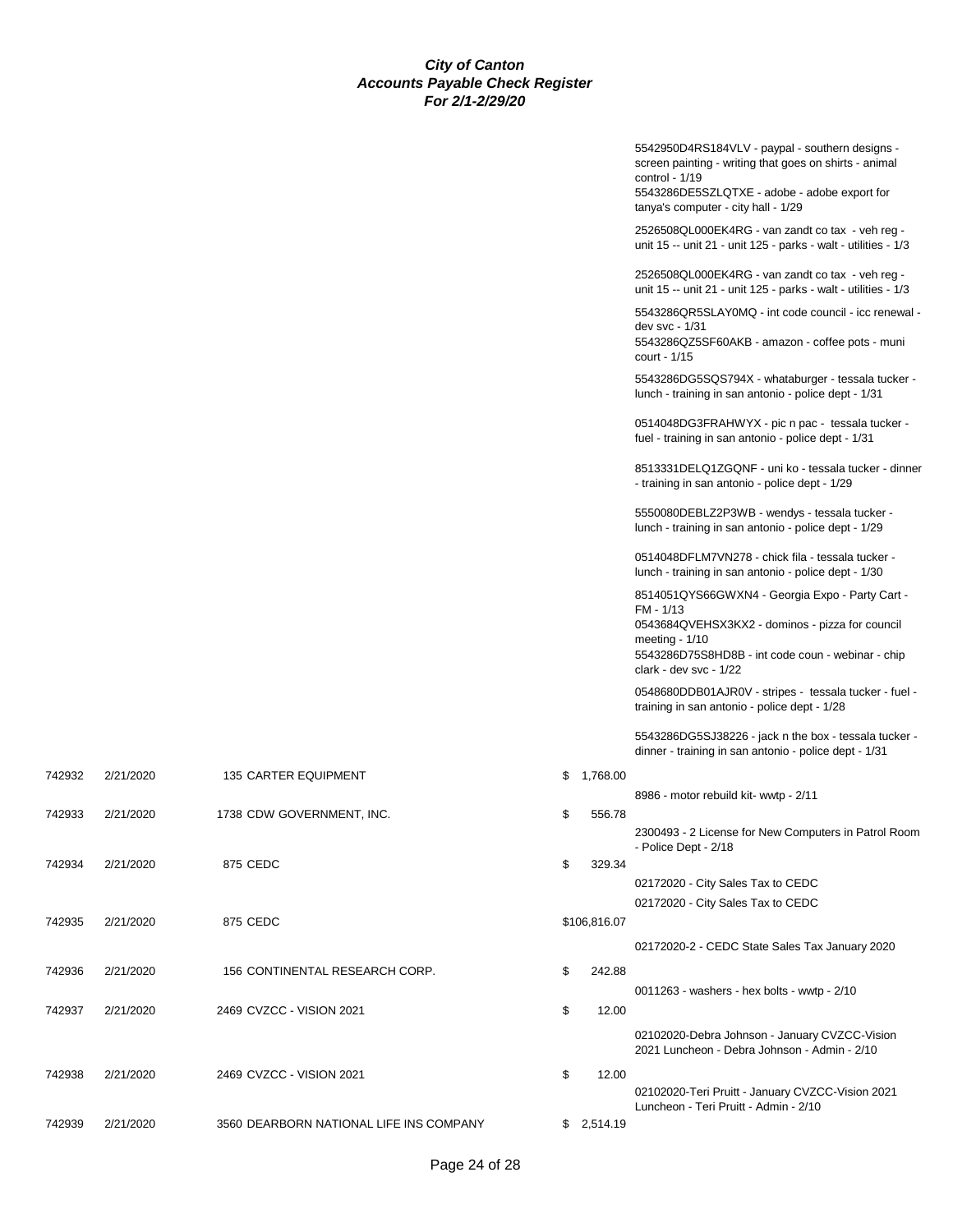|        |           |                                         |                | 5542950D4RS184VLV - paypal - southern designs -<br>screen painting - writing that goes on shirts - animal<br>control - $1/19$<br>5543286DE5SZLQTXE - adobe - adobe export for<br>tanya's computer - city hall - 1/29 |
|--------|-----------|-----------------------------------------|----------------|----------------------------------------------------------------------------------------------------------------------------------------------------------------------------------------------------------------------|
|        |           |                                         |                | 2526508QL000EK4RG - van zandt co tax - veh reg -<br>unit 15 -- unit 21 - unit 125 - parks - walt - utilities - 1/3                                                                                                   |
|        |           |                                         |                | 2526508QL000EK4RG - van zandt co tax - veh reg -<br>unit 15 -- unit 21 - unit 125 - parks - walt - utilities - 1/3                                                                                                   |
|        |           |                                         |                | 5543286QR5SLAY0MQ - int code council - icc renewal -<br>dev svc - 1/31<br>5543286QZ5SF60AKB - amazon - coffee pots - muni<br>court - 1/15                                                                            |
|        |           |                                         |                | 5543286DG5SQS794X - whataburger - tessala tucker -<br>lunch - training in san antonio - police dept - 1/31                                                                                                           |
|        |           |                                         |                | 0514048DG3FRAHWYX - pic n pac - tessala tucker -<br>fuel - training in san antonio - police dept - 1/31                                                                                                              |
|        |           |                                         |                | 8513331DELQ1ZGQNF - uni ko - tessala tucker - dinner<br>- training in san antonio - police dept - 1/29                                                                                                               |
|        |           |                                         |                | 5550080DEBLZ2P3WB - wendys - tessala tucker -<br>lunch - training in san antonio - police dept - 1/29                                                                                                                |
|        |           |                                         |                | 0514048DFLM7VN278 - chick fila - tessala tucker -<br>lunch - training in san antonio - police dept - 1/30                                                                                                            |
|        |           |                                         |                | 8514051QYS66GWXN4 - Georgia Expo - Party Cart -<br>FM - 1/13<br>0543684QVEHSX3KX2 - dominos - pizza for council<br>meeting $-1/10$<br>5543286D75S8HD8B - int code coun - webinar - chip<br>clark - dev svc - 1/22    |
|        |           |                                         |                | 0548680DDB01AJR0V - stripes - tessala tucker - fuel -<br>training in san antonio - police dept - 1/28                                                                                                                |
|        |           |                                         |                | 5543286DG5SJ38226 - jack n the box - tessala tucker -<br>dinner - training in san antonio - police dept - 1/31                                                                                                       |
| 742932 | 2/21/2020 | 135 CARTER EQUIPMENT                    | \$<br>1,768.00 |                                                                                                                                                                                                                      |
|        |           |                                         |                | 8986 - motor rebuild kit- wwtp - 2/11                                                                                                                                                                                |
| 742933 | 2/21/2020 | 1738 CDW GOVERNMENT, INC.               | \$<br>556.78   | 2300493 - 2 License for New Computers in Patrol Room<br>- Police Dept - 2/18                                                                                                                                         |
| 742934 | 2/21/2020 | 875 CEDC                                | \$<br>329.34   | 02172020 - City Sales Tax to CEDC                                                                                                                                                                                    |
|        |           |                                         |                | 02172020 - City Sales Tax to CEDC                                                                                                                                                                                    |
| 742935 | 2/21/2020 | 875 CEDC                                | \$106,816.07   |                                                                                                                                                                                                                      |
|        |           |                                         |                | 02172020-2 - CEDC State Sales Tax January 2020                                                                                                                                                                       |
| 742936 | 2/21/2020 | 156 CONTINENTAL RESEARCH CORP.          | \$<br>242.88   | 0011263 - washers - hex bolts - wwtp - 2/10                                                                                                                                                                          |
| 742937 | 2/21/2020 | 2469 CVZCC - VISION 2021                | \$<br>12.00    |                                                                                                                                                                                                                      |
|        |           |                                         |                | 02102020-Debra Johnson - January CVZCC-Vision<br>2021 Luncheon - Debra Johnson - Admin - 2/10                                                                                                                        |
| 742938 | 2/21/2020 | 2469 CVZCC - VISION 2021                | \$<br>12.00    | 02102020-Teri Pruitt - January CVZCC-Vision 2021<br>Luncheon - Teri Pruitt - Admin - 2/10                                                                                                                            |
| 742939 | 2/21/2020 | 3560 DEARBORN NATIONAL LIFE INS COMPANY | \$2,514.19     |                                                                                                                                                                                                                      |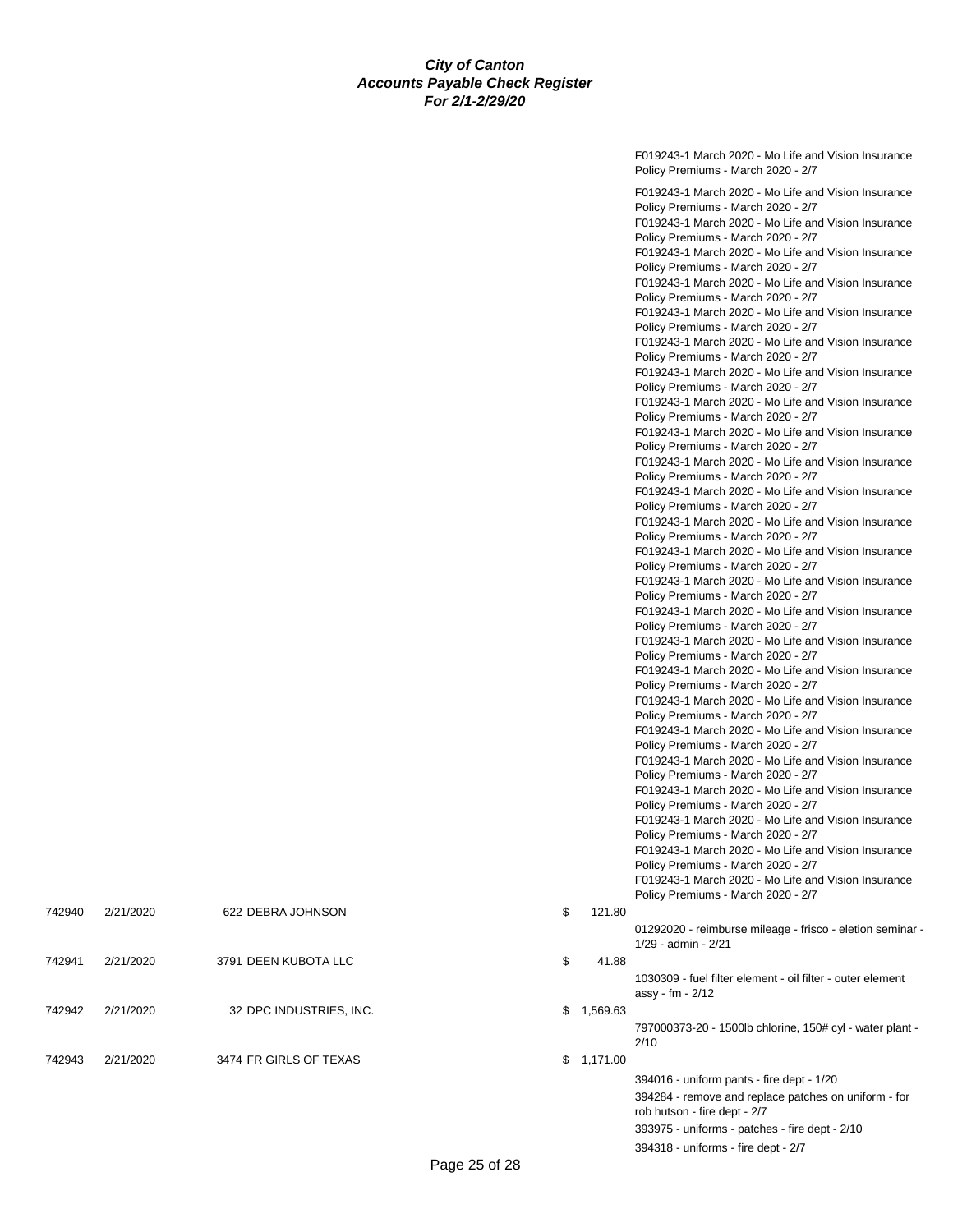F019243-1 March 2020 - Mo Life and Vision Insurance Policy Premiums - March 2020 - 2/7 F019243-1 March 2020 - Mo Life and Vision Insurance Policy Premiums - March 2020 - 2/7 F019243-1 March 2020 - Mo Life and Vision Insurance Policy Premiums - March 2020 - 2/7 F019243-1 March 2020 - Mo Life and Vision Insurance Policy Premiums - March 2020 - 2/7 F019243-1 March 2020 - Mo Life and Vision Insurance Policy Premiums - March 2020 - 2/7 F019243-1 March 2020 - Mo Life and Vision Insurance Policy Premiums - March 2020 - 2/7 F019243-1 March 2020 - Mo Life and Vision Insurance Policy Premiums - March 2020 - 2/7 F019243-1 March 2020 - Mo Life and Vision Insurance Policy Premiums - March 2020 - 2/7 F019243-1 March 2020 - Mo Life and Vision Insurance Policy Premiums - March 2020 - 2/7 F019243-1 March 2020 - Mo Life and Vision Insurance Policy Premiums - March 2020 - 2/7 F019243-1 March 2020 - Mo Life and Vision Insurance Policy Premiums - March 2020 - 2/7 F019243-1 March 2020 - Mo Life and Vision Insurance Policy Premiums - March 2020 - 2/7 F019243-1 March 2020 - Mo Life and Vision Insurance Policy Premiums - March 2020 - 2/7 F019243-1 March 2020 - Mo Life and Vision Insurance Policy Premiums - March 2020 - 2/7 F019243-1 March 2020 - Mo Life and Vision Insurance Policy Premiums - March 2020 - 2/7 F019243-1 March 2020 - Mo Life and Vision Insurance Policy Premiums - March 2020 - 2/7 F019243-1 March 2020 - Mo Life and Vision Insurance Policy Premiums - March 2020 - 2/7 F019243-1 March 2020 - Mo Life and Vision Insurance Policy Premiums - March 2020 - 2/7 F019243-1 March 2020 - Mo Life and Vision Insurance Policy Premiums - March 2020 - 2/7 F019243-1 March 2020 - Mo Life and Vision Insurance Policy Premiums - March 2020 - 2/7 F019243-1 March 2020 - Mo Life and Vision Insurance Policy Premiums - March 2020 - 2/7 F019243-1 March 2020 - Mo Life and Vision Insurance Policy Premiums - March 2020 - 2/7 F019243-1 March 2020 - Mo Life and Vision Insurance Policy Premiums - March 2020 - 2/7 F019243-1 March 2020 - Mo Life and Vision Insurance Policy Premiums - March 2020 - 2/7 F019243-1 March 2020 - Mo Life and Vision Insurance Policy Premiums - March 2020 - 2/7 01292020 - reimburse mileage - frisco - eletion seminar - 1/29 - admin - 2/21 1030309 - fuel filter element - oil filter - outer element assy - fm - 2/12  $$1,569.63$ 797000373-20 - 1500lb chlorine, 150# cyl - water plant - 2/10  $$1,171.00$ 394016 - uniform pants - fire dept - 1/20 394284 - remove and replace patches on uniform - for rob hutson - fire dept - 2/7 393975 - uniforms - patches - fire dept - 2/10 394318 - uniforms - fire dept - 2/7

| 742940 | 2/21/2020 | 622 DEBRA JOHNSON       | \$<br>121.80   |
|--------|-----------|-------------------------|----------------|
| 742941 | 2/21/2020 | 3791 DEEN KUBOTA LLC    | \$<br>41.88    |
| 742942 | 2/21/2020 | 32 DPC INDUSTRIES, INC. | \$<br>1,569.63 |
| 742943 | 2/21/2020 | 3474 FR GIRLS OF TEXAS  | \$1,171.00     |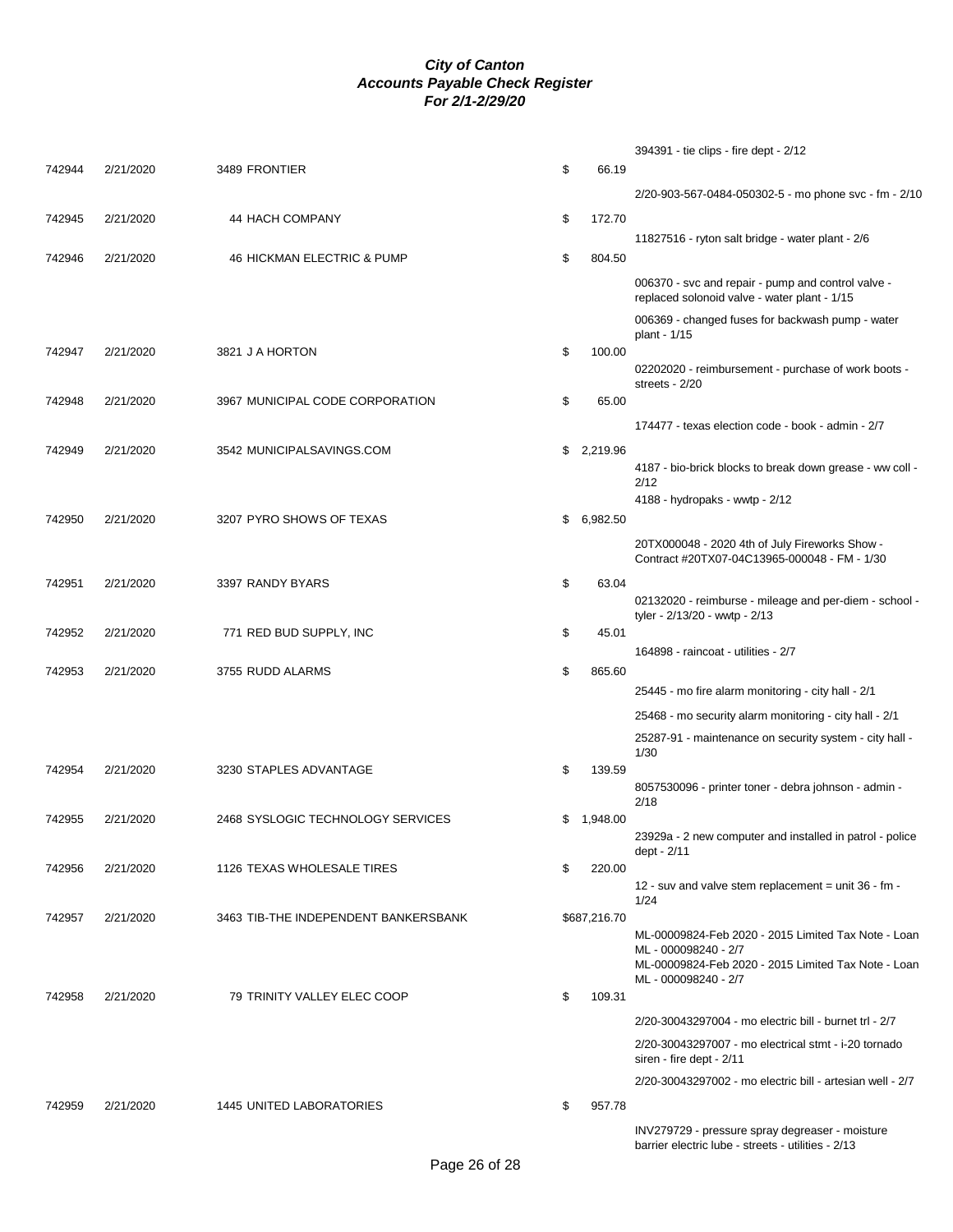|        |           |                                      |                | 394391 - tie clips - fire dept - 2/12                                                                 |
|--------|-----------|--------------------------------------|----------------|-------------------------------------------------------------------------------------------------------|
| 742944 | 2/21/2020 | 3489 FRONTIER                        | \$<br>66.19    |                                                                                                       |
|        |           |                                      |                | 2/20-903-567-0484-050302-5 - mo phone svc - fm - 2/10                                                 |
| 742945 | 2/21/2020 | 44 HACH COMPANY                      | \$<br>172.70   |                                                                                                       |
|        |           |                                      |                | 11827516 - ryton salt bridge - water plant - 2/6                                                      |
| 742946 | 2/21/2020 | 46 HICKMAN ELECTRIC & PUMP           | \$<br>804.50   |                                                                                                       |
|        |           |                                      |                | 006370 - svc and repair - pump and control valve -<br>replaced solonoid valve - water plant - 1/15    |
|        |           |                                      |                | 006369 - changed fuses for backwash pump - water<br>plant - 1/15                                      |
| 742947 | 2/21/2020 | 3821 J A HORTON                      | \$<br>100.00   | 02202020 - reimbursement - purchase of work boots -<br>streets - 2/20                                 |
| 742948 | 2/21/2020 | 3967 MUNICIPAL CODE CORPORATION      | \$<br>65.00    |                                                                                                       |
|        |           |                                      |                | 174477 - texas election code - book - admin - 2/7                                                     |
| 742949 | 2/21/2020 | 3542 MUNICIPALSAVINGS.COM            | \$2,219.96     |                                                                                                       |
|        |           |                                      |                | 4187 - bio-brick blocks to break down grease - ww coll -<br>2/12                                      |
|        |           |                                      |                | 4188 - hydropaks - wwtp - 2/12                                                                        |
| 742950 | 2/21/2020 | 3207 PYRO SHOWS OF TEXAS             | \$<br>6,982.50 |                                                                                                       |
|        |           |                                      |                | 20TX000048 - 2020 4th of July Fireworks Show -<br>Contract #20TX07-04C13965-000048 - FM - 1/30        |
| 742951 | 2/21/2020 | 3397 RANDY BYARS                     | \$<br>63.04    |                                                                                                       |
|        |           |                                      |                | 02132020 - reimburse - mileage and per-diem - school -<br>tyler - 2/13/20 - wwtp - 2/13               |
| 742952 | 2/21/2020 | 771 RED BUD SUPPLY, INC              | \$<br>45.01    |                                                                                                       |
| 742953 | 2/21/2020 | 3755 RUDD ALARMS                     | \$<br>865.60   | 164898 - raincoat - utilities - 2/7                                                                   |
|        |           |                                      |                | 25445 - mo fire alarm monitoring - city hall - 2/1                                                    |
|        |           |                                      |                | 25468 - mo security alarm monitoring - city hall - 2/1                                                |
|        |           |                                      |                | 25287-91 - maintenance on security system - city hall -                                               |
|        |           |                                      |                | 1/30                                                                                                  |
| 742954 | 2/21/2020 | 3230 STAPLES ADVANTAGE               | \$<br>139.59   |                                                                                                       |
| 742955 | 2/21/2020 | 2468 SYSLOGIC TECHNOLOGY SERVICES    | \$<br>1,948.00 | 8057530096 - printer toner - debra johnson - admin -<br>2/18                                          |
|        |           |                                      |                | 23929a - 2 new computer and installed in patrol - police<br>dept - 2/11                               |
| 742956 | 2/21/2020 | 1126 TEXAS WHOLESALE TIRES           | \$<br>220.00   |                                                                                                       |
|        |           |                                      |                | 12 - suv and valve stem replacement = unit 36 - fm -<br>1/24                                          |
| 742957 | 2/21/2020 | 3463 TIB-THE INDEPENDENT BANKERSBANK | \$687,216.70   |                                                                                                       |
|        |           |                                      |                | ML-00009824-Feb 2020 - 2015 Limited Tax Note - Loan<br>ML - 000098240 - 2/7                           |
|        |           |                                      |                | ML-00009824-Feb 2020 - 2015 Limited Tax Note - Loan<br>ML - 000098240 - 2/7                           |
| 742958 | 2/21/2020 | 79 TRINITY VALLEY ELEC COOP          | \$<br>109.31   |                                                                                                       |
|        |           |                                      |                | 2/20-30043297004 - mo electric bill - burnet trl - 2/7                                                |
|        |           |                                      |                | 2/20-30043297007 - mo electrical stmt - i-20 tornado<br>siren - fire dept - 2/11                      |
|        |           |                                      |                | 2/20-30043297002 - mo electric bill - artesian well - 2/7                                             |
| 742959 | 2/21/2020 | <b>1445 UNITED LABORATORIES</b>      | \$<br>957.78   |                                                                                                       |
|        |           |                                      |                | INV279729 - pressure spray degreaser - moisture<br>barrier electric lube - streets - utilities - 2/13 |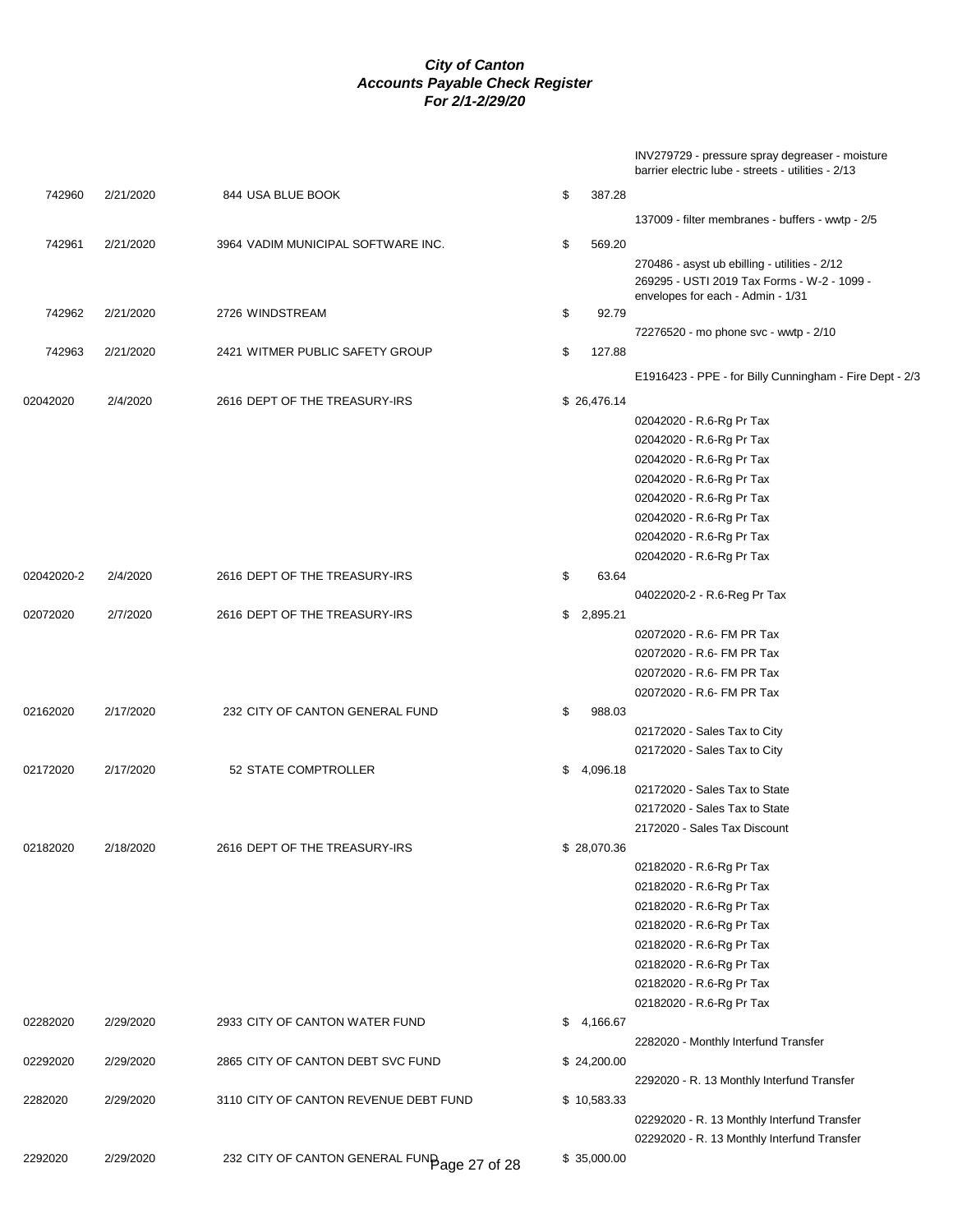INV279729 - pressure spray degreaser - moisture barrier electric lube - streets - utilities - 2/13

| 742960     | 2/21/2020 | 844 USA BLUE BOOK                           | \$<br>387.28   |                                                               |
|------------|-----------|---------------------------------------------|----------------|---------------------------------------------------------------|
|            |           |                                             |                | 137009 - filter membranes - buffers - wwtp - 2/5              |
| 742961     | 2/21/2020 | 3964 VADIM MUNICIPAL SOFTWARE INC.          | \$<br>569.20   |                                                               |
|            |           |                                             |                | 270486 - asyst ub ebilling - utilities - 2/12                 |
|            |           |                                             |                | 269295 - USTI 2019 Tax Forms - W-2 - 1099 -                   |
|            |           |                                             |                | envelopes for each - Admin - 1/31                             |
| 742962     | 2/21/2020 | 2726 WINDSTREAM                             | \$<br>92.79    |                                                               |
|            |           |                                             |                | 72276520 - mo phone svc - wwtp - 2/10                         |
| 742963     | 2/21/2020 | 2421 WITMER PUBLIC SAFETY GROUP             | \$<br>127.88   |                                                               |
|            |           |                                             |                | E1916423 - PPE - for Billy Cunningham - Fire Dept - 2/3       |
| 02042020   | 2/4/2020  | 2616 DEPT OF THE TREASURY-IRS               | \$26,476.14    |                                                               |
|            |           |                                             |                | 02042020 - R.6-Rg Pr Tax                                      |
|            |           |                                             |                | 02042020 - R.6-Rg Pr Tax                                      |
|            |           |                                             |                | 02042020 - R.6-Rg Pr Tax                                      |
|            |           |                                             |                | 02042020 - R.6-Rg Pr Tax                                      |
|            |           |                                             |                | 02042020 - R.6-Rg Pr Tax                                      |
|            |           |                                             |                | 02042020 - R.6-Rg Pr Tax                                      |
|            |           |                                             |                | 02042020 - R.6-Rg Pr Tax                                      |
|            |           |                                             |                | 02042020 - R.6-Rg Pr Tax                                      |
| 02042020-2 | 2/4/2020  | 2616 DEPT OF THE TREASURY-IRS               | \$<br>63.64    |                                                               |
|            |           |                                             |                | 04022020-2 - R.6-Reg Pr Tax                                   |
| 02072020   | 2/7/2020  | 2616 DEPT OF THE TREASURY-IRS               | \$<br>2,895.21 |                                                               |
|            |           |                                             |                | 02072020 - R.6- FM PR Tax                                     |
|            |           |                                             |                | 02072020 - R.6- FM PR Tax                                     |
|            |           |                                             |                | 02072020 - R.6- FM PR Tax                                     |
|            |           |                                             |                | 02072020 - R.6- FM PR Tax                                     |
| 02162020   | 2/17/2020 | 232 CITY OF CANTON GENERAL FUND             | \$<br>988.03   |                                                               |
|            |           |                                             |                | 02172020 - Sales Tax to City                                  |
|            |           |                                             |                | 02172020 - Sales Tax to City                                  |
| 02172020   | 2/17/2020 | 52 STATE COMPTROLLER                        | \$<br>4,096.18 |                                                               |
|            |           |                                             |                | 02172020 - Sales Tax to State                                 |
|            |           |                                             |                | 02172020 - Sales Tax to State<br>2172020 - Sales Tax Discount |
| 02182020   | 2/18/2020 | 2616 DEPT OF THE TREASURY-IRS               | \$28,070.36    |                                                               |
|            |           |                                             |                | 02182020 - R.6-Rg Pr Tax                                      |
|            |           |                                             |                | 02182020 - R.6-Rg Pr Tax                                      |
|            |           |                                             |                | 02182020 - R.6-Rg Pr Tax                                      |
|            |           |                                             |                | 02182020 - R.6-Rg Pr Tax                                      |
|            |           |                                             |                | 02182020 - R.6-Rg Pr Tax                                      |
|            |           |                                             |                | 02182020 - R.6-Rg Pr Tax                                      |
|            |           |                                             |                | 02182020 - R.6-Rg Pr Tax                                      |
|            |           |                                             |                | 02182020 - R.6-Rg Pr Tax                                      |
| 02282020   | 2/29/2020 | 2933 CITY OF CANTON WATER FUND              | \$<br>4,166.67 |                                                               |
|            |           |                                             |                | 2282020 - Monthly Interfund Transfer                          |
| 02292020   | 2/29/2020 | 2865 CITY OF CANTON DEBT SVC FUND           | \$24,200.00    |                                                               |
|            |           |                                             |                | 2292020 - R. 13 Monthly Interfund Transfer                    |
| 2282020    | 2/29/2020 | 3110 CITY OF CANTON REVENUE DEBT FUND       | \$10,583.33    |                                                               |
|            |           |                                             |                | 02292020 - R. 13 Monthly Interfund Transfer                   |
|            |           |                                             |                | 02292020 - R. 13 Monthly Interfund Transfer                   |
| 2292020    | 2/29/2020 | 232 CITY OF CANTON GENERAL FUNBage 27 of 28 | \$35,000.00    |                                                               |
|            |           |                                             |                |                                                               |